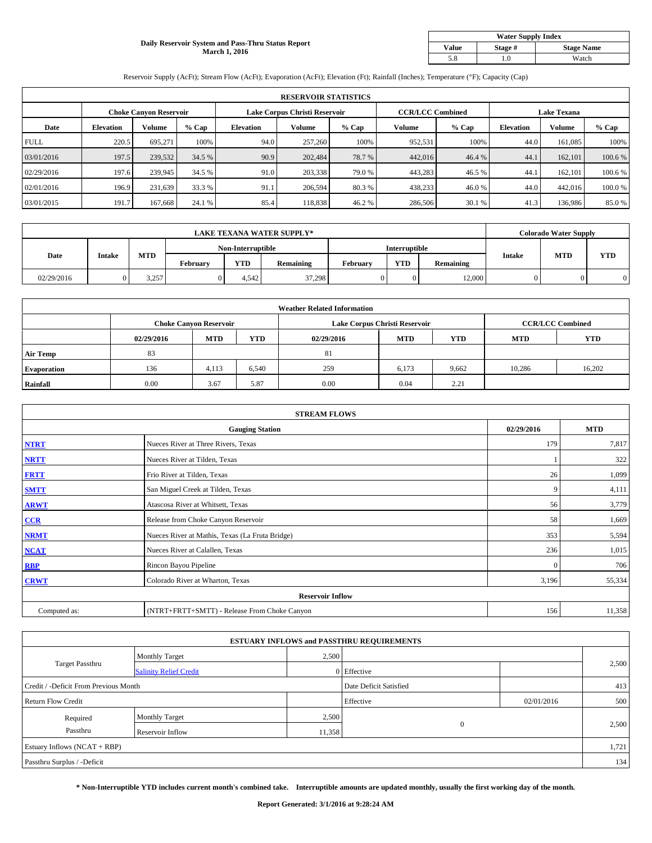#### **Daily Reservoir System and Pass-Thru Status Report March 1, 2016**

| <b>Water Supply Index</b> |         |                   |  |  |  |  |  |  |
|---------------------------|---------|-------------------|--|--|--|--|--|--|
| Value                     | Stage # | <b>Stage Name</b> |  |  |  |  |  |  |
| 5.8                       | .0      | Watch             |  |  |  |  |  |  |

Reservoir Supply (AcFt); Stream Flow (AcFt); Evaporation (AcFt); Elevation (Ft); Rainfall (Inches); Temperature (°F); Capacity (Cap)

|             | <b>RESERVOIR STATISTICS</b> |                               |         |                  |                               |         |                         |         |                    |               |         |  |
|-------------|-----------------------------|-------------------------------|---------|------------------|-------------------------------|---------|-------------------------|---------|--------------------|---------------|---------|--|
|             |                             | <b>Choke Canyon Reservoir</b> |         |                  | Lake Corpus Christi Reservoir |         | <b>CCR/LCC Combined</b> |         | <b>Lake Texana</b> |               |         |  |
| Date        | <b>Elevation</b>            | Volume                        | $%$ Cap | <b>Elevation</b> | Volume                        | $%$ Cap | Volume                  | $%$ Cap | <b>Elevation</b>   | <b>Volume</b> | % Cap   |  |
| <b>FULL</b> | 220.5                       | 695.271                       | 100%    | 94.0             | 257,260                       | 100%    | 952,531                 | 100%    | 44.0               | 161,085       | 100%    |  |
| 03/01/2016  | 197.5                       | 239,532                       | 34.5 %  | 90.9             | 202,484                       | 78.7%   | 442,016                 | 46.4 %  | 44.1               | 162,101       | 100.6 % |  |
| 02/29/2016  | 197.6                       | 239,945                       | 34.5 %  | 91.0             | 203,338                       | 79.0 %  | 443,283                 | 46.5 %  | 44.1               | 162,101       | 100.6 % |  |
| 02/01/2016  | 196.9                       | 231,639                       | 33.3 %  | 91.1             | 206,594                       | 80.3 %  | 438,233                 | 46.0%   | 44.0               | 442,016       | 100.0%  |  |
| 03/01/2015  | 191.7                       | 167,668                       | 24.1 %  | 85.4             | 118,838                       | 46.2%   | 286,506                 | 30.1 %  | 41.3               | 136,986       | 85.0%   |  |

| <b>LAKE TEXANA WATER SUPPLY*</b> |               |                   |          |            |               |          | <b>Colorado Water Supply</b> |           |               |            |            |
|----------------------------------|---------------|-------------------|----------|------------|---------------|----------|------------------------------|-----------|---------------|------------|------------|
|                                  |               | Non-Interruptible |          |            | Interruptible |          |                              |           |               |            |            |
| Date                             | <b>Intake</b> | MTD               | February | <b>YTD</b> | Remaining     | February | <b>YTD</b>                   | Remaining | <b>Intake</b> | <b>MTD</b> | <b>YTD</b> |
| 02/29/2016                       |               | 3.257             |          | 4.542      | 37,298        |          | $\Omega$                     | 12.000    | 0.            |            |            |

| <b>Weather Related Information</b> |            |                               |       |            |                               |                         |            |            |  |  |  |
|------------------------------------|------------|-------------------------------|-------|------------|-------------------------------|-------------------------|------------|------------|--|--|--|
|                                    |            | <b>Choke Canyon Reservoir</b> |       |            | Lake Corpus Christi Reservoir | <b>CCR/LCC Combined</b> |            |            |  |  |  |
|                                    | 02/29/2016 | <b>MTD</b>                    | YTD   | 02/29/2016 | <b>MTD</b>                    | <b>YTD</b>              | <b>MTD</b> | <b>YTD</b> |  |  |  |
| <b>Air Temp</b>                    | 83         |                               |       | 81         |                               |                         |            |            |  |  |  |
| <b>Evaporation</b>                 | 136        | 4,113                         | 6,540 | 259        | 6,173                         | 9,662                   | 10.286     | 16,202     |  |  |  |
| Rainfall                           | 0.00       | 3.67                          | 5.87  | 0.00       | 0.04                          | 2.21                    |            |            |  |  |  |

| <b>STREAM FLOWS</b> |                                                 |            |            |  |  |  |  |  |  |
|---------------------|-------------------------------------------------|------------|------------|--|--|--|--|--|--|
|                     | <b>Gauging Station</b>                          | 02/29/2016 | <b>MTD</b> |  |  |  |  |  |  |
| <b>NTRT</b>         | Nueces River at Three Rivers, Texas             | 179        | 7,817      |  |  |  |  |  |  |
| <b>NRTT</b>         | Nueces River at Tilden, Texas                   |            | 322        |  |  |  |  |  |  |
| <b>FRTT</b>         | Frio River at Tilden, Texas                     | 26         | 1,099      |  |  |  |  |  |  |
| <b>SMTT</b>         | San Miguel Creek at Tilden, Texas               | 9          | 4,111      |  |  |  |  |  |  |
| <b>ARWT</b>         | Atascosa River at Whitsett, Texas               | 56         | 3,779      |  |  |  |  |  |  |
| CCR                 | Release from Choke Canyon Reservoir             | 58         | 1,669      |  |  |  |  |  |  |
| <b>NRMT</b>         | Nueces River at Mathis, Texas (La Fruta Bridge) | 353        | 5,594      |  |  |  |  |  |  |
| <b>NCAT</b>         | Nueces River at Calallen, Texas                 | 236        | 1,015      |  |  |  |  |  |  |
| <b>RBP</b>          | Rincon Bayou Pipeline                           | $\Omega$   | 706        |  |  |  |  |  |  |
| <b>CRWT</b>         | Colorado River at Wharton, Texas                | 3,196      | 55,334     |  |  |  |  |  |  |
|                     | <b>Reservoir Inflow</b>                         |            |            |  |  |  |  |  |  |
| Computed as:        | (NTRT+FRTT+SMTT) - Release From Choke Canyon    | 156        | 11,358     |  |  |  |  |  |  |

| <b>ESTUARY INFLOWS and PASSTHRU REQUIREMENTS</b> |                               |                        |             |            |       |  |  |  |  |  |
|--------------------------------------------------|-------------------------------|------------------------|-------------|------------|-------|--|--|--|--|--|
|                                                  | <b>Monthly Target</b>         | 2,500                  |             |            |       |  |  |  |  |  |
| <b>Target Passthru</b>                           | <b>Salinity Relief Credit</b> |                        | 0 Effective |            | 2,500 |  |  |  |  |  |
| Credit / -Deficit From Previous Month            |                               | Date Deficit Satisfied |             | 413        |       |  |  |  |  |  |
| <b>Return Flow Credit</b>                        |                               |                        | Effective   | 02/01/2016 | 500   |  |  |  |  |  |
| Required                                         | <b>Monthly Target</b>         | 2,500                  |             |            |       |  |  |  |  |  |
| Passthru                                         | Reservoir Inflow              | 11,358                 | $\theta$    |            | 2,500 |  |  |  |  |  |
| Estuary Inflows (NCAT + RBP)                     |                               |                        |             |            |       |  |  |  |  |  |
| Passthru Surplus / -Deficit                      |                               |                        |             |            | 134   |  |  |  |  |  |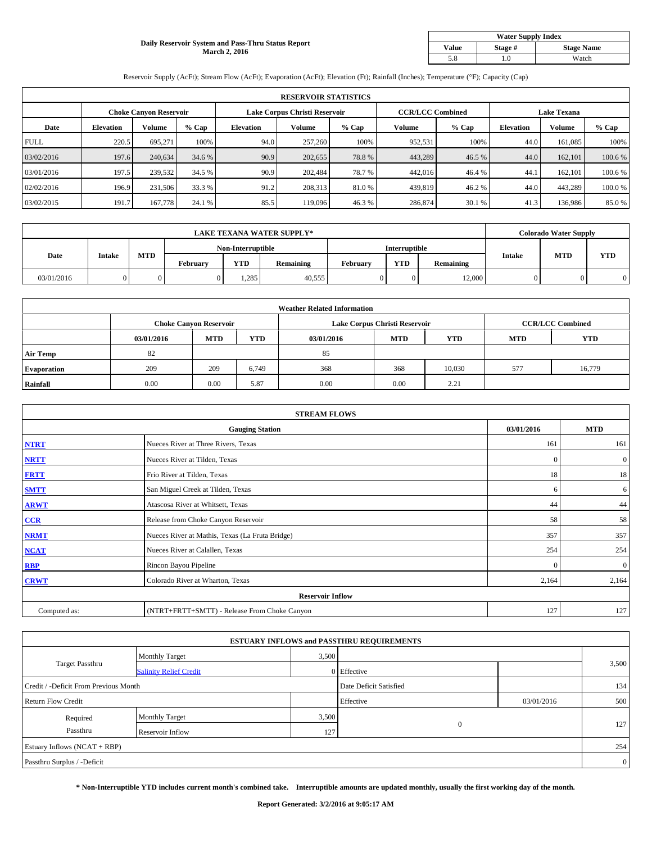# **Daily Reservoir System and Pass-Thru Status Report March 2, 2016**

| <b>Water Supply Index</b> |         |                   |  |  |  |  |  |  |
|---------------------------|---------|-------------------|--|--|--|--|--|--|
| <b>Value</b>              | Stage # | <b>Stage Name</b> |  |  |  |  |  |  |
| 5.8                       | .0      | Watch             |  |  |  |  |  |  |

Reservoir Supply (AcFt); Stream Flow (AcFt); Evaporation (AcFt); Elevation (Ft); Rainfall (Inches); Temperature (°F); Capacity (Cap)

|             | <b>RESERVOIR STATISTICS</b> |                               |         |                  |                               |         |                         |         |                    |               |         |  |
|-------------|-----------------------------|-------------------------------|---------|------------------|-------------------------------|---------|-------------------------|---------|--------------------|---------------|---------|--|
|             |                             | <b>Choke Canyon Reservoir</b> |         |                  | Lake Corpus Christi Reservoir |         | <b>CCR/LCC Combined</b> |         | <b>Lake Texana</b> |               |         |  |
| Date        | <b>Elevation</b>            | Volume                        | $%$ Cap | <b>Elevation</b> | Volume                        | $%$ Cap | Volume                  | $%$ Cap | <b>Elevation</b>   | <b>Volume</b> | % Cap   |  |
| <b>FULL</b> | 220.5                       | 695.271                       | 100%    | 94.0             | 257,260                       | 100%    | 952,531                 | 100%    | 44.0               | 161,085       | 100%    |  |
| 03/02/2016  | 197.6                       | 240,634                       | 34.6 %  | 90.9             | 202,655                       | 78.8%   | 443,289                 | 46.5 %  | 44.0               | 162,101       | 100.6 % |  |
| 03/01/2016  | 197.5                       | 239,532                       | 34.5 %  | 90.9             | 202.484                       | 78.7%   | 442,016                 | 46.4 %  | 44.1               | 162,101       | 100.6 % |  |
| 02/02/2016  | 196.9                       | 231,506                       | 33.3 %  | 91.2             | 208,313                       | 81.0%   | 439,819                 | 46.2%   | 44.0               | 443,289       | 100.0%  |  |
| 03/02/2015  | 191.7                       | 167,778                       | 24.1 %  | 85.5             | 119,096                       | 46.3%   | 286,874                 | 30.1 %  | 41.3               | 136,986       | 85.0%   |  |

| <b>LAKE TEXANA WATER SUPPLY*</b> |               |            |                 |                   |           |               | <b>Colorado Water Supply</b> |           |               |            |            |
|----------------------------------|---------------|------------|-----------------|-------------------|-----------|---------------|------------------------------|-----------|---------------|------------|------------|
|                                  |               |            |                 | Non-Interruptible |           | Interruptible |                              |           |               |            |            |
| Date                             | <b>Intake</b> | <b>MTD</b> | <b>February</b> | <b>YTD</b>        | Remaining | February      | <b>YTD</b>                   | Remaining | <b>Intake</b> | <b>MTD</b> | <b>YTD</b> |
| 03/01/2016                       |               |            |                 | .285              | 40.555    |               |                              | 12.000    |               |            |            |

|                    | <b>Weather Related Information</b> |                               |            |            |                               |                         |            |            |  |  |  |  |
|--------------------|------------------------------------|-------------------------------|------------|------------|-------------------------------|-------------------------|------------|------------|--|--|--|--|
|                    |                                    | <b>Choke Canyon Reservoir</b> |            |            | Lake Corpus Christi Reservoir | <b>CCR/LCC Combined</b> |            |            |  |  |  |  |
|                    | 03/01/2016                         | <b>MTD</b>                    | <b>YTD</b> | 03/01/2016 | <b>MTD</b>                    | <b>YTD</b>              | <b>MTD</b> | <b>YTD</b> |  |  |  |  |
| <b>Air Temp</b>    | 82                                 |                               |            | 85         |                               |                         |            |            |  |  |  |  |
| <b>Evaporation</b> | 209                                | 209                           | 6.749      | 368        | 368                           | 10,030                  | 577        | 16,779     |  |  |  |  |
| Rainfall           | 0.00                               | 0.00                          | 5.87       | 0.00       | 0.00                          | 2.21                    |            |            |  |  |  |  |

| <b>STREAM FLOWS</b> |                                                 |              |                  |  |  |  |  |  |  |
|---------------------|-------------------------------------------------|--------------|------------------|--|--|--|--|--|--|
|                     | <b>Gauging Station</b>                          |              |                  |  |  |  |  |  |  |
| <b>NTRT</b>         | Nueces River at Three Rivers, Texas             | 161          | 161              |  |  |  |  |  |  |
| <b>NRTT</b>         | Nueces River at Tilden, Texas                   | $\mathbf{0}$ | $\mathbf{0}$     |  |  |  |  |  |  |
| <b>FRTT</b>         | Frio River at Tilden, Texas                     | 18           | 18               |  |  |  |  |  |  |
| <b>SMTT</b>         | San Miguel Creek at Tilden, Texas               | 6            | 6                |  |  |  |  |  |  |
| <b>ARWT</b>         | Atascosa River at Whitsett, Texas               | 44           | 44               |  |  |  |  |  |  |
| CCR                 | Release from Choke Canyon Reservoir             | 58           | 58               |  |  |  |  |  |  |
| <b>NRMT</b>         | Nueces River at Mathis, Texas (La Fruta Bridge) | 357          | 357              |  |  |  |  |  |  |
| <b>NCAT</b>         | Nueces River at Calallen, Texas                 | 254          | 254              |  |  |  |  |  |  |
| <b>RBP</b>          | Rincon Bayou Pipeline                           | $\Omega$     | $\boldsymbol{0}$ |  |  |  |  |  |  |
| <b>CRWT</b>         | Colorado River at Wharton, Texas                | 2,164        | 2,164            |  |  |  |  |  |  |
|                     | <b>Reservoir Inflow</b>                         |              |                  |  |  |  |  |  |  |
| Computed as:        | (NTRT+FRTT+SMTT) - Release From Choke Canyon    | 127          | 127              |  |  |  |  |  |  |

| <b>ESTUARY INFLOWS and PASSTHRU REQUIREMENTS</b> |                               |       |                        |            |                |  |  |  |  |  |
|--------------------------------------------------|-------------------------------|-------|------------------------|------------|----------------|--|--|--|--|--|
|                                                  | <b>Monthly Target</b>         | 3,500 |                        |            |                |  |  |  |  |  |
| <b>Target Passthru</b>                           | <b>Salinity Relief Credit</b> |       | 0 Effective            |            | 3,500          |  |  |  |  |  |
| Credit / -Deficit From Previous Month            |                               |       | Date Deficit Satisfied |            | 134            |  |  |  |  |  |
| <b>Return Flow Credit</b>                        |                               |       | Effective              | 03/01/2016 | 500            |  |  |  |  |  |
| Required                                         | <b>Monthly Target</b>         | 3,500 |                        |            |                |  |  |  |  |  |
| Passthru                                         | Reservoir Inflow              | 127   | $\mathbf{0}$           |            | 127            |  |  |  |  |  |
| Estuary Inflows (NCAT + RBP)                     |                               |       |                        |            |                |  |  |  |  |  |
| Passthru Surplus / -Deficit                      |                               |       |                        |            | $\overline{0}$ |  |  |  |  |  |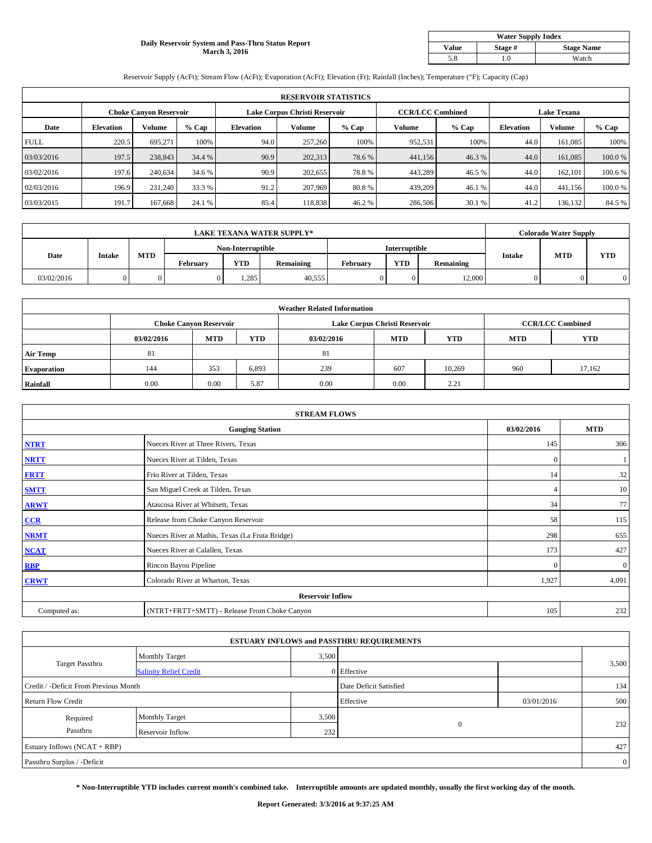# **Daily Reservoir System and Pass-Thru Status Report March 3, 2016**

| <b>Water Supply Index</b> |         |                   |  |  |  |  |  |  |
|---------------------------|---------|-------------------|--|--|--|--|--|--|
| Value                     | Stage # | <b>Stage Name</b> |  |  |  |  |  |  |
| 5.8                       | .0      | Watch             |  |  |  |  |  |  |

Reservoir Supply (AcFt); Stream Flow (AcFt); Evaporation (AcFt); Elevation (Ft); Rainfall (Inches); Temperature (°F); Capacity (Cap)

|             | <b>RESERVOIR STATISTICS</b> |                               |         |                               |         |        |                         |         |                    |         |         |  |
|-------------|-----------------------------|-------------------------------|---------|-------------------------------|---------|--------|-------------------------|---------|--------------------|---------|---------|--|
|             |                             | <b>Choke Canyon Reservoir</b> |         | Lake Corpus Christi Reservoir |         |        | <b>CCR/LCC Combined</b> |         | <b>Lake Texana</b> |         |         |  |
| Date        | <b>Elevation</b>            | Volume                        | $%$ Cap | <b>Elevation</b>              | Volume  | % Cap  | Volume                  | $%$ Cap | <b>Elevation</b>   | Volume  | % Cap   |  |
| <b>FULL</b> | 220.5                       | 695.271                       | 100%    | 94.0                          | 257,260 | 100%   | 952,531                 | 100%    | 44.0               | 161,085 | 100%    |  |
| 03/03/2016  | 197.5                       | 238,843                       | 34.4 %  | 90.9                          | 202,313 | 78.6 % | 441,156                 | 46.3%   | 44.0               | 161,085 | 100.0%  |  |
| 03/02/2016  | 197.6                       | 240,634                       | 34.6 %  | 90.9                          | 202,655 | 78.8%  | 443,289                 | 46.5 %  | 44.0               | 162,101 | 100.6 % |  |
| 02/03/2016  | 196.9                       | 231,240                       | 33.3 %  | 91.2                          | 207,969 | 80.8%  | 439,209                 | 46.1 %  | 44.0               | 441,156 | 100.0%  |  |
| 03/03/2015  | 191.7                       | 167.668                       | 24.1 %  | 85.4                          | 118.838 | 46.2 % | 286,506                 | 30.1 %  | 41.2               | 136,132 | 84.5 %  |  |

| <b>LAKE TEXANA WATER SUPPLY*</b> |               |            |                   |            |               |          | <b>Colorado Water Supply</b> |           |               |            |            |
|----------------------------------|---------------|------------|-------------------|------------|---------------|----------|------------------------------|-----------|---------------|------------|------------|
|                                  |               |            | Non-Interruptible |            | Interruptible |          |                              |           |               |            |            |
| Date                             | <b>Intake</b> | <b>MTD</b> | <b>February</b>   | <b>YTD</b> | Remaining     | February | <b>YTD</b>                   | Remaining | <b>Intake</b> | <b>MTD</b> | <b>YTD</b> |
| 03/02/2016                       |               |            |                   | .285       | 40.555        |          |                              | 12.000    |               |            |            |

|                    |            |                               |            | <b>Weather Related Information</b> |                               |                         |            |            |
|--------------------|------------|-------------------------------|------------|------------------------------------|-------------------------------|-------------------------|------------|------------|
|                    |            | <b>Choke Canyon Reservoir</b> |            |                                    | Lake Corpus Christi Reservoir | <b>CCR/LCC Combined</b> |            |            |
|                    | 03/02/2016 | <b>MTD</b>                    | <b>YTD</b> | 03/02/2016                         | <b>MTD</b>                    | <b>YTD</b>              | <b>MTD</b> | <b>YTD</b> |
| <b>Air Temp</b>    | 81         |                               |            | 81                                 |                               |                         |            |            |
| <b>Evaporation</b> | 144        | 353                           | 6,893      | 239                                | 607                           | 10,269                  | 960        | 17,162     |
| Rainfall           | 0.00       | 0.00                          | 5.87       | 0.00                               | 0.00                          | 2.21                    |            |            |

| <b>STREAM FLOWS</b> |                                                 |              |              |  |  |  |  |  |  |
|---------------------|-------------------------------------------------|--------------|--------------|--|--|--|--|--|--|
|                     | <b>Gauging Station</b>                          | 03/02/2016   | <b>MTD</b>   |  |  |  |  |  |  |
| <b>NTRT</b>         | Nueces River at Three Rivers, Texas             | 145          | 306          |  |  |  |  |  |  |
| <b>NRTT</b>         | Nueces River at Tilden, Texas                   | $\mathbf{0}$ |              |  |  |  |  |  |  |
| <b>FRTT</b>         | Frio River at Tilden, Texas                     | 14           | 32           |  |  |  |  |  |  |
| <b>SMTT</b>         | San Miguel Creek at Tilden, Texas               | 4            | 10           |  |  |  |  |  |  |
| <b>ARWT</b>         | Atascosa River at Whitsett, Texas               | 34           | 77           |  |  |  |  |  |  |
| CCR                 | Release from Choke Canyon Reservoir             | 58           | 115          |  |  |  |  |  |  |
| <b>NRMT</b>         | Nueces River at Mathis, Texas (La Fruta Bridge) | 298          | 655          |  |  |  |  |  |  |
| <b>NCAT</b>         | Nueces River at Calallen, Texas                 | 173          | 427          |  |  |  |  |  |  |
| <b>RBP</b>          | Rincon Bayou Pipeline                           | $\Omega$     | $\mathbf{0}$ |  |  |  |  |  |  |
| <b>CRWT</b>         | Colorado River at Wharton, Texas                | 1,927        | 4,091        |  |  |  |  |  |  |
|                     | <b>Reservoir Inflow</b>                         |              |              |  |  |  |  |  |  |
| Computed as:        | (NTRT+FRTT+SMTT) - Release From Choke Canyon    | 105          | 232          |  |  |  |  |  |  |

| <b>ESTUARY INFLOWS and PASSTHRU REQUIREMENTS</b> |                               |                        |             |     |                |  |  |  |  |  |
|--------------------------------------------------|-------------------------------|------------------------|-------------|-----|----------------|--|--|--|--|--|
|                                                  | <b>Monthly Target</b>         | 3,500                  |             |     |                |  |  |  |  |  |
| <b>Target Passthru</b>                           | <b>Salinity Relief Credit</b> |                        | 0 Effective |     | 3,500          |  |  |  |  |  |
| Credit / -Deficit From Previous Month            |                               | Date Deficit Satisfied |             | 134 |                |  |  |  |  |  |
| <b>Return Flow Credit</b>                        |                               | Effective              | 03/01/2016  | 500 |                |  |  |  |  |  |
| Required                                         | <b>Monthly Target</b>         | 3,500                  |             |     |                |  |  |  |  |  |
| Passthru                                         | Reservoir Inflow              | $\mathbf{0}$<br>2321   |             |     | 232            |  |  |  |  |  |
| Estuary Inflows (NCAT + RBP)                     |                               |                        |             |     |                |  |  |  |  |  |
| Passthru Surplus / -Deficit                      |                               |                        |             |     | $\overline{0}$ |  |  |  |  |  |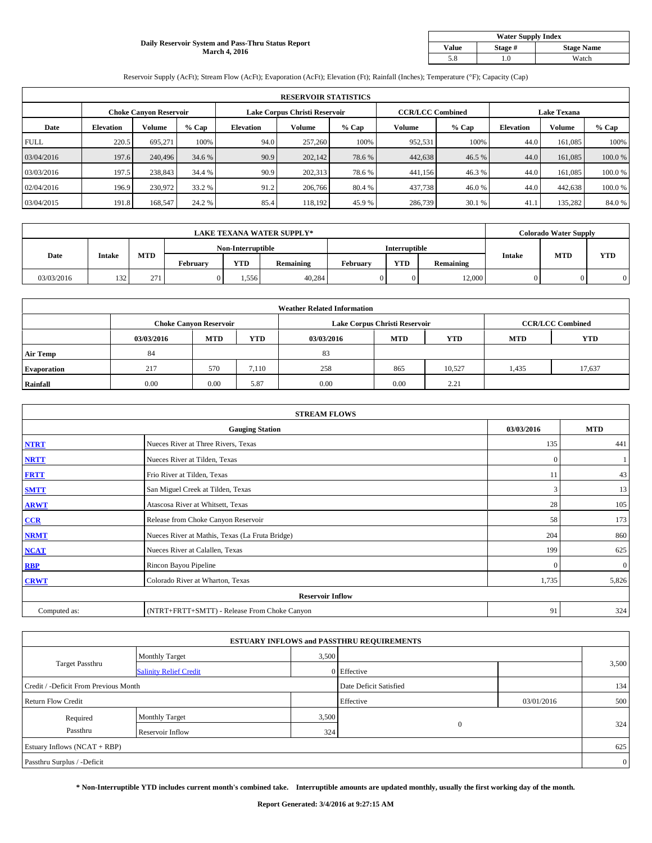### **Daily Reservoir System and Pass-Thru Status Report March 4, 2016**

| <b>Water Supply Index</b> |         |                   |  |  |  |  |  |  |
|---------------------------|---------|-------------------|--|--|--|--|--|--|
| Value                     | Stage # | <b>Stage Name</b> |  |  |  |  |  |  |
| 5.8                       | .0      | Watch             |  |  |  |  |  |  |

Reservoir Supply (AcFt); Stream Flow (AcFt); Evaporation (AcFt); Elevation (Ft); Rainfall (Inches); Temperature (°F); Capacity (Cap)

|             | <b>RESERVOIR STATISTICS</b> |                               |         |                               |         |         |                         |         |                    |               |        |  |
|-------------|-----------------------------|-------------------------------|---------|-------------------------------|---------|---------|-------------------------|---------|--------------------|---------------|--------|--|
|             |                             | <b>Choke Canyon Reservoir</b> |         | Lake Corpus Christi Reservoir |         |         | <b>CCR/LCC Combined</b> |         | <b>Lake Texana</b> |               |        |  |
| Date        | <b>Elevation</b>            | Volume                        | $%$ Cap | <b>Elevation</b>              | Volume  | $%$ Cap | Volume                  | $%$ Cap | <b>Elevation</b>   | <b>Volume</b> | % Cap  |  |
| <b>FULL</b> | 220.5                       | 695.271                       | 100%    | 94.0                          | 257,260 | 100%    | 952,531                 | 100%    | 44.0               | 161,085       | 100%   |  |
| 03/04/2016  | 197.6                       | 240,496                       | 34.6 %  | 90.9                          | 202,142 | 78.6 %  | 442,638                 | 46.5 %  | 44.0               | 161,085       | 100.0% |  |
| 03/03/2016  | 197.5                       | 238,843                       | 34.4 %  | 90.9                          | 202,313 | 78.6%   | 441,156                 | 46.3 %  | 44.0               | 161,085       | 100.0% |  |
| 02/04/2016  | 196.9                       | 230,972                       | 33.2 %  | 91.2                          | 206,766 | 80.4 %  | 437,738                 | 46.0%   | 44.0               | 442,638       | 100.0% |  |
| 03/04/2015  | 191.8                       | 168,547                       | 24.2 %  | 85.4                          | 118.192 | 45.9%   | 286,739                 | 30.1 %  | 41.1               | 135,282       | 84.0%  |  |

| <b>LAKE TEXANA WATER SUPPLY*</b> |               |            |                   |            |           |               | <b>Colorado Water Supply</b> |           |               |            |            |
|----------------------------------|---------------|------------|-------------------|------------|-----------|---------------|------------------------------|-----------|---------------|------------|------------|
|                                  |               |            | Non-Interruptible |            |           | Interruptible |                              |           |               |            |            |
| Date                             | <b>Intake</b> | <b>MTD</b> | <b>February</b>   | <b>YTD</b> | Remaining | February      | <b>YTD</b>                   | Remaining | <b>Intake</b> | <b>MTD</b> | <b>YTD</b> |
| 03/03/2016                       | 132           | 271        |                   | . . 556    | 40.284    |               |                              | 12.000    |               |            |            |

|                    |            |                               |            | <b>Weather Related Information</b> |                               |                         |            |            |
|--------------------|------------|-------------------------------|------------|------------------------------------|-------------------------------|-------------------------|------------|------------|
|                    |            | <b>Choke Canyon Reservoir</b> |            |                                    | Lake Corpus Christi Reservoir | <b>CCR/LCC Combined</b> |            |            |
|                    | 03/03/2016 | <b>MTD</b>                    | <b>YTD</b> | 03/03/2016                         | <b>MTD</b>                    | <b>YTD</b>              | <b>MTD</b> | <b>YTD</b> |
| <b>Air Temp</b>    | 84         |                               |            | 83                                 |                               |                         |            |            |
| <b>Evaporation</b> | 217        | 570                           | 7.110      | 258                                | 865                           | 10,527                  | 1,435      | 17,637     |
| Rainfall           | 0.00       | 0.00                          | 5.87       | 0.00                               | 0.00                          | 2.21                    |            |            |

| <b>STREAM FLOWS</b> |                                                 |          |                  |  |  |  |  |  |  |
|---------------------|-------------------------------------------------|----------|------------------|--|--|--|--|--|--|
|                     | <b>Gauging Station</b>                          |          |                  |  |  |  |  |  |  |
| <b>NTRT</b>         | Nueces River at Three Rivers, Texas             | 135      | 441              |  |  |  |  |  |  |
| <b>NRTT</b>         | Nueces River at Tilden, Texas                   | $\Omega$ |                  |  |  |  |  |  |  |
| <b>FRTT</b>         | Frio River at Tilden, Texas                     | 11       | 43               |  |  |  |  |  |  |
| <b>SMTT</b>         | San Miguel Creek at Tilden, Texas               | 3        | 13               |  |  |  |  |  |  |
| <b>ARWT</b>         | Atascosa River at Whitsett, Texas               | 28       | 105              |  |  |  |  |  |  |
| CCR                 | Release from Choke Canyon Reservoir             | 58       | 173              |  |  |  |  |  |  |
| <b>NRMT</b>         | Nueces River at Mathis, Texas (La Fruta Bridge) | 204      | 860              |  |  |  |  |  |  |
| <b>NCAT</b>         | Nueces River at Calallen, Texas                 | 199      | 625              |  |  |  |  |  |  |
| <b>RBP</b>          | Rincon Bayou Pipeline                           | $\Omega$ | $\boldsymbol{0}$ |  |  |  |  |  |  |
| <b>CRWT</b>         | Colorado River at Wharton, Texas                | 1,735    | 5,826            |  |  |  |  |  |  |
|                     | <b>Reservoir Inflow</b>                         |          |                  |  |  |  |  |  |  |
| Computed as:        | (NTRT+FRTT+SMTT) - Release From Choke Canyon    | 91       | 324              |  |  |  |  |  |  |

| <b>ESTUARY INFLOWS and PASSTHRU REQUIREMENTS</b> |                               |                        |              |            |                |  |  |  |  |  |
|--------------------------------------------------|-------------------------------|------------------------|--------------|------------|----------------|--|--|--|--|--|
|                                                  | <b>Monthly Target</b>         |                        | 3,500        |            |                |  |  |  |  |  |
| <b>Target Passthru</b>                           | <b>Salinity Relief Credit</b> |                        | 0 Effective  |            | 3,500          |  |  |  |  |  |
| Credit / -Deficit From Previous Month            |                               | Date Deficit Satisfied |              | 134        |                |  |  |  |  |  |
| <b>Return Flow Credit</b>                        |                               |                        | Effective    | 03/01/2016 | 500            |  |  |  |  |  |
| Required                                         | <b>Monthly Target</b>         | 3,500                  |              |            |                |  |  |  |  |  |
| Passthru                                         | Reservoir Inflow              | 324                    | $\mathbf{0}$ |            | 324            |  |  |  |  |  |
| Estuary Inflows (NCAT + RBP)                     |                               |                        |              |            | 625            |  |  |  |  |  |
| Passthru Surplus / -Deficit                      |                               |                        |              |            | $\overline{0}$ |  |  |  |  |  |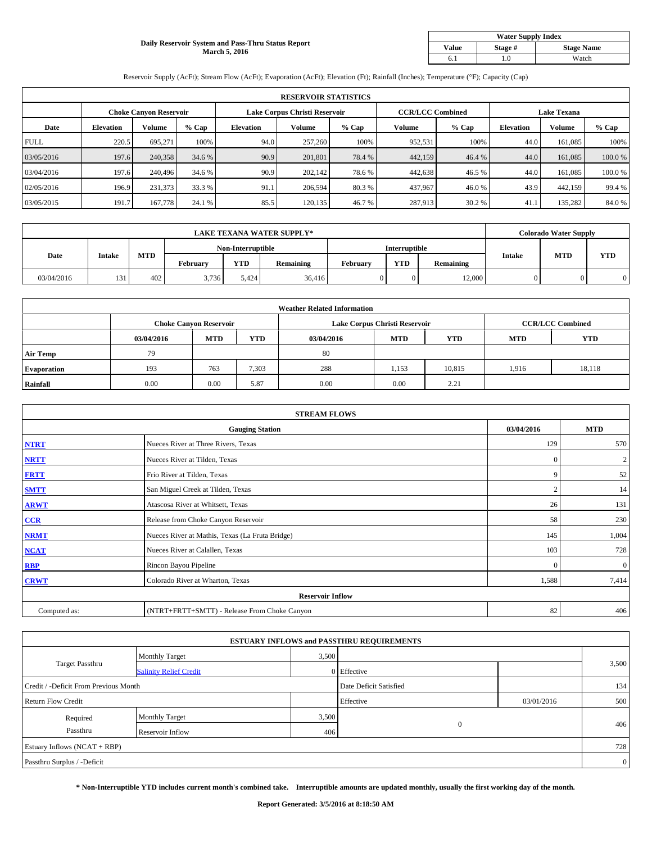# **Daily Reservoir System and Pass-Thru Status Report March 5, 2016**

| <b>Water Supply Index</b> |         |                   |  |  |  |  |  |  |
|---------------------------|---------|-------------------|--|--|--|--|--|--|
| <b>Value</b>              | Stage # | <b>Stage Name</b> |  |  |  |  |  |  |
|                           | .0      | Watch             |  |  |  |  |  |  |

Reservoir Supply (AcFt); Stream Flow (AcFt); Evaporation (AcFt); Elevation (Ft); Rainfall (Inches); Temperature (°F); Capacity (Cap)

|             | <b>RESERVOIR STATISTICS</b> |                               |         |                               |         |         |                         |         |                    |               |        |  |
|-------------|-----------------------------|-------------------------------|---------|-------------------------------|---------|---------|-------------------------|---------|--------------------|---------------|--------|--|
|             |                             | <b>Choke Canyon Reservoir</b> |         | Lake Corpus Christi Reservoir |         |         | <b>CCR/LCC Combined</b> |         | <b>Lake Texana</b> |               |        |  |
| Date        | <b>Elevation</b>            | Volume                        | $%$ Cap | <b>Elevation</b>              | Volume  | $%$ Cap | Volume                  | $%$ Cap | <b>Elevation</b>   | <b>Volume</b> | % Cap  |  |
| <b>FULL</b> | 220.5                       | 695.271                       | 100%    | 94.0                          | 257,260 | 100%    | 952,531                 | 100%    | 44.0               | 161,085       | 100%   |  |
| 03/05/2016  | 197.6                       | 240,358                       | 34.6 %  | 90.9                          | 201,801 | 78.4 %  | 442,159                 | 46.4 %  | 44.0               | 161,085       | 100.0% |  |
| 03/04/2016  | 197.6                       | 240,496                       | 34.6 %  | 90.9                          | 202,142 | 78.6%   | 442,638                 | 46.5 %  | 44.0               | 161,085       | 100.0% |  |
| 02/05/2016  | 196.9                       | 231.373                       | 33.3 %  | 91.1                          | 206,594 | 80.3 %  | 437,967                 | 46.0%   | 43.9               | 442,159       | 99.4 % |  |
| 03/05/2015  | 191.7                       | 167,778                       | 24.1 %  | 85.5                          | 120,135 | 46.7%   | 287,913                 | 30.2 %  | 41.1               | 135,282       | 84.0%  |  |

| <b>LAKE TEXANA WATER SUPPLY*</b> |               |            |                   |            |           |          |               | <b>Colorado Water Supply</b> |               |            |            |
|----------------------------------|---------------|------------|-------------------|------------|-----------|----------|---------------|------------------------------|---------------|------------|------------|
|                                  |               |            | Non-Interruptible |            |           |          | Interruptible |                              |               |            |            |
| Date                             | <b>Intake</b> | <b>MTD</b> | <b>February</b>   | <b>YTD</b> | Remaining | February | <b>YTD</b>    | Remaining                    | <b>Intake</b> | <b>MTD</b> | <b>YTD</b> |
| 03/04/2016                       | 131           | 402        | 3.736             | 5.424      | 36,416    |          |               | 12.000                       |               |            |            |

|                    |            |                               |            | <b>Weather Related Information</b> |                               |                         |            |            |
|--------------------|------------|-------------------------------|------------|------------------------------------|-------------------------------|-------------------------|------------|------------|
|                    |            | <b>Choke Canyon Reservoir</b> |            |                                    | Lake Corpus Christi Reservoir | <b>CCR/LCC Combined</b> |            |            |
|                    | 03/04/2016 | <b>MTD</b>                    | <b>YTD</b> | 03/04/2016                         | <b>MTD</b>                    | <b>YTD</b>              | <b>MTD</b> | <b>YTD</b> |
| <b>Air Temp</b>    | 79         |                               |            | 80                                 |                               |                         |            |            |
| <b>Evaporation</b> | 193        | 763                           | 7,303      | 288                                | 1,153                         | 10,815                  | 1,916      | 18,118     |
| Rainfall           | 0.00       | 0.00                          | 5.87       | 0.00                               | 0.00                          | 2.21                    |            |            |

| <b>STREAM FLOWS</b> |                                                 |                |              |  |  |  |  |  |  |
|---------------------|-------------------------------------------------|----------------|--------------|--|--|--|--|--|--|
|                     | <b>Gauging Station</b>                          | 03/04/2016     | <b>MTD</b>   |  |  |  |  |  |  |
| <b>NTRT</b>         | Nueces River at Three Rivers, Texas             | 129            | 570          |  |  |  |  |  |  |
| <b>NRTT</b>         | Nueces River at Tilden, Texas                   | $\mathbf{0}$   | 2            |  |  |  |  |  |  |
| <b>FRTT</b>         | Frio River at Tilden, Texas                     | 9              | 52           |  |  |  |  |  |  |
| <b>SMTT</b>         | San Miguel Creek at Tilden, Texas               | $\overline{2}$ | 14           |  |  |  |  |  |  |
| <b>ARWT</b>         | Atascosa River at Whitsett, Texas               | 26             | 131          |  |  |  |  |  |  |
| CCR                 | Release from Choke Canyon Reservoir             | 58             | 230          |  |  |  |  |  |  |
| <b>NRMT</b>         | Nueces River at Mathis, Texas (La Fruta Bridge) | 145            | 1,004        |  |  |  |  |  |  |
| <b>NCAT</b>         | Nueces River at Calallen, Texas                 | 103            | 728          |  |  |  |  |  |  |
| <b>RBP</b>          | Rincon Bayou Pipeline                           | $\mathbf{0}$   | $\mathbf{0}$ |  |  |  |  |  |  |
| <b>CRWT</b>         | Colorado River at Wharton, Texas                | 1,588          | 7,414        |  |  |  |  |  |  |
|                     | <b>Reservoir Inflow</b>                         |                |              |  |  |  |  |  |  |
| Computed as:        | (NTRT+FRTT+SMTT) - Release From Choke Canyon    | 82             | 406          |  |  |  |  |  |  |

|                                       |                               |                        | <b>ESTUARY INFLOWS and PASSTHRU REQUIREMENTS</b> |            |                |
|---------------------------------------|-------------------------------|------------------------|--------------------------------------------------|------------|----------------|
|                                       | <b>Monthly Target</b>         | 3,500                  |                                                  |            |                |
| <b>Target Passthru</b>                | <b>Salinity Relief Credit</b> |                        | 0 Effective                                      |            | 3,500          |
| Credit / -Deficit From Previous Month |                               | Date Deficit Satisfied |                                                  | 134        |                |
| <b>Return Flow Credit</b>             |                               |                        | Effective                                        | 03/01/2016 | 500            |
| Required                              | Monthly Target                | 3,500                  |                                                  |            |                |
| Passthru                              | Reservoir Inflow              | 406                    | $\mathbf{0}$                                     |            | 406            |
| Estuary Inflows (NCAT + RBP)          |                               |                        |                                                  |            | 728            |
| Passthru Surplus / -Deficit           |                               |                        |                                                  |            | $\overline{0}$ |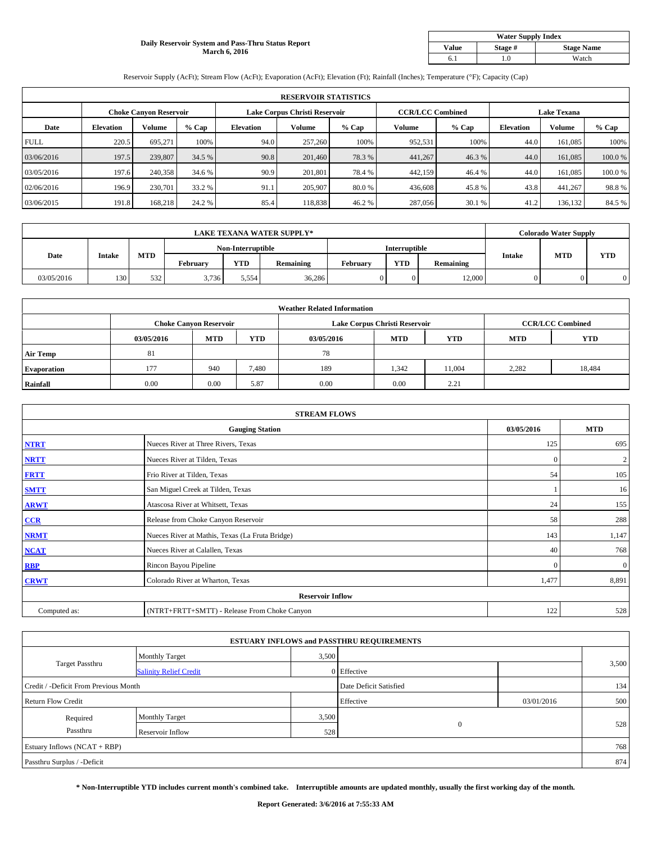# **Daily Reservoir System and Pass-Thru Status Report March 6, 2016**

| <b>Water Supply Index</b> |         |                   |  |  |  |  |  |  |
|---------------------------|---------|-------------------|--|--|--|--|--|--|
| <b>Value</b>              | Stage # | <b>Stage Name</b> |  |  |  |  |  |  |
|                           | .0      | Watch             |  |  |  |  |  |  |

Reservoir Supply (AcFt); Stream Flow (AcFt); Evaporation (AcFt); Elevation (Ft); Rainfall (Inches); Temperature (°F); Capacity (Cap)

|             | <b>RESERVOIR STATISTICS</b> |                        |         |                  |                               |         |                         |         |                    |               |        |  |
|-------------|-----------------------------|------------------------|---------|------------------|-------------------------------|---------|-------------------------|---------|--------------------|---------------|--------|--|
|             |                             | Choke Canvon Reservoir |         |                  | Lake Corpus Christi Reservoir |         | <b>CCR/LCC Combined</b> |         | <b>Lake Texana</b> |               |        |  |
| Date        | <b>Elevation</b>            | Volume                 | $%$ Cap | <b>Elevation</b> | <b>Volume</b>                 | $%$ Cap | Volume                  | $%$ Cap | <b>Elevation</b>   | <b>Volume</b> | % Cap  |  |
| <b>FULL</b> | 220.5                       | 695.271                | 100%    | 94.0             | 257,260                       | 100%    | 952,531                 | 100%    | 44.0               | 161.085       | 100%   |  |
| 03/06/2016  | 197.5                       | 239,807                | 34.5 %  | 90.8             | 201,460                       | 78.3%   | 441,267                 | 46.3%   | 44.0               | 161,085       | 100.0% |  |
| 03/05/2016  | 197.6                       | 240,358                | 34.6 %  | 90.9             | 201.801                       | 78.4%   | 442,159                 | 46.4 %  | 44.0               | 161.085       | 100.0% |  |
| 02/06/2016  | 196.9                       | 230,701                | 33.2 %  | 91.1             | 205,907                       | 80.0%   | 436,608                 | 45.8%   | 43.8               | 441.267       | 98.8%  |  |
| 03/06/2015  | 191.8                       | 168,218                | 24.2 %  | 85.4             | 118,838                       | 46.2%   | 287,056                 | 30.1 %  | 41.2               | 136,132       | 84.5 % |  |

| <b>LAKE TEXANA WATER SUPPLY*</b> |               |                   |          |            |               |          |            | <b>Colorado Water Supply</b> |        |            |            |
|----------------------------------|---------------|-------------------|----------|------------|---------------|----------|------------|------------------------------|--------|------------|------------|
|                                  |               | Non-Interruptible |          |            | Interruptible |          |            |                              |        |            |            |
| Date                             | <b>Intake</b> | <b>MTD</b>        | February | <b>YTD</b> | Remaining     | February | <b>YTD</b> | Remaining                    | Intake | <b>MTD</b> | <b>YTD</b> |
| 03/05/2016                       | 130           | 532               | 3.736    | 5.554      | 36,286        |          |            | 12,000                       |        |            |            |

|                    |            |                               |            | <b>Weather Related Information</b> |                               |                         |            |            |
|--------------------|------------|-------------------------------|------------|------------------------------------|-------------------------------|-------------------------|------------|------------|
|                    |            | <b>Choke Canyon Reservoir</b> |            |                                    | Lake Corpus Christi Reservoir | <b>CCR/LCC Combined</b> |            |            |
|                    | 03/05/2016 | <b>MTD</b>                    | <b>YTD</b> | 03/05/2016                         | <b>MTD</b>                    | <b>YTD</b>              | <b>MTD</b> | <b>YTD</b> |
| <b>Air Temp</b>    | 81         |                               |            | 78                                 |                               |                         |            |            |
| <b>Evaporation</b> | 177        | 940                           | 7,480      | 189                                | 1,342                         | 11,004                  | 2,282      | 18,484     |
| Rainfall           | 0.00       | 0.00                          | 5.87       | 0.00                               | 0.00                          | 2.21                    |            |            |

| <b>STREAM FLOWS</b> |                                                 |              |              |  |  |  |  |  |  |
|---------------------|-------------------------------------------------|--------------|--------------|--|--|--|--|--|--|
|                     | <b>Gauging Station</b>                          | 03/05/2016   | <b>MTD</b>   |  |  |  |  |  |  |
| <b>NTRT</b>         | Nueces River at Three Rivers, Texas             | 125          | 695          |  |  |  |  |  |  |
| <b>NRTT</b>         | Nueces River at Tilden, Texas                   | $\mathbf{0}$ | 2            |  |  |  |  |  |  |
| <b>FRTT</b>         | Frio River at Tilden, Texas                     | 54           | 105          |  |  |  |  |  |  |
| <b>SMTT</b>         | San Miguel Creek at Tilden, Texas               |              | 16           |  |  |  |  |  |  |
| <b>ARWT</b>         | Atascosa River at Whitsett, Texas               | 24           | 155          |  |  |  |  |  |  |
| CCR                 | Release from Choke Canyon Reservoir             | 58           | 288          |  |  |  |  |  |  |
| <b>NRMT</b>         | Nueces River at Mathis, Texas (La Fruta Bridge) | 143          | 1,147        |  |  |  |  |  |  |
| <b>NCAT</b>         | Nueces River at Calallen, Texas                 | 40           | 768          |  |  |  |  |  |  |
| <b>RBP</b>          | Rincon Bayou Pipeline                           | $\mathbf{0}$ | $\mathbf{0}$ |  |  |  |  |  |  |
| <b>CRWT</b>         | Colorado River at Wharton, Texas                | 1,477        | 8,891        |  |  |  |  |  |  |
|                     | <b>Reservoir Inflow</b>                         |              |              |  |  |  |  |  |  |
| Computed as:        | (NTRT+FRTT+SMTT) - Release From Choke Canyon    | 122          | 528          |  |  |  |  |  |  |

| <b>ESTUARY INFLOWS and PASSTHRU REQUIREMENTS</b> |                               |                        |              |            |       |  |  |  |  |  |
|--------------------------------------------------|-------------------------------|------------------------|--------------|------------|-------|--|--|--|--|--|
|                                                  | <b>Monthly Target</b>         | 3,500                  |              |            |       |  |  |  |  |  |
| <b>Target Passthru</b>                           | <b>Salinity Relief Credit</b> |                        | 0 Effective  |            | 3,500 |  |  |  |  |  |
| Credit / -Deficit From Previous Month            |                               | Date Deficit Satisfied |              | 134        |       |  |  |  |  |  |
| <b>Return Flow Credit</b>                        |                               |                        | Effective    | 03/01/2016 | 500   |  |  |  |  |  |
| Required                                         | <b>Monthly Target</b>         | 3,500                  |              |            |       |  |  |  |  |  |
| Passthru                                         | Reservoir Inflow              | 528                    | $\mathbf{0}$ |            | 528   |  |  |  |  |  |
| Estuary Inflows (NCAT + RBP)                     |                               |                        |              |            | 768   |  |  |  |  |  |
| Passthru Surplus / -Deficit                      |                               |                        |              |            | 874   |  |  |  |  |  |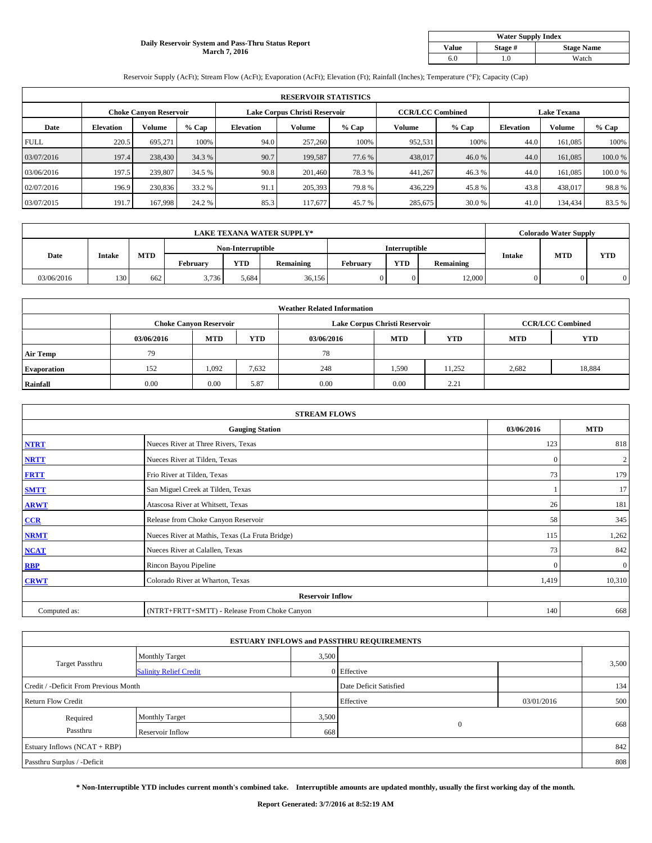### **Daily Reservoir System and Pass-Thru Status Report March 7, 2016**

| <b>Water Supply Index</b> |         |                   |  |  |  |  |  |  |
|---------------------------|---------|-------------------|--|--|--|--|--|--|
| <b>Value</b>              | Stage # | <b>Stage Name</b> |  |  |  |  |  |  |
| 6.0                       | .0      | Watch             |  |  |  |  |  |  |

Reservoir Supply (AcFt); Stream Flow (AcFt); Evaporation (AcFt); Elevation (Ft); Rainfall (Inches); Temperature (°F); Capacity (Cap)

|             | <b>RESERVOIR STATISTICS</b> |                               |         |                               |         |         |                         |         |                    |               |        |  |
|-------------|-----------------------------|-------------------------------|---------|-------------------------------|---------|---------|-------------------------|---------|--------------------|---------------|--------|--|
|             |                             | <b>Choke Canyon Reservoir</b> |         | Lake Corpus Christi Reservoir |         |         | <b>CCR/LCC Combined</b> |         | <b>Lake Texana</b> |               |        |  |
| Date        | <b>Elevation</b>            | Volume                        | $%$ Cap | <b>Elevation</b>              | Volume  | $%$ Cap | Volume                  | $%$ Cap | <b>Elevation</b>   | <b>Volume</b> | % Cap  |  |
| <b>FULL</b> | 220.5                       | 695.271                       | 100%    | 94.0                          | 257,260 | 100%    | 952,531                 | 100%    | 44.0               | 161,085       | 100%   |  |
| 03/07/2016  | 197.4                       | 238,430                       | 34.3 %  | 90.7                          | 199.587 | 77.6 %  | 438,017                 | 46.0%   | 44.0               | 161,085       | 100.0% |  |
| 03/06/2016  | 197.5                       | 239,807                       | 34.5 %  | 90.8                          | 201,460 | 78.3 %  | 441,267                 | 46.3 %  | 44.0               | 161,085       | 100.0% |  |
| 02/07/2016  | 196.9                       | 230,836                       | 33.2 %  | 91.1                          | 205,393 | 79.8%   | 436,229                 | 45.8%   | 43.8               | 438,017       | 98.8%  |  |
| 03/07/2015  | 191.7                       | 167,998                       | 24.2 %  | 85.3                          | 117,677 | 45.7 %  | 285,675                 | 30.0%   | 41.0               | 134,434       | 83.5%  |  |

| <b>LAKE TEXANA WATER SUPPLY*</b> |               |            |                   |            |           |                 | <b>Colorado Water Supply</b> |           |               |            |            |
|----------------------------------|---------------|------------|-------------------|------------|-----------|-----------------|------------------------------|-----------|---------------|------------|------------|
|                                  |               |            | Non-Interruptible |            |           | Interruptible   |                              |           |               |            |            |
| Date                             | <b>Intake</b> | <b>MTD</b> | <b>February</b>   | <b>YTD</b> | Remaining | <b>February</b> | <b>YTD</b>                   | Remaining | <b>Intake</b> | <b>MTD</b> | <b>YTD</b> |
| 03/06/2016                       | 130           | 662        | 3.736             | 5.684      | 36,156    |                 |                              | 12.000    |               |            |            |

|                    |            |                               |            | <b>Weather Related Information</b> |                               |                         |            |            |
|--------------------|------------|-------------------------------|------------|------------------------------------|-------------------------------|-------------------------|------------|------------|
|                    |            | <b>Choke Canvon Reservoir</b> |            |                                    | Lake Corpus Christi Reservoir | <b>CCR/LCC Combined</b> |            |            |
|                    | 03/06/2016 | MTD                           | <b>YTD</b> | 03/06/2016                         | <b>MTD</b>                    | <b>YTD</b>              | <b>MTD</b> | <b>YTD</b> |
| <b>Air Temp</b>    | 79         |                               |            | 78                                 |                               |                         |            |            |
| <b>Evaporation</b> | 152        | 1,092                         | 7,632      | 248                                | 1,590                         | 11,252                  | 2,682      | 18,884     |
| Rainfall           | 0.00       | 0.00                          | 5.87       | 0.00                               | 0.00                          | 2.21                    |            |            |

|              | <b>STREAM FLOWS</b>                             |              |                |  |  |  |  |  |  |  |  |
|--------------|-------------------------------------------------|--------------|----------------|--|--|--|--|--|--|--|--|
|              | <b>Gauging Station</b>                          | 03/06/2016   | <b>MTD</b>     |  |  |  |  |  |  |  |  |
| <b>NTRT</b>  | Nueces River at Three Rivers, Texas             | 123          | 818            |  |  |  |  |  |  |  |  |
| <b>NRTT</b>  | Nueces River at Tilden, Texas                   | $\mathbf{0}$ | $\overline{c}$ |  |  |  |  |  |  |  |  |
| <b>FRTT</b>  | Frio River at Tilden, Texas                     | 73           | 179            |  |  |  |  |  |  |  |  |
| <b>SMTT</b>  | San Miguel Creek at Tilden, Texas               |              | 17             |  |  |  |  |  |  |  |  |
| <b>ARWT</b>  | Atascosa River at Whitsett, Texas               | 26           | 181            |  |  |  |  |  |  |  |  |
| CCR          | Release from Choke Canyon Reservoir             | 58           | 345            |  |  |  |  |  |  |  |  |
| <b>NRMT</b>  | Nueces River at Mathis, Texas (La Fruta Bridge) | 115          | 1,262          |  |  |  |  |  |  |  |  |
| <b>NCAT</b>  | Nueces River at Calallen, Texas                 | 73           | 842            |  |  |  |  |  |  |  |  |
| <b>RBP</b>   | Rincon Bayou Pipeline                           | $\Omega$     | $\mathbf{0}$   |  |  |  |  |  |  |  |  |
| <b>CRWT</b>  | Colorado River at Wharton, Texas                | 1,419        | 10,310         |  |  |  |  |  |  |  |  |
|              | <b>Reservoir Inflow</b>                         |              |                |  |  |  |  |  |  |  |  |
| Computed as: | (NTRT+FRTT+SMTT) - Release From Choke Canyon    | 140          | 668            |  |  |  |  |  |  |  |  |

|                                       |                               |                        | <b>ESTUARY INFLOWS and PASSTHRU REQUIREMENTS</b> |            |       |  |
|---------------------------------------|-------------------------------|------------------------|--------------------------------------------------|------------|-------|--|
|                                       | <b>Monthly Target</b>         |                        | 3,500                                            |            |       |  |
| Target Passthru                       | <b>Salinity Relief Credit</b> |                        | 0 Effective                                      |            | 3,500 |  |
| Credit / -Deficit From Previous Month |                               | Date Deficit Satisfied |                                                  | 134        |       |  |
| <b>Return Flow Credit</b>             |                               |                        | Effective                                        | 03/01/2016 | 500   |  |
| Required                              | Monthly Target                | 3,500                  |                                                  |            |       |  |
| Passthru                              | Reservoir Inflow              | 668                    | $\mathbf{0}$                                     |            | 668   |  |
| Estuary Inflows (NCAT + RBP)          |                               |                        |                                                  |            | 842   |  |
| Passthru Surplus / -Deficit           |                               |                        |                                                  |            | 808   |  |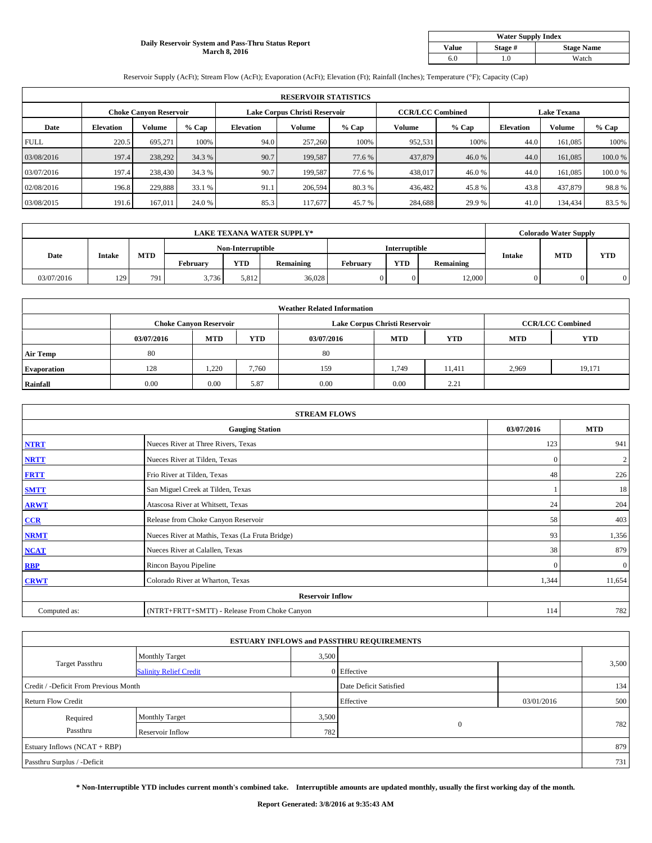### **Daily Reservoir System and Pass-Thru Status Report March 8, 2016**

| <b>Water Supply Index</b> |         |                   |  |  |  |  |  |  |
|---------------------------|---------|-------------------|--|--|--|--|--|--|
| <b>Value</b>              | Stage # | <b>Stage Name</b> |  |  |  |  |  |  |
| 6.0                       | .0      | Watch             |  |  |  |  |  |  |

Reservoir Supply (AcFt); Stream Flow (AcFt); Evaporation (AcFt); Elevation (Ft); Rainfall (Inches); Temperature (°F); Capacity (Cap)

|             | <b>RESERVOIR STATISTICS</b> |                               |         |                               |         |         |                         |         |                    |               |        |  |
|-------------|-----------------------------|-------------------------------|---------|-------------------------------|---------|---------|-------------------------|---------|--------------------|---------------|--------|--|
|             |                             | <b>Choke Canyon Reservoir</b> |         | Lake Corpus Christi Reservoir |         |         | <b>CCR/LCC Combined</b> |         | <b>Lake Texana</b> |               |        |  |
| Date        | <b>Elevation</b>            | Volume                        | $%$ Cap | <b>Elevation</b>              | Volume  | $%$ Cap | Volume                  | $%$ Cap | <b>Elevation</b>   | <b>Volume</b> | % Cap  |  |
| <b>FULL</b> | 220.5                       | 695.271                       | 100%    | 94.0                          | 257,260 | 100%    | 952,531                 | 100%    | 44.0               | 161,085       | 100%   |  |
| 03/08/2016  | 197.4                       | 238,292                       | 34.3 %  | 90.7                          | 199.587 | 77.6 %  | 437,879                 | 46.0%   | 44.0               | 161,085       | 100.0% |  |
| 03/07/2016  | 197.4                       | 238,430                       | 34.3 %  | 90.7                          | 199.587 | 77.6 %  | 438,017                 | 46.0 %  | 44.0               | 161,085       | 100.0% |  |
| 02/08/2016  | 196.8                       | 229,888                       | 33.1 %  | 91.1                          | 206,594 | 80.3 %  | 436,482                 | 45.8%   | 43.8               | 437,879       | 98.8%  |  |
| 03/08/2015  | 191.6                       | 167,011                       | 24.0 %  | 85.3                          | 117,677 | 45.7 %  | 284,688                 | 29.9 %  | 41.0               | 134,434       | 83.5%  |  |

| <b>LAKE TEXANA WATER SUPPLY*</b> |                   |     |          |               |           |          | <b>Colorado Water Supply</b> |           |               |            |            |
|----------------------------------|-------------------|-----|----------|---------------|-----------|----------|------------------------------|-----------|---------------|------------|------------|
|                                  | Non-Interruptible |     |          | Interruptible |           |          |                              |           |               |            |            |
| Date                             | <b>Intake</b>     | MTD | Februarv | <b>YTD</b>    | Remaining | Februarv | <b>YTD</b>                   | Remaining | <b>Intake</b> | <b>MTD</b> | <b>YTD</b> |
| 03/07/2016                       | 129               | 791 | 3,736    | 5.812         | 36,028    |          |                              | 12,000    |               |            |            |

|                    |            |                               |            | <b>Weather Related Information</b> |                               |                         |            |            |
|--------------------|------------|-------------------------------|------------|------------------------------------|-------------------------------|-------------------------|------------|------------|
|                    |            | <b>Choke Canyon Reservoir</b> |            |                                    | Lake Corpus Christi Reservoir | <b>CCR/LCC Combined</b> |            |            |
|                    | 03/07/2016 | <b>MTD</b>                    | <b>YTD</b> | 03/07/2016                         | <b>MTD</b>                    | <b>YTD</b>              | <b>MTD</b> | <b>YTD</b> |
| <b>Air Temp</b>    | 80         |                               |            | 80                                 |                               |                         |            |            |
| <b>Evaporation</b> | 128        | 1,220                         | 7,760      | 159                                | 1,749                         | 11,411                  | 2,969      | 19,171     |
| Rainfall           | 0.00       | 0.00                          | 5.87       | 0.00                               | 0.00                          | 2.21                    |            |            |

|              | <b>STREAM FLOWS</b>                             |              |              |  |  |  |  |  |  |  |
|--------------|-------------------------------------------------|--------------|--------------|--|--|--|--|--|--|--|
|              | <b>Gauging Station</b>                          | 03/07/2016   | <b>MTD</b>   |  |  |  |  |  |  |  |
| <b>NTRT</b>  | Nueces River at Three Rivers, Texas             | 123          | 941          |  |  |  |  |  |  |  |
| <b>NRTT</b>  | Nueces River at Tilden, Texas                   | $\mathbf{0}$ | 2            |  |  |  |  |  |  |  |
| <b>FRTT</b>  | Frio River at Tilden, Texas                     | 48           | 226          |  |  |  |  |  |  |  |
| <b>SMTT</b>  | San Miguel Creek at Tilden, Texas               |              | 18           |  |  |  |  |  |  |  |
| <b>ARWT</b>  | Atascosa River at Whitsett, Texas               | 24           | 204          |  |  |  |  |  |  |  |
| CCR          | Release from Choke Canyon Reservoir             | 58           | 403          |  |  |  |  |  |  |  |
| <b>NRMT</b>  | Nueces River at Mathis, Texas (La Fruta Bridge) | 93           | 1,356        |  |  |  |  |  |  |  |
| <b>NCAT</b>  | Nueces River at Calallen, Texas                 | 38           | 879          |  |  |  |  |  |  |  |
| <b>RBP</b>   | Rincon Bayou Pipeline                           | $\mathbf{0}$ | $\mathbf{0}$ |  |  |  |  |  |  |  |
| <b>CRWT</b>  | Colorado River at Wharton, Texas                | 1,344        | 11,654       |  |  |  |  |  |  |  |
|              | <b>Reservoir Inflow</b>                         |              |              |  |  |  |  |  |  |  |
| Computed as: | (NTRT+FRTT+SMTT) - Release From Choke Canyon    | 114          | 782          |  |  |  |  |  |  |  |

|                                       |                               |                        | <b>ESTUARY INFLOWS and PASSTHRU REQUIREMENTS</b> |            |       |
|---------------------------------------|-------------------------------|------------------------|--------------------------------------------------|------------|-------|
|                                       | <b>Monthly Target</b>         | 3,500                  |                                                  |            |       |
| <b>Target Passthru</b>                | <b>Salinity Relief Credit</b> |                        | 0 Effective                                      |            | 3,500 |
| Credit / -Deficit From Previous Month |                               | Date Deficit Satisfied |                                                  | 134        |       |
| <b>Return Flow Credit</b>             |                               |                        | Effective                                        | 03/01/2016 | 500   |
| Required                              | <b>Monthly Target</b>         | 3,500                  |                                                  |            |       |
| Passthru                              | Reservoir Inflow              | 782                    | $\mathbf{0}$                                     |            | 782   |
| Estuary Inflows (NCAT + RBP)          |                               |                        |                                                  |            | 879   |
| Passthru Surplus / -Deficit           |                               |                        |                                                  |            | 731   |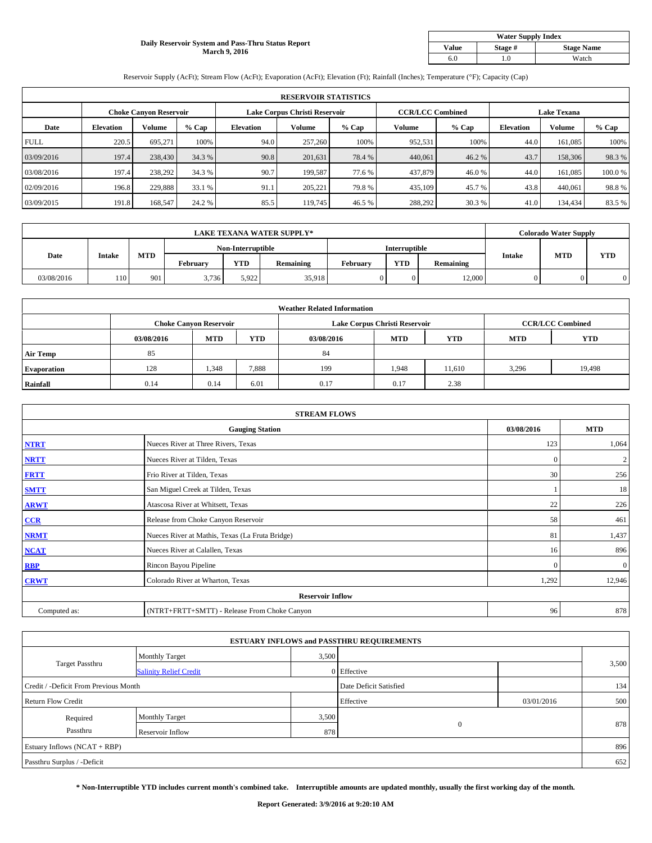### **Daily Reservoir System and Pass-Thru Status Report March 9, 2016**

| <b>Water Supply Index</b> |         |                   |  |  |  |  |  |  |
|---------------------------|---------|-------------------|--|--|--|--|--|--|
| <b>Value</b>              | Stage # | <b>Stage Name</b> |  |  |  |  |  |  |
| 6.0                       | .0      | Watch             |  |  |  |  |  |  |

Reservoir Supply (AcFt); Stream Flow (AcFt); Evaporation (AcFt); Elevation (Ft); Rainfall (Inches); Temperature (°F); Capacity (Cap)

|             | <b>RESERVOIR STATISTICS</b> |                               |         |                               |         |         |                         |         |                    |         |        |  |
|-------------|-----------------------------|-------------------------------|---------|-------------------------------|---------|---------|-------------------------|---------|--------------------|---------|--------|--|
|             |                             | <b>Choke Canyon Reservoir</b> |         | Lake Corpus Christi Reservoir |         |         | <b>CCR/LCC Combined</b> |         | <b>Lake Texana</b> |         |        |  |
| Date        | <b>Elevation</b>            | Volume                        | $%$ Cap | <b>Elevation</b>              | Volume  | $%$ Cap | Volume                  | $%$ Cap | <b>Elevation</b>   | Volume  | % Cap  |  |
| <b>FULL</b> | 220.5                       | 695.271                       | 100%    | 94.0                          | 257,260 | 100%    | 952,531                 | 100%    | 44.0               | 161,085 | 100%   |  |
| 03/09/2016  | 197.4                       | 238,430                       | 34.3 %  | 90.8                          | 201,631 | 78.4%   | 440,061                 | 46.2%   | 43.7               | 158,306 | 98.3%  |  |
| 03/08/2016  | 197.4                       | 238.292                       | 34.3 %  | 90.7                          | 199.587 | 77.6 %  | 437,879                 | 46.0 %  | 44.0               | 161,085 | 100.0% |  |
| 02/09/2016  | 196.8                       | 229.888                       | 33.1 %  | 91.1                          | 205.221 | 79.8%   | 435,109                 | 45.7 %  | 43.8               | 440,061 | 98.8%  |  |
| 03/09/2015  | 191.8                       | 168,547                       | 24.2 %  | 85.5                          | 119,745 | 46.5 %  | 288,292                 | 30.3 %  | 41.0               | 134,434 | 83.5%  |  |

| <b>LAKE TEXANA WATER SUPPLY*</b> |               |            |                 |                   |           |                 | <b>Colorado Water Supply</b> |           |               |            |            |
|----------------------------------|---------------|------------|-----------------|-------------------|-----------|-----------------|------------------------------|-----------|---------------|------------|------------|
|                                  |               |            |                 | Non-Interruptible |           |                 | Interruptible                |           |               |            |            |
| Date                             | <b>Intake</b> | <b>MTD</b> | <b>February</b> | <b>YTD</b>        | Remaining | <b>February</b> | <b>YTD</b>                   | Remaining | <b>Intake</b> | <b>MTD</b> | <b>YTD</b> |
| 03/08/2016                       | 110           | 901        | 3.736           | 5.922             | 35.918    |                 |                              | 12.000    |               |            |            |

|                    |            |                               |            | <b>Weather Related Information</b> |                               |                         |            |            |
|--------------------|------------|-------------------------------|------------|------------------------------------|-------------------------------|-------------------------|------------|------------|
|                    |            | <b>Choke Canyon Reservoir</b> |            |                                    | Lake Corpus Christi Reservoir | <b>CCR/LCC Combined</b> |            |            |
|                    | 03/08/2016 | <b>MTD</b>                    | <b>YTD</b> | 03/08/2016                         | <b>MTD</b>                    | <b>YTD</b>              | <b>MTD</b> | <b>YTD</b> |
| <b>Air Temp</b>    | 85         |                               |            | 84                                 |                               |                         |            |            |
| <b>Evaporation</b> | 128        | 1,348                         | 7,888      | 199                                | 1,948                         | 11,610                  | 3,296      | 19,498     |
| Rainfall           | 0.14       | 0.14                          | 6.01       | 0.17                               | 0.17                          | 2.38                    |            |            |

| <b>STREAM FLOWS</b> |                                                 |              |                |  |  |  |  |  |  |
|---------------------|-------------------------------------------------|--------------|----------------|--|--|--|--|--|--|
|                     | <b>Gauging Station</b>                          | 03/08/2016   | <b>MTD</b>     |  |  |  |  |  |  |
| <b>NTRT</b>         | Nueces River at Three Rivers, Texas             | 123          | 1,064          |  |  |  |  |  |  |
| <b>NRTT</b>         | Nueces River at Tilden, Texas                   | $\mathbf{0}$ | $\overline{c}$ |  |  |  |  |  |  |
| <b>FRTT</b>         | Frio River at Tilden, Texas                     | 30           | 256            |  |  |  |  |  |  |
| <b>SMTT</b>         | San Miguel Creek at Tilden, Texas               |              | 18             |  |  |  |  |  |  |
| <b>ARWT</b>         | Atascosa River at Whitsett, Texas               | 22           | 226            |  |  |  |  |  |  |
| CCR                 | Release from Choke Canyon Reservoir             | 58           | 461            |  |  |  |  |  |  |
| <b>NRMT</b>         | Nueces River at Mathis, Texas (La Fruta Bridge) | 81           | 1,437          |  |  |  |  |  |  |
| <b>NCAT</b>         | Nueces River at Calallen, Texas                 | 16           | 896            |  |  |  |  |  |  |
| <b>RBP</b>          | Rincon Bayou Pipeline                           | $\mathbf{0}$ | $\mathbf{0}$   |  |  |  |  |  |  |
| <b>CRWT</b>         | Colorado River at Wharton, Texas                | 1,292        | 12,946         |  |  |  |  |  |  |
|                     | <b>Reservoir Inflow</b>                         |              |                |  |  |  |  |  |  |
| Computed as:        | (NTRT+FRTT+SMTT) - Release From Choke Canyon    | 96           | 878            |  |  |  |  |  |  |

| <b>ESTUARY INFLOWS and PASSTHRU REQUIREMENTS</b> |                               |       |                        |            |       |  |  |  |  |  |
|--------------------------------------------------|-------------------------------|-------|------------------------|------------|-------|--|--|--|--|--|
|                                                  | <b>Monthly Target</b>         | 3,500 |                        |            |       |  |  |  |  |  |
| <b>Target Passthru</b>                           | <b>Salinity Relief Credit</b> |       | 0 Effective            |            | 3,500 |  |  |  |  |  |
| Credit / -Deficit From Previous Month            |                               |       | Date Deficit Satisfied |            | 134   |  |  |  |  |  |
| <b>Return Flow Credit</b>                        |                               |       | Effective              | 03/01/2016 | 500   |  |  |  |  |  |
| Required                                         | <b>Monthly Target</b>         | 3,500 |                        |            |       |  |  |  |  |  |
| Passthru                                         | Reservoir Inflow              | 878   | $\mathbf{0}$           |            | 878   |  |  |  |  |  |
| Estuary Inflows (NCAT + RBP)                     |                               |       |                        |            |       |  |  |  |  |  |
| Passthru Surplus / -Deficit                      |                               |       |                        |            |       |  |  |  |  |  |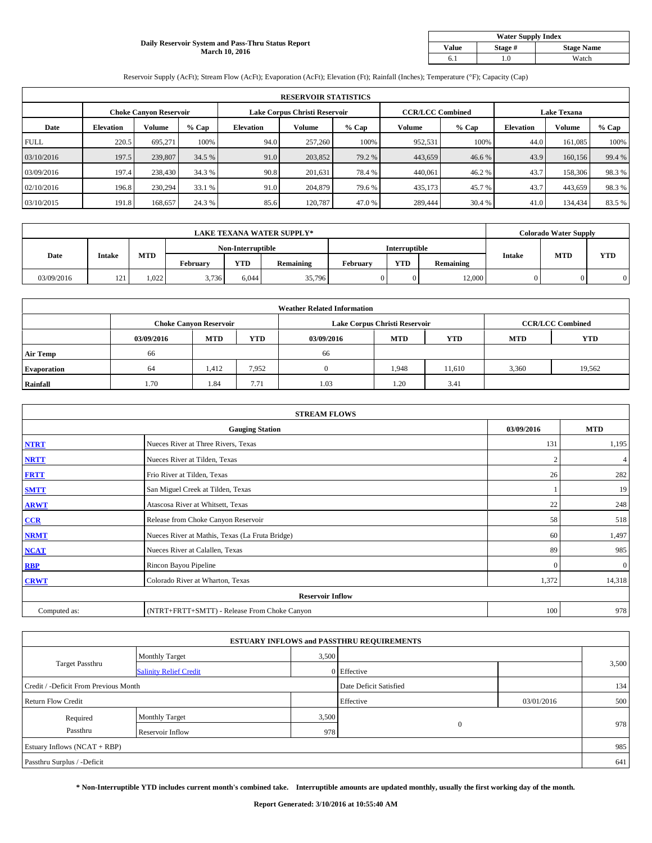#### **Daily Reservoir System and Pass-Thru Status Report March 10, 2016**

| <b>Water Supply Index</b> |         |                   |  |  |  |  |  |  |
|---------------------------|---------|-------------------|--|--|--|--|--|--|
| <b>Value</b>              | Stage # | <b>Stage Name</b> |  |  |  |  |  |  |
|                           | .0      | Watch             |  |  |  |  |  |  |

Reservoir Supply (AcFt); Stream Flow (AcFt); Evaporation (AcFt); Elevation (Ft); Rainfall (Inches); Temperature (°F); Capacity (Cap)

|             | <b>RESERVOIR STATISTICS</b> |                               |        |                               |         |         |                         |         |                    |         |        |  |
|-------------|-----------------------------|-------------------------------|--------|-------------------------------|---------|---------|-------------------------|---------|--------------------|---------|--------|--|
|             |                             | <b>Choke Canvon Reservoir</b> |        | Lake Corpus Christi Reservoir |         |         | <b>CCR/LCC Combined</b> |         | <b>Lake Texana</b> |         |        |  |
| Date        | <b>Elevation</b>            | Volume                        | % Cap  | <b>Elevation</b>              | Volume  | $%$ Cap | Volume                  | $%$ Cap | <b>Elevation</b>   | Volume  | % Cap  |  |
| <b>FULL</b> | 220.5                       | 695.271                       | 100%   | 94.0                          | 257,260 | 100%    | 952,531                 | 100%    | 44.0               | 161.085 | 100%   |  |
| 03/10/2016  | 197.5                       | 239,807                       | 34.5 % | 91.0                          | 203,852 | 79.2 %  | 443,659                 | 46.6 %  | 43.9               | 160,156 | 99.4 % |  |
| 03/09/2016  | 197.4                       | 238,430                       | 34.3 % | 90.8                          | 201,631 | 78.4 %  | 440,061                 | 46.2 %  | 43.7               | 158,306 | 98.3%  |  |
| 02/10/2016  | 196.8                       | 230,294                       | 33.1 % | 91.0                          | 204,879 | 79.6 %  | 435,173                 | 45.7 %  | 43.7               | 443,659 | 98.3%  |  |
| 03/10/2015  | 191.8                       | 168,657                       | 24.3 % | 85.6                          | 120,787 | 47.0 %  | 289,444                 | 30.4 %  | 41.0               | 134,434 | 83.5%  |  |

| <b>LAKE TEXANA WATER SUPPLY*</b> |               |       |          |            |                                    |          | <b>Colorado Water Supply</b> |           |               |            |            |
|----------------------------------|---------------|-------|----------|------------|------------------------------------|----------|------------------------------|-----------|---------------|------------|------------|
|                                  |               |       |          |            | Interruptible<br>Non-Interruptible |          |                              |           |               |            |            |
| Date                             | <b>Intake</b> | MTD   | Februarv | <b>YTD</b> | Remaining                          | Februarv | <b>YTD</b>                   | Remaining | <b>Intake</b> | <b>MTD</b> | <b>YTD</b> |
| 03/09/2016                       | 121           | 1,022 | 3,736    | 6.044      | 35,796                             |          | $\Omega$                     | 12,000    | 0             |            |            |

|                    |            |                               |            | <b>Weather Related Information</b> |                               |                         |            |            |
|--------------------|------------|-------------------------------|------------|------------------------------------|-------------------------------|-------------------------|------------|------------|
|                    |            | <b>Choke Canyon Reservoir</b> |            |                                    | Lake Corpus Christi Reservoir | <b>CCR/LCC Combined</b> |            |            |
|                    | 03/09/2016 | <b>MTD</b>                    | <b>YTD</b> | 03/09/2016                         | <b>MTD</b>                    | <b>YTD</b>              | <b>MTD</b> | <b>YTD</b> |
| <b>Air Temp</b>    | 66         |                               |            | 66                                 |                               |                         |            |            |
| <b>Evaporation</b> | 64         | 1,412                         | 7,952      |                                    | 1,948                         | 11,610                  | 3,360      | 19,562     |
| Rainfall           | 1.70       | 1.84                          | 7.71       | 1.03                               | 1.20                          | 3.41                    |            |            |

| <b>STREAM FLOWS</b> |                                                 |                |              |  |  |  |  |  |  |
|---------------------|-------------------------------------------------|----------------|--------------|--|--|--|--|--|--|
|                     | <b>Gauging Station</b>                          | 03/09/2016     | <b>MTD</b>   |  |  |  |  |  |  |
| <b>NTRT</b>         | Nueces River at Three Rivers, Texas             | 131            | 1,195        |  |  |  |  |  |  |
| <b>NRTT</b>         | Nueces River at Tilden, Texas                   | $\overline{2}$ | 4            |  |  |  |  |  |  |
| <b>FRTT</b>         | Frio River at Tilden, Texas                     | 26             | 282          |  |  |  |  |  |  |
| <b>SMTT</b>         | San Miguel Creek at Tilden, Texas               |                | 19           |  |  |  |  |  |  |
| <b>ARWT</b>         | Atascosa River at Whitsett, Texas               | 22             | 248          |  |  |  |  |  |  |
| CCR                 | Release from Choke Canyon Reservoir             | 58             | 518          |  |  |  |  |  |  |
| <b>NRMT</b>         | Nueces River at Mathis, Texas (La Fruta Bridge) | 60             | 1,497        |  |  |  |  |  |  |
| <b>NCAT</b>         | Nueces River at Calallen, Texas                 | 89             | 985          |  |  |  |  |  |  |
| <b>RBP</b>          | Rincon Bayou Pipeline                           | $\Omega$       | $\mathbf{0}$ |  |  |  |  |  |  |
| <b>CRWT</b>         | Colorado River at Wharton, Texas                | 1,372          | 14,318       |  |  |  |  |  |  |
|                     | <b>Reservoir Inflow</b>                         |                |              |  |  |  |  |  |  |
| Computed as:        | (NTRT+FRTT+SMTT) - Release From Choke Canyon    | 100            | 978          |  |  |  |  |  |  |

| <b>ESTUARY INFLOWS and PASSTHRU REQUIREMENTS</b> |                               |                        |              |            |       |  |  |  |  |  |
|--------------------------------------------------|-------------------------------|------------------------|--------------|------------|-------|--|--|--|--|--|
|                                                  | <b>Monthly Target</b>         | 3,500                  |              |            |       |  |  |  |  |  |
| <b>Target Passthru</b>                           | <b>Salinity Relief Credit</b> |                        | 0 Effective  |            | 3,500 |  |  |  |  |  |
| Credit / -Deficit From Previous Month            |                               | Date Deficit Satisfied |              | 134        |       |  |  |  |  |  |
| <b>Return Flow Credit</b>                        |                               |                        | Effective    | 03/01/2016 | 500   |  |  |  |  |  |
| Required                                         | <b>Monthly Target</b>         | 3,500                  |              |            |       |  |  |  |  |  |
| Passthru                                         | Reservoir Inflow              | 978                    | $\mathbf{0}$ |            | 978   |  |  |  |  |  |
| Estuary Inflows (NCAT + RBP)                     |                               |                        |              |            |       |  |  |  |  |  |
| Passthru Surplus / -Deficit                      |                               |                        |              |            | 641   |  |  |  |  |  |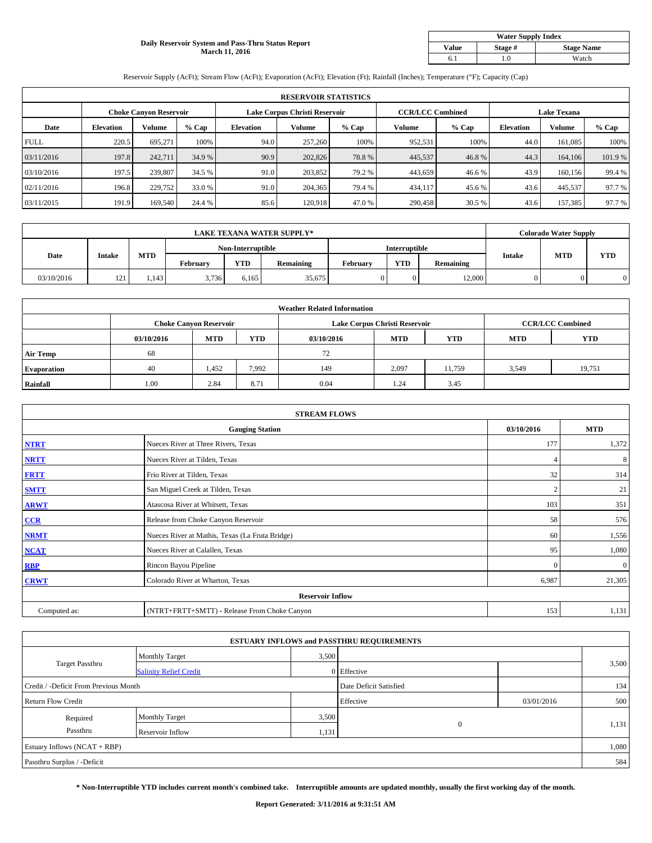#### **Daily Reservoir System and Pass-Thru Status Report March 11, 2016**

| <b>Water Supply Index</b> |         |                   |  |  |  |  |  |  |
|---------------------------|---------|-------------------|--|--|--|--|--|--|
| <b>Value</b>              | Stage # | <b>Stage Name</b> |  |  |  |  |  |  |
|                           | .0      | Watch             |  |  |  |  |  |  |

Reservoir Supply (AcFt); Stream Flow (AcFt); Evaporation (AcFt); Elevation (Ft); Rainfall (Inches); Temperature (°F); Capacity (Cap)

| <b>RESERVOIR STATISTICS</b> |                  |                               |         |                               |         |         |                         |         |                    |               |        |
|-----------------------------|------------------|-------------------------------|---------|-------------------------------|---------|---------|-------------------------|---------|--------------------|---------------|--------|
|                             |                  | <b>Choke Canyon Reservoir</b> |         | Lake Corpus Christi Reservoir |         |         | <b>CCR/LCC Combined</b> |         | <b>Lake Texana</b> |               |        |
| Date                        | <b>Elevation</b> | Volume                        | $%$ Cap | <b>Elevation</b>              | Volume  | $%$ Cap | Volume                  | $%$ Cap | <b>Elevation</b>   | <b>Volume</b> | % Cap  |
| <b>FULL</b>                 | 220.5            | 695.271                       | 100%    | 94.0                          | 257,260 | 100%    | 952,531                 | 100%    | 44.0               | 161,085       | 100%   |
| 03/11/2016                  | 197.8            | 242,711                       | 34.9 %  | 90.9                          | 202,826 | 78.8%   | 445,537                 | 46.8%   | 44.3               | 164,106       | 101.9% |
| 03/10/2016                  | 197.5            | 239,807                       | 34.5 %  | 91.0                          | 203.852 | 79.2 %  | 443,659                 | 46.6 %  | 43.9               | 160,156       | 99.4 % |
| 02/11/2016                  | 196.8            | 229,752                       | 33.0 %  | 91.0                          | 204,365 | 79.4 %  | 434,117                 | 45.6 %  | 43.6               | 445,537       | 97.7 % |
| 03/11/2015                  | 191.9            | 169,540                       | 24.4 %  | 85.6                          | 120,918 | 47.0 %  | 290,458                 | 30.5 %  | 43.6               | 157,385       | 97.7 % |

| <b>LAKE TEXANA WATER SUPPLY*</b> |               |       |          |                   |                  |                      | <b>Colorado Water Supply</b> |           |               |            |            |
|----------------------------------|---------------|-------|----------|-------------------|------------------|----------------------|------------------------------|-----------|---------------|------------|------------|
|                                  |               |       |          | Non-Interruptible |                  | <b>Interruptible</b> |                              |           |               |            |            |
| Date                             | <b>Intake</b> | MTD   | February | <b>YTD</b>        | <b>Remaining</b> | February             | <b>YTD</b>                   | Remaining | <b>Intake</b> | <b>MTD</b> | <b>YTD</b> |
| 03/10/2016                       | 121           | 1.143 | 3,736    | 6,165             | 35,675           |                      | $\Omega$                     | 12,000    | 0             |            |            |

|                    | <b>Weather Related Information</b> |                               |            |            |                               |                         |            |            |  |  |  |  |
|--------------------|------------------------------------|-------------------------------|------------|------------|-------------------------------|-------------------------|------------|------------|--|--|--|--|
|                    |                                    | <b>Choke Canyon Reservoir</b> |            |            | Lake Corpus Christi Reservoir | <b>CCR/LCC Combined</b> |            |            |  |  |  |  |
|                    | 03/10/2016                         | <b>MTD</b>                    | <b>YTD</b> | 03/10/2016 | <b>MTD</b>                    | <b>YTD</b>              | <b>MTD</b> | <b>YTD</b> |  |  |  |  |
| <b>Air Temp</b>    | 68                                 |                               |            | 72         |                               |                         |            |            |  |  |  |  |
| <b>Evaporation</b> | 40                                 | 1,452                         | 7,992      | 149        | 2,097                         | 11,759                  | 3,549      | 19,751     |  |  |  |  |
| Rainfall           | 1.00                               | 2.84                          | 8.71       | 0.04       | 1.24                          | 3.45                    |            |            |  |  |  |  |

| <b>STREAM FLOWS</b> |                                                 |                |                |  |  |  |  |  |  |
|---------------------|-------------------------------------------------|----------------|----------------|--|--|--|--|--|--|
|                     | <b>Gauging Station</b>                          | 03/10/2016     | <b>MTD</b>     |  |  |  |  |  |  |
| <b>NTRT</b>         | Nueces River at Three Rivers, Texas             | 177            | 1,372          |  |  |  |  |  |  |
| <b>NRTT</b>         | Nueces River at Tilden, Texas                   |                | 8              |  |  |  |  |  |  |
| <b>FRTT</b>         | Frio River at Tilden, Texas                     | 32             | 314            |  |  |  |  |  |  |
| <b>SMTT</b>         | San Miguel Creek at Tilden, Texas               | $\overline{c}$ | 21             |  |  |  |  |  |  |
| <b>ARWT</b>         | Atascosa River at Whitsett, Texas               | 103            | 351            |  |  |  |  |  |  |
| CCR                 | Release from Choke Canyon Reservoir             | 58             | 576            |  |  |  |  |  |  |
| <b>NRMT</b>         | Nueces River at Mathis, Texas (La Fruta Bridge) | 60             | 1,556          |  |  |  |  |  |  |
| <b>NCAT</b>         | Nueces River at Calallen, Texas                 | 95             | 1,080          |  |  |  |  |  |  |
| <b>RBP</b>          | Rincon Bayou Pipeline                           | $\Omega$       | $\overline{0}$ |  |  |  |  |  |  |
| <b>CRWT</b>         | Colorado River at Wharton, Texas                | 6,987          | 21,305         |  |  |  |  |  |  |
|                     | <b>Reservoir Inflow</b>                         |                |                |  |  |  |  |  |  |
| Computed as:        | (NTRT+FRTT+SMTT) - Release From Choke Canyon    | 153            | 1,131          |  |  |  |  |  |  |

| <b>ESTUARY INFLOWS and PASSTHRU REQUIREMENTS</b> |                               |                        |              |            |       |  |  |  |  |  |
|--------------------------------------------------|-------------------------------|------------------------|--------------|------------|-------|--|--|--|--|--|
|                                                  | <b>Monthly Target</b>         | 3,500                  |              |            |       |  |  |  |  |  |
| Target Passthru                                  | <b>Salinity Relief Credit</b> |                        | 0 Effective  |            | 3,500 |  |  |  |  |  |
| Credit / -Deficit From Previous Month            |                               | Date Deficit Satisfied |              | 134        |       |  |  |  |  |  |
| <b>Return Flow Credit</b>                        |                               |                        | Effective    | 03/01/2016 | 500   |  |  |  |  |  |
| Required                                         | Monthly Target                | 3,500                  |              |            |       |  |  |  |  |  |
| Passthru                                         | Reservoir Inflow              | 1,131                  | $\mathbf{0}$ |            | 1,131 |  |  |  |  |  |
| Estuary Inflows (NCAT + RBP)                     |                               |                        |              |            | 1,080 |  |  |  |  |  |
| Passthru Surplus / -Deficit                      |                               |                        |              |            | 584   |  |  |  |  |  |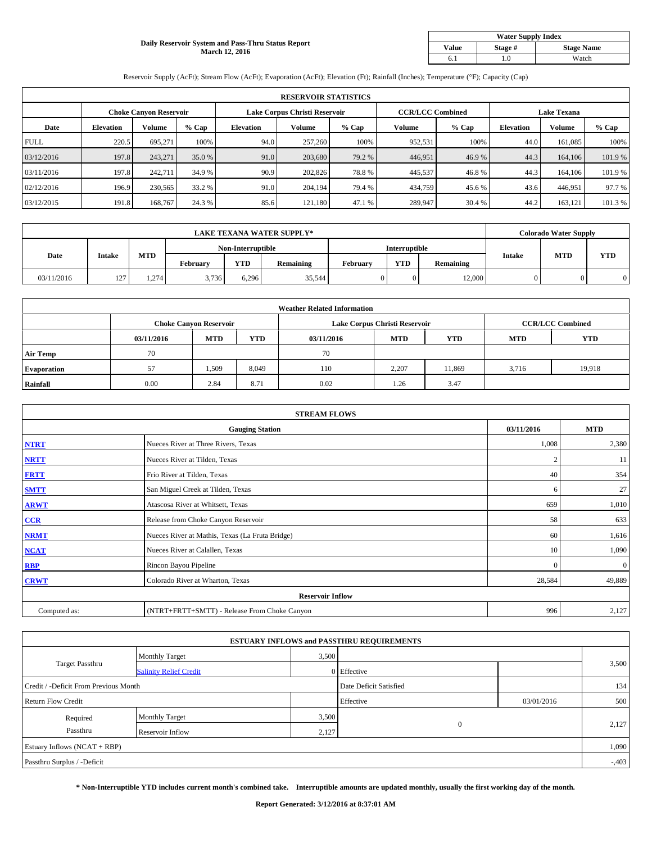#### **Daily Reservoir System and Pass-Thru Status Report March 12, 2016**

| <b>Water Supply Index</b> |         |                   |  |  |  |  |  |  |
|---------------------------|---------|-------------------|--|--|--|--|--|--|
| <b>Value</b>              | Stage # | <b>Stage Name</b> |  |  |  |  |  |  |
|                           | .0      | Watch             |  |  |  |  |  |  |

Reservoir Supply (AcFt); Stream Flow (AcFt); Evaporation (AcFt); Elevation (Ft); Rainfall (Inches); Temperature (°F); Capacity (Cap)

| <b>RESERVOIR STATISTICS</b> |                  |                               |         |                               |         |         |                         |         |                    |               |        |
|-----------------------------|------------------|-------------------------------|---------|-------------------------------|---------|---------|-------------------------|---------|--------------------|---------------|--------|
|                             |                  | <b>Choke Canyon Reservoir</b> |         | Lake Corpus Christi Reservoir |         |         | <b>CCR/LCC Combined</b> |         | <b>Lake Texana</b> |               |        |
| Date                        | <b>Elevation</b> | Volume                        | $%$ Cap | <b>Elevation</b>              | Volume  | $%$ Cap | Volume                  | $%$ Cap | <b>Elevation</b>   | <b>Volume</b> | % Cap  |
| <b>FULL</b>                 | 220.5            | 695.271                       | 100%    | 94.0                          | 257,260 | 100%    | 952,531                 | 100%    | 44.0               | 161,085       | 100%   |
| 03/12/2016                  | 197.8            | 243,271                       | 35.0 %  | 91.0                          | 203,680 | 79.2 %  | 446,951                 | 46.9%   | 44.3               | 164,106       | 101.9% |
| 03/11/2016                  | 197.8            | 242,711                       | 34.9 %  | 90.9                          | 202,826 | 78.8%   | 445,537                 | 46.8%   | 44.3               | 164,106       | 101.9% |
| 02/12/2016                  | 196.9            | 230,565                       | 33.2 %  | 91.0                          | 204.194 | 79.4 %  | 434,759                 | 45.6 %  | 43.6               | 446,951       | 97.7 % |
| 03/12/2015                  | 191.8            | 168,767                       | 24.3 %  | 85.6                          | 121.180 | 47.1 %  | 289,947                 | 30.4 %  | 44.2               | 163,121       | 101.3% |

| <b>LAKE TEXANA WATER SUPPLY*</b> |               |       |                   |            |               |          | <b>Colorado Water Supply</b> |           |               |            |            |
|----------------------------------|---------------|-------|-------------------|------------|---------------|----------|------------------------------|-----------|---------------|------------|------------|
|                                  |               |       | Non-Interruptible |            | Interruptible |          |                              |           |               |            |            |
| Date                             | <b>Intake</b> | MTD   | February          | <b>YTD</b> | Remaining     | Februarv | <b>YTD</b>                   | Remaining | <b>Intake</b> | <b>MTD</b> | <b>YTD</b> |
| 03/11/2016                       | 127           | 1.274 | 3,736             | 6.296      | 35.544        |          | $\Omega$                     | 12.000    | 0.            |            |            |

|                    |            |                               |            | <b>Weather Related Information</b> |                               |                         |            |            |
|--------------------|------------|-------------------------------|------------|------------------------------------|-------------------------------|-------------------------|------------|------------|
|                    |            | <b>Choke Canyon Reservoir</b> |            |                                    | Lake Corpus Christi Reservoir | <b>CCR/LCC Combined</b> |            |            |
|                    | 03/11/2016 | <b>MTD</b>                    | <b>YTD</b> | 03/11/2016                         | <b>MTD</b>                    | <b>YTD</b>              | <b>MTD</b> | <b>YTD</b> |
| <b>Air Temp</b>    | 70         |                               |            | 70                                 |                               |                         |            |            |
| <b>Evaporation</b> | 57         | 1,509                         | 8,049      | 110                                | 2,207                         | 11,869                  | 3,716      | 19,918     |
| Rainfall           | 0.00       | 2.84                          | 8.71       | 0.02                               | 1.26                          | 3.47                    |            |            |

| <b>STREAM FLOWS</b> |                                                 |              |              |  |  |  |  |  |  |
|---------------------|-------------------------------------------------|--------------|--------------|--|--|--|--|--|--|
|                     | <b>Gauging Station</b>                          | 03/11/2016   | <b>MTD</b>   |  |  |  |  |  |  |
| <b>NTRT</b>         | Nueces River at Three Rivers, Texas             | 1,008        | 2,380        |  |  |  |  |  |  |
| <b>NRTT</b>         | Nueces River at Tilden, Texas                   | C            | 11           |  |  |  |  |  |  |
| <b>FRTT</b>         | Frio River at Tilden, Texas                     | 40           | 354          |  |  |  |  |  |  |
| <b>SMTT</b>         | San Miguel Creek at Tilden, Texas               | 6            | 27           |  |  |  |  |  |  |
| <b>ARWT</b>         | Atascosa River at Whitsett, Texas               | 659          | 1,010        |  |  |  |  |  |  |
| CCR                 | Release from Choke Canyon Reservoir             | 58           | 633          |  |  |  |  |  |  |
| <b>NRMT</b>         | Nueces River at Mathis, Texas (La Fruta Bridge) | 60           | 1,616        |  |  |  |  |  |  |
| <b>NCAT</b>         | Nueces River at Calallen, Texas                 | 10           | 1,090        |  |  |  |  |  |  |
| <b>RBP</b>          | Rincon Bayou Pipeline                           | $\mathbf{0}$ | $\mathbf{0}$ |  |  |  |  |  |  |
| <b>CRWT</b>         | Colorado River at Wharton, Texas                | 28,584       | 49,889       |  |  |  |  |  |  |
|                     | <b>Reservoir Inflow</b>                         |              |              |  |  |  |  |  |  |
| Computed as:        | (NTRT+FRTT+SMTT) - Release From Choke Canyon    | 996          | 2,127        |  |  |  |  |  |  |

| <b>ESTUARY INFLOWS and PASSTHRU REQUIREMENTS</b> |                               |                        |              |            |          |  |  |  |  |  |
|--------------------------------------------------|-------------------------------|------------------------|--------------|------------|----------|--|--|--|--|--|
|                                                  | <b>Monthly Target</b>         | 3,500                  |              |            |          |  |  |  |  |  |
| <b>Target Passthru</b>                           | <b>Salinity Relief Credit</b> |                        | 0 Effective  |            | 3,500    |  |  |  |  |  |
| Credit / -Deficit From Previous Month            |                               | Date Deficit Satisfied |              | 134        |          |  |  |  |  |  |
| <b>Return Flow Credit</b>                        |                               |                        | Effective    | 03/01/2016 | 500      |  |  |  |  |  |
| Required                                         | <b>Monthly Target</b>         | 3,500                  |              |            |          |  |  |  |  |  |
| Passthru                                         | Reservoir Inflow              | 2,127                  | $\mathbf{0}$ |            | 2,127    |  |  |  |  |  |
| Estuary Inflows (NCAT + RBP)                     |                               |                        |              |            |          |  |  |  |  |  |
| Passthru Surplus / -Deficit                      |                               |                        |              |            | $-0.403$ |  |  |  |  |  |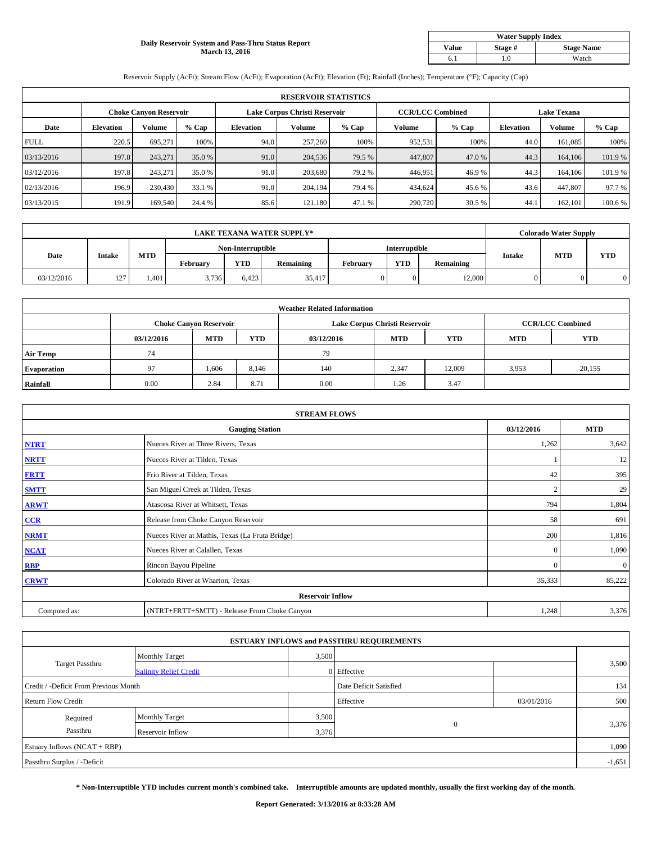#### **Daily Reservoir System and Pass-Thru Status Report March 13, 2016**

| <b>Water Supply Index</b> |         |                   |  |  |  |  |  |  |
|---------------------------|---------|-------------------|--|--|--|--|--|--|
| <b>Value</b>              | Stage # | <b>Stage Name</b> |  |  |  |  |  |  |
|                           | .0      | Watch             |  |  |  |  |  |  |

Reservoir Supply (AcFt); Stream Flow (AcFt); Evaporation (AcFt); Elevation (Ft); Rainfall (Inches); Temperature (°F); Capacity (Cap)

|             | <b>RESERVOIR STATISTICS</b> |                               |         |                               |         |         |                         |         |                    |               |        |  |
|-------------|-----------------------------|-------------------------------|---------|-------------------------------|---------|---------|-------------------------|---------|--------------------|---------------|--------|--|
|             |                             | <b>Choke Canyon Reservoir</b> |         | Lake Corpus Christi Reservoir |         |         | <b>CCR/LCC Combined</b> |         | <b>Lake Texana</b> |               |        |  |
| Date        | <b>Elevation</b>            | Volume                        | $%$ Cap | <b>Elevation</b>              | Volume  | $%$ Cap | Volume                  | $%$ Cap | <b>Elevation</b>   | <b>Volume</b> | % Cap  |  |
| <b>FULL</b> | 220.5                       | 695.271                       | 100%    | 94.0                          | 257,260 | 100%    | 952,531                 | 100%    | 44.0               | 161,085       | 100%   |  |
| 03/13/2016  | 197.8                       | 243,271                       | 35.0 %  | 91.0                          | 204,536 | 79.5 %  | 447,807                 | 47.0 %  | 44.3               | 164,106       | 101.9% |  |
| 03/12/2016  | 197.8                       | 243,271                       | 35.0 %  | 91.0                          | 203,680 | 79.2 %  | 446,951                 | 46.9%   | 44.3               | 164,106       | 101.9% |  |
| 02/13/2016  | 196.9                       | 230,430                       | 33.1 %  | 91.0                          | 204.194 | 79.4 %  | 434,624                 | 45.6 %  | 43.6               | 447,807       | 97.7 % |  |
| 03/13/2015  | 191.9                       | 169,540                       | 24.4 %  | 85.6                          | 121.180 | 47.1 %  | 290,720                 | 30.5 %  | 44.1               | 162,101       | 100.6% |  |

| <b>LAKE TEXANA WATER SUPPLY*</b> |               |      |          |                                    |                  |          |            | <b>Colorado Water Supply</b> |               |            |            |
|----------------------------------|---------------|------|----------|------------------------------------|------------------|----------|------------|------------------------------|---------------|------------|------------|
|                                  |               |      |          | Non-Interruptible<br>Interruptible |                  |          |            |                              |               |            |            |
| Date                             | <b>Intake</b> | MTD  | February | <b>YTD</b>                         | <b>Remaining</b> | February | <b>YTD</b> | Remaining                    | <b>Intake</b> | <b>MTD</b> | <b>YTD</b> |
| 03/12/2016                       | 127           | .401 | 3,736    | 6.423                              | 35,417           |          | $\Omega$   | 12,000                       | 0             |            |            |

|                    |            |                               |            | <b>Weather Related Information</b> |                               |                         |            |            |
|--------------------|------------|-------------------------------|------------|------------------------------------|-------------------------------|-------------------------|------------|------------|
|                    |            | <b>Choke Canyon Reservoir</b> |            |                                    | Lake Corpus Christi Reservoir | <b>CCR/LCC Combined</b> |            |            |
|                    | 03/12/2016 | <b>MTD</b>                    | <b>YTD</b> | 03/12/2016                         | <b>MTD</b>                    | <b>YTD</b>              | <b>MTD</b> | <b>YTD</b> |
| <b>Air Temp</b>    | 74         |                               |            | 79                                 |                               |                         |            |            |
| <b>Evaporation</b> | 97         | 1,606                         | 8,146      | 140                                | 2,347                         | 12,009                  | 3,953      | 20,155     |
| Rainfall           | 0.00       | 2.84                          | 8.71       | 0.00                               | 1.26                          | 3.47                    |            |            |

| <b>STREAM FLOWS</b> |                                                 |                |              |  |  |  |  |  |  |
|---------------------|-------------------------------------------------|----------------|--------------|--|--|--|--|--|--|
|                     | <b>Gauging Station</b>                          | 03/12/2016     | <b>MTD</b>   |  |  |  |  |  |  |
| <b>NTRT</b>         | Nueces River at Three Rivers, Texas             | 1,262          | 3,642        |  |  |  |  |  |  |
| <b>NRTT</b>         | Nueces River at Tilden, Texas                   |                | 12           |  |  |  |  |  |  |
| <b>FRTT</b>         | Frio River at Tilden, Texas                     | 42             | 395          |  |  |  |  |  |  |
| <b>SMTT</b>         | San Miguel Creek at Tilden, Texas               | $\overline{2}$ | 29           |  |  |  |  |  |  |
| <b>ARWT</b>         | Atascosa River at Whitsett, Texas               | 794            | 1,804        |  |  |  |  |  |  |
| CCR                 | Release from Choke Canyon Reservoir             | 58             | 691          |  |  |  |  |  |  |
| <b>NRMT</b>         | Nueces River at Mathis, Texas (La Fruta Bridge) | 200            | 1,816        |  |  |  |  |  |  |
| <b>NCAT</b>         | Nueces River at Calallen, Texas                 | $\mathbf{0}$   | 1,090        |  |  |  |  |  |  |
| <b>RBP</b>          | Rincon Bayou Pipeline                           | $\Omega$       | $\mathbf{0}$ |  |  |  |  |  |  |
| <b>CRWT</b>         | Colorado River at Wharton, Texas                | 35,333         | 85,222       |  |  |  |  |  |  |
|                     | <b>Reservoir Inflow</b>                         |                |              |  |  |  |  |  |  |
| Computed as:        | (NTRT+FRTT+SMTT) - Release From Choke Canyon    | 1,248          | 3,376        |  |  |  |  |  |  |

| <b>ESTUARY INFLOWS and PASSTHRU REQUIREMENTS</b> |                                |                        |              |            |       |  |  |  |  |  |
|--------------------------------------------------|--------------------------------|------------------------|--------------|------------|-------|--|--|--|--|--|
|                                                  | 3,500<br><b>Monthly Target</b> |                        |              |            |       |  |  |  |  |  |
| <b>Target Passthru</b>                           | <b>Salinity Relief Credit</b>  |                        | 0 Effective  |            | 3,500 |  |  |  |  |  |
| Credit / -Deficit From Previous Month            |                                | Date Deficit Satisfied |              | 134        |       |  |  |  |  |  |
| <b>Return Flow Credit</b>                        |                                |                        | Effective    | 03/01/2016 | 500   |  |  |  |  |  |
| Required                                         | <b>Monthly Target</b>          | 3,500                  |              |            |       |  |  |  |  |  |
| Passthru                                         | Reservoir Inflow               | 3,376                  | $\mathbf{0}$ |            | 3,376 |  |  |  |  |  |
| Estuary Inflows (NCAT + RBP)                     |                                |                        |              |            |       |  |  |  |  |  |
| Passthru Surplus / -Deficit                      |                                |                        |              |            |       |  |  |  |  |  |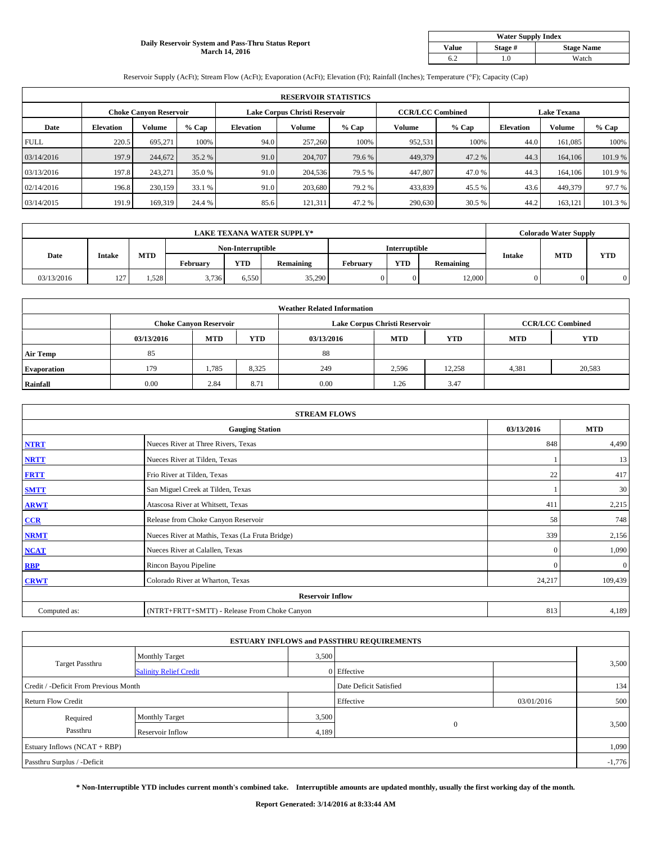#### **Daily Reservoir System and Pass-Thru Status Report March 14, 2016**

| <b>Water Supply Index</b> |         |                   |  |  |  |  |  |  |
|---------------------------|---------|-------------------|--|--|--|--|--|--|
| <b>Value</b>              | Stage # | <b>Stage Name</b> |  |  |  |  |  |  |
|                           | .0      | Watch             |  |  |  |  |  |  |

Reservoir Supply (AcFt); Stream Flow (AcFt); Evaporation (AcFt); Elevation (Ft); Rainfall (Inches); Temperature (°F); Capacity (Cap)

|             | <b>RESERVOIR STATISTICS</b> |                               |         |                               |         |         |                         |         |                    |               |        |  |
|-------------|-----------------------------|-------------------------------|---------|-------------------------------|---------|---------|-------------------------|---------|--------------------|---------------|--------|--|
|             |                             | <b>Choke Canyon Reservoir</b> |         | Lake Corpus Christi Reservoir |         |         | <b>CCR/LCC Combined</b> |         | <b>Lake Texana</b> |               |        |  |
| Date        | <b>Elevation</b>            | Volume                        | $%$ Cap | <b>Elevation</b>              | Volume  | $%$ Cap | Volume                  | $%$ Cap | <b>Elevation</b>   | <b>Volume</b> | % Cap  |  |
| <b>FULL</b> | 220.5                       | 695.271                       | 100%    | 94.0                          | 257,260 | 100%    | 952,531                 | 100%    | 44.0               | 161,085       | 100%   |  |
| 03/14/2016  | 197.9                       | 244,672                       | 35.2 %  | 91.0                          | 204,707 | 79.6 %  | 449,379                 | 47.2 %  | 44.3               | 164,106       | 101.9% |  |
| 03/13/2016  | 197.8                       | 243,271                       | 35.0 %  | 91.0                          | 204,536 | 79.5 %  | 447,807                 | 47.0 %  | 44.3               | 164,106       | 101.9% |  |
| 02/14/2016  | 196.8                       | 230,159                       | 33.1 %  | 91.0                          | 203,680 | 79.2 %  | 433,839                 | 45.5 %  | 43.6               | 449,379       | 97.7 % |  |
| 03/14/2015  | 191.9                       | 169,319                       | 24.4 %  | 85.6                          | 121,311 | 47.2 %  | 290,630                 | 30.5 %  | 44.2               | 163,121       | 101.3% |  |

| <b>LAKE TEXANA WATER SUPPLY*</b> |               |       |          |                   |                  |                      |            | <b>Colorado Water Supply</b> |               |            |            |  |
|----------------------------------|---------------|-------|----------|-------------------|------------------|----------------------|------------|------------------------------|---------------|------------|------------|--|
|                                  |               |       |          | Non-Interruptible |                  | <b>Interruptible</b> |            |                              |               |            |            |  |
| Date                             | <b>Intake</b> | MTD   | February | <b>YTD</b>        | <b>Remaining</b> | February             | <b>YTD</b> | Remaining                    | <b>Intake</b> | <b>MTD</b> | <b>YTD</b> |  |
| 03/13/2016                       | 127           | .,528 | 3,736    | 6,550             | 35,290           |                      | $\Omega$   | 12,000                       | 0             |            |            |  |

|                    |            |                               |            | <b>Weather Related Information</b> |                               |                         |            |            |
|--------------------|------------|-------------------------------|------------|------------------------------------|-------------------------------|-------------------------|------------|------------|
|                    |            | <b>Choke Canyon Reservoir</b> |            |                                    | Lake Corpus Christi Reservoir | <b>CCR/LCC Combined</b> |            |            |
|                    | 03/13/2016 | <b>MTD</b>                    | <b>YTD</b> | 03/13/2016                         | <b>MTD</b>                    | <b>YTD</b>              | <b>MTD</b> | <b>YTD</b> |
| <b>Air Temp</b>    | 85         |                               |            | 88                                 |                               |                         |            |            |
| <b>Evaporation</b> | 179        | 1,785                         | 8,325      | 249                                | 2,596                         | 12,258                  | 4,381      | 20,583     |
| Rainfall           | 0.00       | 2.84                          | 8.71       | 0.00                               | 1.26                          | 3.47                    |            |            |

| <b>STREAM FLOWS</b> |                                                 |              |              |  |  |  |  |  |  |
|---------------------|-------------------------------------------------|--------------|--------------|--|--|--|--|--|--|
|                     | <b>Gauging Station</b>                          | 03/13/2016   | <b>MTD</b>   |  |  |  |  |  |  |
| <b>NTRT</b>         | Nueces River at Three Rivers, Texas             | 848          | 4,490        |  |  |  |  |  |  |
| <b>NRTT</b>         | Nueces River at Tilden, Texas                   |              | 13           |  |  |  |  |  |  |
| <b>FRTT</b>         | Frio River at Tilden, Texas                     | 22           | 417          |  |  |  |  |  |  |
| <b>SMTT</b>         | San Miguel Creek at Tilden, Texas               |              | 30           |  |  |  |  |  |  |
| <b>ARWT</b>         | Atascosa River at Whitsett, Texas               | 411          | 2,215        |  |  |  |  |  |  |
| CCR                 | Release from Choke Canyon Reservoir             | 58           | 748          |  |  |  |  |  |  |
| <b>NRMT</b>         | Nueces River at Mathis, Texas (La Fruta Bridge) | 339          | 2,156        |  |  |  |  |  |  |
| <b>NCAT</b>         | Nueces River at Calallen, Texas                 | $\mathbf{0}$ | 1,090        |  |  |  |  |  |  |
| <b>RBP</b>          | Rincon Bayou Pipeline                           | $\mathbf{0}$ | $\mathbf{0}$ |  |  |  |  |  |  |
| <b>CRWT</b>         | Colorado River at Wharton, Texas                | 24,217       | 109,439      |  |  |  |  |  |  |
|                     |                                                 |              |              |  |  |  |  |  |  |
| Computed as:        | (NTRT+FRTT+SMTT) - Release From Choke Canyon    | 813          | 4,189        |  |  |  |  |  |  |

| <b>ESTUARY INFLOWS and PASSTHRU REQUIREMENTS</b> |                               |                        |              |            |       |  |  |  |  |  |  |
|--------------------------------------------------|-------------------------------|------------------------|--------------|------------|-------|--|--|--|--|--|--|
|                                                  | <b>Monthly Target</b>         | 3,500                  |              |            |       |  |  |  |  |  |  |
| <b>Target Passthru</b>                           | <b>Salinity Relief Credit</b> |                        | 0 Effective  |            | 3,500 |  |  |  |  |  |  |
| Credit / -Deficit From Previous Month            |                               | Date Deficit Satisfied |              | 134        |       |  |  |  |  |  |  |
| <b>Return Flow Credit</b>                        |                               |                        | Effective    | 03/01/2016 | 500   |  |  |  |  |  |  |
| Required                                         | <b>Monthly Target</b>         |                        | 3,500        |            |       |  |  |  |  |  |  |
| Passthru                                         | Reservoir Inflow              | 4,189                  | $\mathbf{0}$ |            | 3,500 |  |  |  |  |  |  |
| Estuary Inflows (NCAT + RBP)                     |                               |                        |              |            |       |  |  |  |  |  |  |
| Passthru Surplus / -Deficit                      |                               |                        |              |            |       |  |  |  |  |  |  |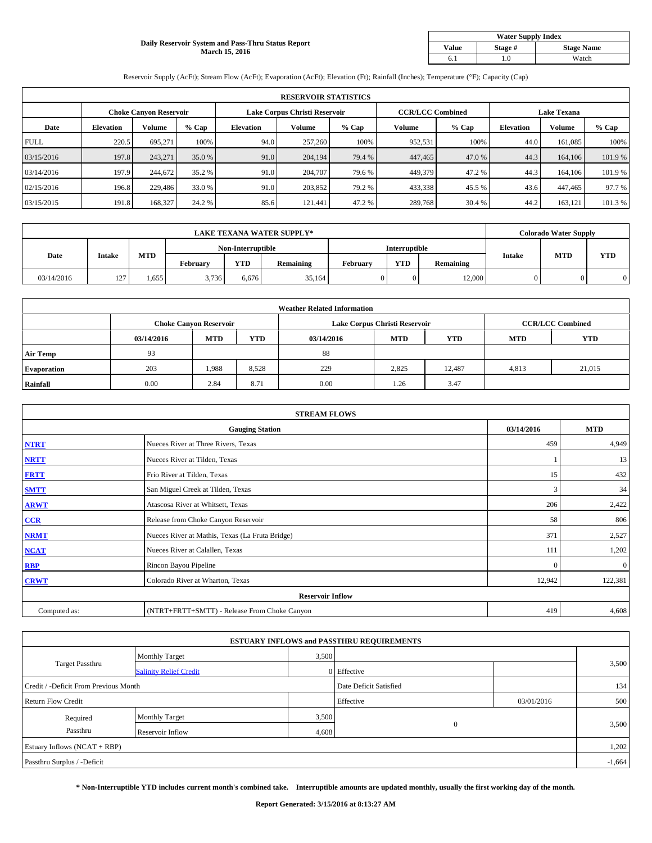#### **Daily Reservoir System and Pass-Thru Status Report March 15, 2016**

| <b>Water Supply Index</b> |         |                   |  |  |  |  |  |  |
|---------------------------|---------|-------------------|--|--|--|--|--|--|
| <b>Value</b>              | Stage # | <b>Stage Name</b> |  |  |  |  |  |  |
|                           | .0      | Watch             |  |  |  |  |  |  |

Reservoir Supply (AcFt); Stream Flow (AcFt); Evaporation (AcFt); Elevation (Ft); Rainfall (Inches); Temperature (°F); Capacity (Cap)

| <b>RESERVOIR STATISTICS</b> |                  |                               |         |                               |         |         |                         |         |                    |               |        |
|-----------------------------|------------------|-------------------------------|---------|-------------------------------|---------|---------|-------------------------|---------|--------------------|---------------|--------|
|                             |                  | <b>Choke Canyon Reservoir</b> |         | Lake Corpus Christi Reservoir |         |         | <b>CCR/LCC Combined</b> |         | <b>Lake Texana</b> |               |        |
| Date                        | <b>Elevation</b> | Volume                        | $%$ Cap | <b>Elevation</b>              | Volume  | $%$ Cap | Volume                  | $%$ Cap | <b>Elevation</b>   | <b>Volume</b> | % Cap  |
| <b>FULL</b>                 | 220.5            | 695.271                       | 100%    | 94.0                          | 257,260 | 100%    | 952,531                 | 100%    | 44.0               | 161,085       | 100%   |
| 03/15/2016                  | 197.8            | 243.271                       | 35.0 %  | 91.0                          | 204,194 | 79.4 %  | 447,465                 | 47.0 %  | 44.3               | 164,106       | 101.9% |
| 03/14/2016                  | 197.9            | 244,672                       | 35.2 %  | 91.0                          | 204,707 | 79.6 %  | 449,379                 | 47.2 %  | 44.3               | 164,106       | 101.9% |
| 02/15/2016                  | 196.8            | 229,486                       | 33.0 %  | 91.0                          | 203.852 | 79.2 %  | 433,338                 | 45.5 %  | 43.6               | 447,465       | 97.7 % |
| 03/15/2015                  | 191.8            | 168,327                       | 24.2 %  | 85.6                          | 121.441 | 47.2 %  | 289,768                 | 30.4 %  | 44.2               | 163,121       | 101.3% |

| <b>LAKE TEXANA WATER SUPPLY*</b> |               |       |                   |            |           |               |            | <b>Colorado Water Supply</b> |               |            |            |
|----------------------------------|---------------|-------|-------------------|------------|-----------|---------------|------------|------------------------------|---------------|------------|------------|
|                                  |               |       | Non-Interruptible |            |           | Interruptible |            |                              |               |            |            |
| Date                             | <b>Intake</b> | MTD   | Februarv          | <b>YTD</b> | Remaining | Februarv      | <b>YTD</b> | Remaining                    | <b>Intake</b> | <b>MTD</b> | <b>YTD</b> |
| 03/14/2016                       | 127           | 1,655 | 3.736             | 6.676      | 35.164    |               | $\Omega$   | 12,000                       | 0             |            |            |

|                    | <b>Weather Related Information</b> |                               |            |            |                               |                         |            |            |  |  |  |  |
|--------------------|------------------------------------|-------------------------------|------------|------------|-------------------------------|-------------------------|------------|------------|--|--|--|--|
|                    |                                    | <b>Choke Canyon Reservoir</b> |            |            | Lake Corpus Christi Reservoir | <b>CCR/LCC Combined</b> |            |            |  |  |  |  |
|                    | 03/14/2016                         | <b>MTD</b>                    | <b>YTD</b> | 03/14/2016 | <b>MTD</b>                    | <b>YTD</b>              | <b>MTD</b> | <b>YTD</b> |  |  |  |  |
| <b>Air Temp</b>    | 93                                 |                               |            | 88         |                               |                         |            |            |  |  |  |  |
| <b>Evaporation</b> | 203                                | 1,988                         | 8,528      | 229        | 2,825                         | 12,487                  | 4,813      | 21,015     |  |  |  |  |
| Rainfall           | 0.00                               | 2.84                          | 8.71       | 0.00       | 1.26                          | 3.47                    |            |            |  |  |  |  |

| <b>STREAM FLOWS</b> |                                                 |              |              |  |  |  |  |  |  |
|---------------------|-------------------------------------------------|--------------|--------------|--|--|--|--|--|--|
|                     | <b>Gauging Station</b>                          |              |              |  |  |  |  |  |  |
| <b>NTRT</b>         | Nueces River at Three Rivers, Texas             | 459          | 4,949        |  |  |  |  |  |  |
| <b>NRTT</b>         | Nueces River at Tilden, Texas                   |              | 13           |  |  |  |  |  |  |
| <b>FRTT</b>         | Frio River at Tilden, Texas                     | 15           | 432          |  |  |  |  |  |  |
| <b>SMTT</b>         | San Miguel Creek at Tilden, Texas               | 3            | 34           |  |  |  |  |  |  |
| <b>ARWT</b>         | Atascosa River at Whitsett, Texas               | 206          | 2,422        |  |  |  |  |  |  |
| CCR                 | Release from Choke Canyon Reservoir             | 58           | 806          |  |  |  |  |  |  |
| <b>NRMT</b>         | Nueces River at Mathis, Texas (La Fruta Bridge) | 371          | 2,527        |  |  |  |  |  |  |
| <b>NCAT</b>         | Nueces River at Calallen, Texas                 | 111          | 1,202        |  |  |  |  |  |  |
| <b>RBP</b>          | Rincon Bayou Pipeline                           | $\mathbf{0}$ | $\mathbf{0}$ |  |  |  |  |  |  |
| <b>CRWT</b>         | Colorado River at Wharton, Texas                | 12,942       | 122,381      |  |  |  |  |  |  |
|                     | <b>Reservoir Inflow</b>                         |              |              |  |  |  |  |  |  |
| Computed as:        | (NTRT+FRTT+SMTT) - Release From Choke Canyon    | 419          | 4,608        |  |  |  |  |  |  |

| <b>ESTUARY INFLOWS and PASSTHRU REQUIREMENTS</b> |                               |       |                        |            |          |  |  |  |  |  |
|--------------------------------------------------|-------------------------------|-------|------------------------|------------|----------|--|--|--|--|--|
|                                                  | <b>Monthly Target</b>         | 3,500 |                        |            |          |  |  |  |  |  |
| <b>Target Passthru</b>                           | <b>Salinity Relief Credit</b> |       | 0 Effective            |            | 3,500    |  |  |  |  |  |
| Credit / -Deficit From Previous Month            |                               |       | Date Deficit Satisfied |            | 134      |  |  |  |  |  |
| <b>Return Flow Credit</b>                        |                               |       | Effective              | 03/01/2016 | 500      |  |  |  |  |  |
| Required                                         | <b>Monthly Target</b>         | 3,500 |                        |            |          |  |  |  |  |  |
| Passthru                                         | Reservoir Inflow              | 4,608 | $\Omega$               |            | 3,500    |  |  |  |  |  |
| Estuary Inflows (NCAT + RBP)                     |                               |       |                        |            |          |  |  |  |  |  |
| Passthru Surplus / -Deficit                      |                               |       |                        |            | $-1,664$ |  |  |  |  |  |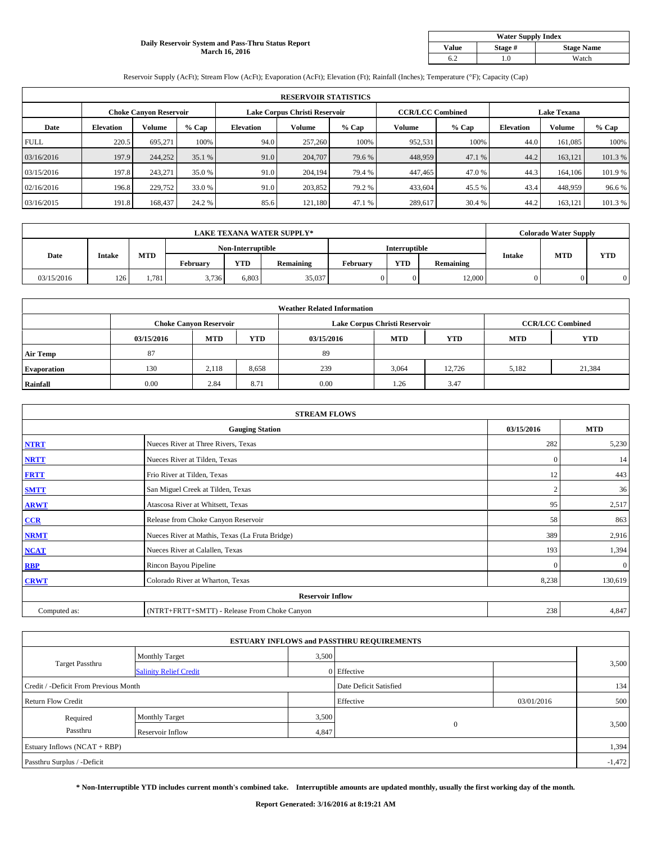#### **Daily Reservoir System and Pass-Thru Status Report March 16, 2016**

| <b>Water Supply Index</b> |         |                   |  |  |  |  |  |  |
|---------------------------|---------|-------------------|--|--|--|--|--|--|
| <b>Value</b>              | Stage # | <b>Stage Name</b> |  |  |  |  |  |  |
|                           | .0      | Watch             |  |  |  |  |  |  |

Reservoir Supply (AcFt); Stream Flow (AcFt); Evaporation (AcFt); Elevation (Ft); Rainfall (Inches); Temperature (°F); Capacity (Cap)

| <b>RESERVOIR STATISTICS</b> |                  |                               |         |                               |         |         |                         |         |                    |               |        |
|-----------------------------|------------------|-------------------------------|---------|-------------------------------|---------|---------|-------------------------|---------|--------------------|---------------|--------|
|                             |                  | <b>Choke Canyon Reservoir</b> |         | Lake Corpus Christi Reservoir |         |         | <b>CCR/LCC Combined</b> |         | <b>Lake Texana</b> |               |        |
| Date                        | <b>Elevation</b> | Volume                        | $%$ Cap | <b>Elevation</b>              | Volume  | $%$ Cap | Volume                  | $%$ Cap | <b>Elevation</b>   | <b>Volume</b> | % Cap  |
| <b>FULL</b>                 | 220.5            | 695.271                       | 100%    | 94.0                          | 257,260 | 100%    | 952,531                 | 100%    | 44.0               | 161,085       | 100%   |
| 03/16/2016                  | 197.9            | 244,252                       | 35.1 %  | 91.0                          | 204,707 | 79.6 %  | 448,959                 | 47.1 %  | 44.2               | 163,121       | 101.3% |
| 03/15/2016                  | 197.8            | 243,271                       | 35.0 %  | 91.0                          | 204.194 | 79.4 %  | 447,465                 | 47.0 %  | 44.3               | 164,106       | 101.9% |
| 02/16/2016                  | 196.8            | 229,752                       | 33.0 %  | 91.0                          | 203.852 | 79.2 %  | 433,604                 | 45.5 %  | 43.4               | 448,959       | 96.6%  |
| 03/16/2015                  | 191.8            | 168,437                       | 24.2 %  | 85.6                          | 121.180 | 47.1 %  | 289,617                 | 30.4 %  | 44.2               | 163,121       | 101.3% |

| <b>LAKE TEXANA WATER SUPPLY*</b> |               |       |                   |            |                  |                      |            | <b>Colorado Water Supply</b> |               |            |            |
|----------------------------------|---------------|-------|-------------------|------------|------------------|----------------------|------------|------------------------------|---------------|------------|------------|
|                                  |               |       | Non-Interruptible |            |                  | <b>Interruptible</b> |            |                              |               |            |            |
| Date                             | <b>Intake</b> | MTD   | February          | <b>YTD</b> | <b>Remaining</b> | February             | <b>YTD</b> | Remaining                    | <b>Intake</b> | <b>MTD</b> | <b>YTD</b> |
| 03/15/2016                       | 126           | 1,781 | 3,736             | 6,803      | 35,037           |                      | $\Omega$   | 12,000                       | 0             |            |            |

|                    | <b>Weather Related Information</b> |                               |            |            |                               |                         |            |            |  |  |  |  |
|--------------------|------------------------------------|-------------------------------|------------|------------|-------------------------------|-------------------------|------------|------------|--|--|--|--|
|                    |                                    | <b>Choke Canyon Reservoir</b> |            |            | Lake Corpus Christi Reservoir | <b>CCR/LCC Combined</b> |            |            |  |  |  |  |
|                    | 03/15/2016                         | <b>MTD</b>                    | <b>YTD</b> | 03/15/2016 | <b>MTD</b>                    | <b>YTD</b>              | <b>MTD</b> | <b>YTD</b> |  |  |  |  |
| <b>Air Temp</b>    | 87                                 |                               |            | 89         |                               |                         |            |            |  |  |  |  |
| <b>Evaporation</b> | 130                                | 2.118                         | 8,658      | 239        | 3,064                         | 12.726                  | 5,182      | 21,384     |  |  |  |  |
| Rainfall           | 0.00                               | 2.84                          | 8.71       | 0.00       | 1.26                          | 3.47                    |            |            |  |  |  |  |

| <b>STREAM FLOWS</b> |                                                 |                |              |  |  |  |  |  |  |
|---------------------|-------------------------------------------------|----------------|--------------|--|--|--|--|--|--|
|                     | <b>Gauging Station</b>                          | 03/15/2016     | <b>MTD</b>   |  |  |  |  |  |  |
| <b>NTRT</b>         | Nueces River at Three Rivers, Texas             | 282            | 5,230        |  |  |  |  |  |  |
| <b>NRTT</b>         | Nueces River at Tilden, Texas                   | $\mathbf{0}$   | 14           |  |  |  |  |  |  |
| <b>FRTT</b>         | Frio River at Tilden, Texas                     | 12             | 443          |  |  |  |  |  |  |
| <b>SMTT</b>         | San Miguel Creek at Tilden, Texas               | $\overline{2}$ | 36           |  |  |  |  |  |  |
| <b>ARWT</b>         | Atascosa River at Whitsett, Texas               | 95             | 2,517        |  |  |  |  |  |  |
| CCR                 | Release from Choke Canyon Reservoir             | 58             | 863          |  |  |  |  |  |  |
| <b>NRMT</b>         | Nueces River at Mathis, Texas (La Fruta Bridge) | 389            | 2,916        |  |  |  |  |  |  |
| <b>NCAT</b>         | Nueces River at Calallen, Texas                 | 193            | 1,394        |  |  |  |  |  |  |
| <b>RBP</b>          | Rincon Bayou Pipeline                           | $\mathbf{0}$   | $\mathbf{0}$ |  |  |  |  |  |  |
| <b>CRWT</b>         | Colorado River at Wharton, Texas                | 8,238          | 130,619      |  |  |  |  |  |  |
|                     | <b>Reservoir Inflow</b>                         |                |              |  |  |  |  |  |  |
| Computed as:        | (NTRT+FRTT+SMTT) - Release From Choke Canyon    | 238            | 4,847        |  |  |  |  |  |  |

| <b>ESTUARY INFLOWS and PASSTHRU REQUIREMENTS</b> |                               |                        |              |            |          |  |  |  |  |  |
|--------------------------------------------------|-------------------------------|------------------------|--------------|------------|----------|--|--|--|--|--|
|                                                  | <b>Monthly Target</b>         | 3,500                  |              |            |          |  |  |  |  |  |
| <b>Target Passthru</b>                           | <b>Salinity Relief Credit</b> |                        | 0 Effective  |            | 3,500    |  |  |  |  |  |
| Credit / -Deficit From Previous Month            |                               | Date Deficit Satisfied |              | 134        |          |  |  |  |  |  |
| <b>Return Flow Credit</b>                        |                               |                        | Effective    | 03/01/2016 | 500      |  |  |  |  |  |
| Required                                         | <b>Monthly Target</b>         | 3,500                  |              |            | 3,500    |  |  |  |  |  |
| Passthru                                         | Reservoir Inflow              | 4,847                  | $\mathbf{0}$ |            |          |  |  |  |  |  |
| Estuary Inflows (NCAT + RBP)                     |                               |                        |              |            |          |  |  |  |  |  |
| Passthru Surplus / -Deficit                      |                               |                        |              |            | $-1,472$ |  |  |  |  |  |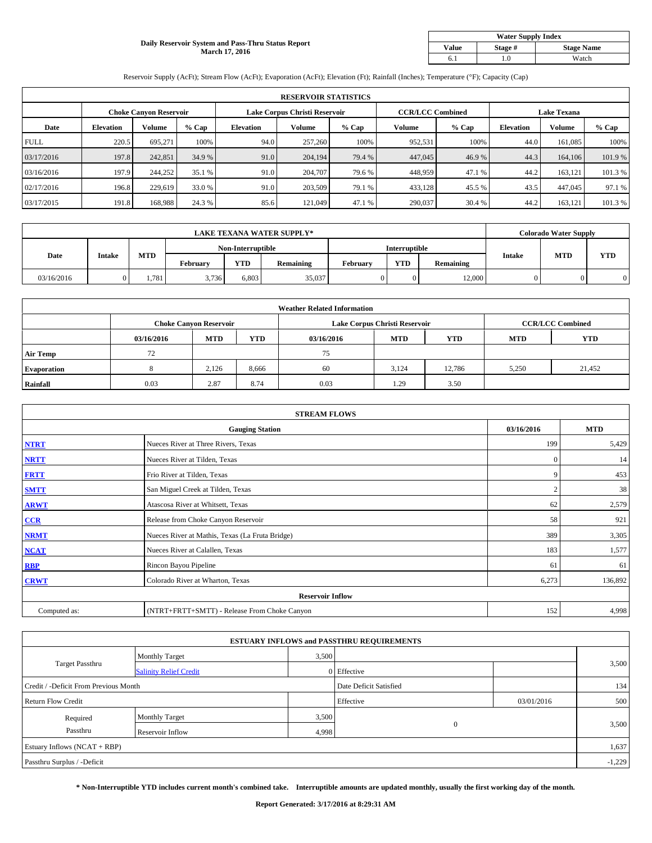#### **Daily Reservoir System and Pass-Thru Status Report March 17, 2016**

| <b>Water Supply Index</b> |         |                   |  |  |  |  |  |  |
|---------------------------|---------|-------------------|--|--|--|--|--|--|
| <b>Value</b>              | Stage # | <b>Stage Name</b> |  |  |  |  |  |  |
|                           | .0      | Watch             |  |  |  |  |  |  |

Reservoir Supply (AcFt); Stream Flow (AcFt); Evaporation (AcFt); Elevation (Ft); Rainfall (Inches); Temperature (°F); Capacity (Cap)

|             | <b>RESERVOIR STATISTICS</b> |                               |         |                               |         |         |                         |         |                    |               |         |  |
|-------------|-----------------------------|-------------------------------|---------|-------------------------------|---------|---------|-------------------------|---------|--------------------|---------------|---------|--|
|             |                             | <b>Choke Canyon Reservoir</b> |         | Lake Corpus Christi Reservoir |         |         | <b>CCR/LCC Combined</b> |         | <b>Lake Texana</b> |               |         |  |
| Date        | <b>Elevation</b>            | Volume                        | $%$ Cap | <b>Elevation</b>              | Volume  | $%$ Cap | Volume                  | $%$ Cap | <b>Elevation</b>   | <b>Volume</b> | % Cap   |  |
| <b>FULL</b> | 220.5                       | 695.271                       | 100%    | 94.0                          | 257,260 | 100%    | 952,531                 | 100%    | 44.0               | 161,085       | 100%    |  |
| 03/17/2016  | 197.8                       | 242,851                       | 34.9 %  | 91.0                          | 204,194 | 79.4 %  | 447,045                 | 46.9%   | 44.3               | 164,106       | 101.9%  |  |
| 03/16/2016  | 197.9                       | 244,252                       | 35.1 %  | 91.0                          | 204,707 | 79.6 %  | 448,959                 | 47.1 %  | 44.2               | 163,121       | 101.3 % |  |
| 02/17/2016  | 196.8                       | 229,619                       | 33.0 %  | 91.0                          | 203,509 | 79.1 %  | 433,128                 | 45.5 %  | 43.5               | 447,045       | 97.1 %  |  |
| 03/17/2015  | 191.8                       | 168,988                       | 24.3 %  | 85.6                          | 121.049 | 47.1 %  | 290,037                 | 30.4 %  | 44.2               | 163,121       | 101.3%  |  |

| <b>LAKE TEXANA WATER SUPPLY*</b> |               |       |                   |            |                  |               |            | <b>Colorado Water Supply</b> |               |            |            |
|----------------------------------|---------------|-------|-------------------|------------|------------------|---------------|------------|------------------------------|---------------|------------|------------|
|                                  |               |       | Non-Interruptible |            |                  | Interruptible |            |                              |               |            |            |
| Date                             | <b>Intake</b> | MTD   | February          | <b>YTD</b> | <b>Remaining</b> | February      | <b>YTD</b> | Remaining                    | <b>Intake</b> | <b>MTD</b> | <b>YTD</b> |
| 03/16/2016                       |               | .,781 | 3,736             | 6,803      | 35,037           |               | $\Omega$   | 12,000                       | 0             |            |            |

|                    | <b>Weather Related Information</b> |                               |            |            |                               |                         |            |            |  |  |  |  |
|--------------------|------------------------------------|-------------------------------|------------|------------|-------------------------------|-------------------------|------------|------------|--|--|--|--|
|                    |                                    | <b>Choke Canyon Reservoir</b> |            |            | Lake Corpus Christi Reservoir | <b>CCR/LCC Combined</b> |            |            |  |  |  |  |
|                    | 03/16/2016                         | <b>MTD</b>                    | <b>YTD</b> | 03/16/2016 | <b>MTD</b>                    | <b>YTD</b>              | <b>MTD</b> | <b>YTD</b> |  |  |  |  |
| <b>Air Temp</b>    | 72                                 |                               |            | 75         |                               |                         |            |            |  |  |  |  |
| <b>Evaporation</b> |                                    | 2.126                         | 8,666      | 60         | 3.124                         | 12,786                  | 5,250      | 21,452     |  |  |  |  |
| Rainfall           | 0.03                               | 2.87                          | 8.74       | 0.03       | 1.29                          | 3.50                    |            |            |  |  |  |  |

| <b>STREAM FLOWS</b> |                                                 |                |            |  |  |  |  |  |  |
|---------------------|-------------------------------------------------|----------------|------------|--|--|--|--|--|--|
|                     | <b>Gauging Station</b>                          | 03/16/2016     | <b>MTD</b> |  |  |  |  |  |  |
| <b>NTRT</b>         | Nueces River at Three Rivers, Texas             | 199            | 5,429      |  |  |  |  |  |  |
| <b>NRTT</b>         | Nueces River at Tilden, Texas                   | $\mathbf{0}$   | 14         |  |  |  |  |  |  |
| <b>FRTT</b>         | Frio River at Tilden, Texas                     | 9              | 453        |  |  |  |  |  |  |
| <b>SMTT</b>         | San Miguel Creek at Tilden, Texas               | $\overline{2}$ | 38         |  |  |  |  |  |  |
| <b>ARWT</b>         | Atascosa River at Whitsett, Texas               | 62             | 2,579      |  |  |  |  |  |  |
| CCR                 | Release from Choke Canyon Reservoir             | 58             | 921        |  |  |  |  |  |  |
| <b>NRMT</b>         | Nueces River at Mathis, Texas (La Fruta Bridge) | 389            | 3,305      |  |  |  |  |  |  |
| <b>NCAT</b>         | Nueces River at Calallen, Texas                 | 183            | 1,577      |  |  |  |  |  |  |
| <b>RBP</b>          | Rincon Bayou Pipeline                           | 61             | 61         |  |  |  |  |  |  |
| <b>CRWT</b>         | Colorado River at Wharton, Texas                | 6,273          | 136,892    |  |  |  |  |  |  |
|                     | <b>Reservoir Inflow</b>                         |                |            |  |  |  |  |  |  |
| Computed as:        | (NTRT+FRTT+SMTT) - Release From Choke Canyon    | 152            | 4,998      |  |  |  |  |  |  |

| <b>ESTUARY INFLOWS and PASSTHRU REQUIREMENTS</b> |                               |                        |             |            |       |  |  |  |  |  |
|--------------------------------------------------|-------------------------------|------------------------|-------------|------------|-------|--|--|--|--|--|
|                                                  | <b>Monthly Target</b>         | 3,500                  |             |            |       |  |  |  |  |  |
| Target Passthru                                  | <b>Salinity Relief Credit</b> |                        | 0 Effective |            | 3,500 |  |  |  |  |  |
| Credit / -Deficit From Previous Month            |                               | Date Deficit Satisfied |             | 134        |       |  |  |  |  |  |
| <b>Return Flow Credit</b>                        |                               |                        | Effective   | 03/01/2016 | 500   |  |  |  |  |  |
| Required                                         | <b>Monthly Target</b>         | 3,500                  |             |            |       |  |  |  |  |  |
| Passthru                                         | <b>Reservoir Inflow</b>       | 4,998                  | $\Omega$    | 3,500      |       |  |  |  |  |  |
| Estuary Inflows (NCAT + RBP)                     |                               |                        |             |            |       |  |  |  |  |  |
| Passthru Surplus / -Deficit                      |                               |                        |             |            |       |  |  |  |  |  |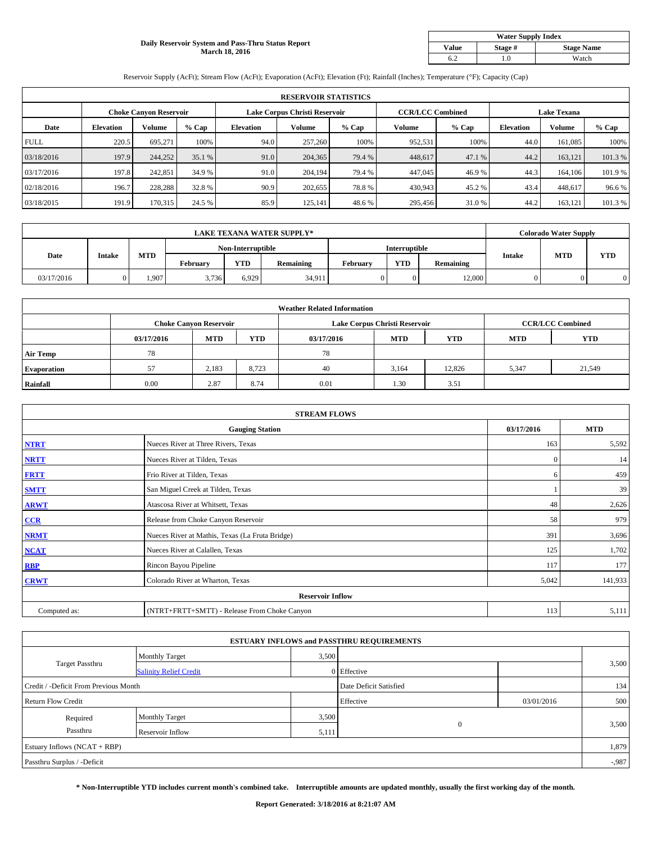#### **Daily Reservoir System and Pass-Thru Status Report March 18, 2016**

| <b>Water Supply Index</b> |         |                   |  |  |  |  |  |  |
|---------------------------|---------|-------------------|--|--|--|--|--|--|
| <b>Value</b>              | Stage # | <b>Stage Name</b> |  |  |  |  |  |  |
|                           | .0      | Watch             |  |  |  |  |  |  |

Reservoir Supply (AcFt); Stream Flow (AcFt); Evaporation (AcFt); Elevation (Ft); Rainfall (Inches); Temperature (°F); Capacity (Cap)

| <b>RESERVOIR STATISTICS</b> |                  |                               |         |                               |         |         |                         |         |                    |               |        |
|-----------------------------|------------------|-------------------------------|---------|-------------------------------|---------|---------|-------------------------|---------|--------------------|---------------|--------|
|                             |                  | <b>Choke Canyon Reservoir</b> |         | Lake Corpus Christi Reservoir |         |         | <b>CCR/LCC Combined</b> |         | <b>Lake Texana</b> |               |        |
| Date                        | <b>Elevation</b> | Volume                        | $%$ Cap | <b>Elevation</b>              | Volume  | $%$ Cap | Volume                  | $%$ Cap | <b>Elevation</b>   | <b>Volume</b> | % Cap  |
| <b>FULL</b>                 | 220.5            | 695.271                       | 100%    | 94.0                          | 257,260 | 100%    | 952,531                 | 100%    | 44.0               | 161,085       | 100%   |
| 03/18/2016                  | 197.9            | 244,252                       | 35.1 %  | 91.0                          | 204,365 | 79.4 %  | 448,617                 | 47.1 %  | 44.2               | 163,121       | 101.3% |
| 03/17/2016                  | 197.8            | 242,851                       | 34.9 %  | 91.0                          | 204.194 | 79.4 %  | 447,045                 | 46.9%   | 44.3               | 164,106       | 101.9% |
| 02/18/2016                  | 196.7            | 228,288                       | 32.8%   | 90.9                          | 202,655 | 78.8%   | 430,943                 | 45.2%   | 43.4               | 448,617       | 96.6%  |
| 03/18/2015                  | 191.9            | 170,315                       | 24.5 %  | 85.9                          | 125.141 | 48.6%   | 295,456                 | 31.0%   | 44.2               | 163,121       | 101.3% |

| <b>LAKE TEXANA WATER SUPPLY*</b> |               |       |                   |            |                  |                      | <b>Colorado Water Supply</b> |           |               |            |            |
|----------------------------------|---------------|-------|-------------------|------------|------------------|----------------------|------------------------------|-----------|---------------|------------|------------|
|                                  |               |       | Non-Interruptible |            |                  | <b>Interruptible</b> |                              |           |               |            |            |
| Date                             | <b>Intake</b> | MTD   | February          | <b>YTD</b> | <b>Remaining</b> | February             | <b>YTD</b>                   | Remaining | <b>Intake</b> | <b>MTD</b> | <b>YTD</b> |
| 03/17/2016                       |               | 1.907 | 3,736             | 6,929      | 34,911           |                      | $\Omega$                     | 12,000    | 0             |            |            |

|                    |            |                               |            | <b>Weather Related Information</b> |                               |                         |            |            |
|--------------------|------------|-------------------------------|------------|------------------------------------|-------------------------------|-------------------------|------------|------------|
|                    |            | <b>Choke Canyon Reservoir</b> |            |                                    | Lake Corpus Christi Reservoir | <b>CCR/LCC Combined</b> |            |            |
|                    | 03/17/2016 | <b>MTD</b>                    | <b>YTD</b> | 03/17/2016                         | <b>MTD</b>                    | <b>YTD</b>              | <b>MTD</b> | <b>YTD</b> |
| <b>Air Temp</b>    | 78         |                               |            | 78                                 |                               |                         |            |            |
| <b>Evaporation</b> | 57         | 2,183                         | 8.723      | 40                                 | 3,164                         | 12,826                  | 5,347      | 21,549     |
| Rainfall           | 0.00       | 2.87                          | 8.74       | 0.01                               | 1.30                          | 3.51                    |            |            |

| <b>STREAM FLOWS</b> |                                                 |              |            |  |  |  |  |  |  |
|---------------------|-------------------------------------------------|--------------|------------|--|--|--|--|--|--|
|                     | <b>Gauging Station</b>                          | 03/17/2016   | <b>MTD</b> |  |  |  |  |  |  |
| <b>NTRT</b>         | Nueces River at Three Rivers, Texas             | 163          | 5,592      |  |  |  |  |  |  |
| <b>NRTT</b>         | Nueces River at Tilden, Texas                   | $\mathbf{0}$ | 14         |  |  |  |  |  |  |
| <b>FRTT</b>         | Frio River at Tilden, Texas                     | 6            | 459        |  |  |  |  |  |  |
| <b>SMTT</b>         | San Miguel Creek at Tilden, Texas               |              | 39         |  |  |  |  |  |  |
| <b>ARWT</b>         | Atascosa River at Whitsett, Texas               | 48           | 2,626      |  |  |  |  |  |  |
| CCR                 | Release from Choke Canyon Reservoir             | 58           | 979        |  |  |  |  |  |  |
| <b>NRMT</b>         | Nueces River at Mathis, Texas (La Fruta Bridge) | 391          | 3,696      |  |  |  |  |  |  |
| <b>NCAT</b>         | Nueces River at Calallen, Texas                 | 125          | 1,702      |  |  |  |  |  |  |
| <b>RBP</b>          | Rincon Bayou Pipeline                           | 117          | 177        |  |  |  |  |  |  |
| <b>CRWT</b>         | Colorado River at Wharton, Texas                | 5,042        | 141,933    |  |  |  |  |  |  |
|                     | <b>Reservoir Inflow</b>                         |              |            |  |  |  |  |  |  |
| Computed as:        | (NTRT+FRTT+SMTT) - Release From Choke Canyon    | 113          | 5,111      |  |  |  |  |  |  |

|                                       |                               |                        | <b>ESTUARY INFLOWS and PASSTHRU REQUIREMENTS</b> |            |          |  |
|---------------------------------------|-------------------------------|------------------------|--------------------------------------------------|------------|----------|--|
|                                       | <b>Monthly Target</b>         |                        | 3,500                                            |            |          |  |
| <b>Target Passthru</b>                | <b>Salinity Relief Credit</b> |                        | 0 Effective                                      |            | 3,500    |  |
| Credit / -Deficit From Previous Month |                               | Date Deficit Satisfied |                                                  | 134        |          |  |
| <b>Return Flow Credit</b>             |                               |                        | Effective                                        | 03/01/2016 | 500      |  |
| Required                              | <b>Monthly Target</b>         | 3,500                  |                                                  |            |          |  |
| Passthru                              | Reservoir Inflow              | 5,111                  | $\mathbf{0}$                                     |            | 3,500    |  |
| Estuary Inflows (NCAT + RBP)          |                               |                        |                                                  |            | 1,879    |  |
| Passthru Surplus / -Deficit           |                               |                        |                                                  |            | $-0.987$ |  |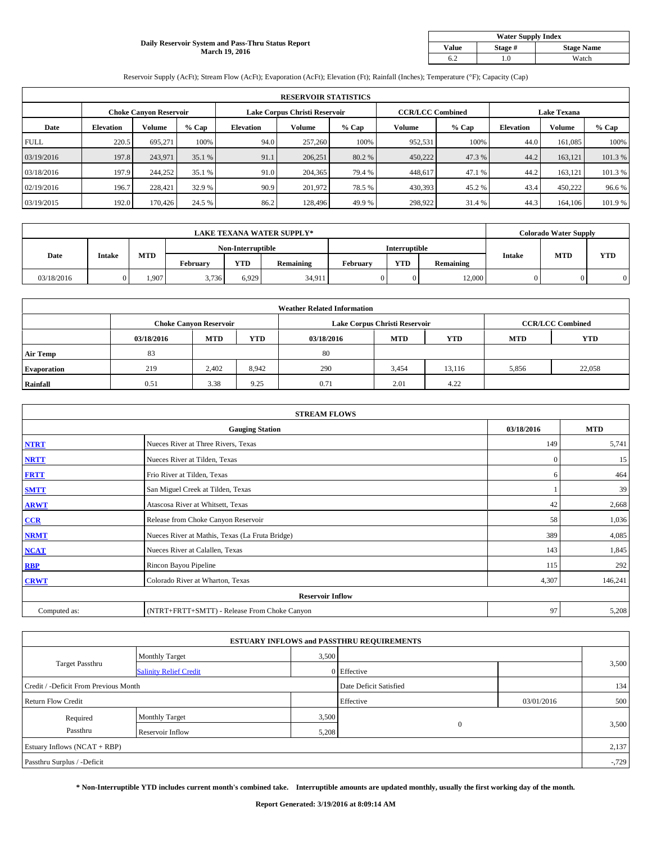#### **Daily Reservoir System and Pass-Thru Status Report March 19, 2016**

| <b>Water Supply Index</b> |         |                   |  |  |  |  |  |  |
|---------------------------|---------|-------------------|--|--|--|--|--|--|
| <b>Value</b>              | Stage # | <b>Stage Name</b> |  |  |  |  |  |  |
|                           | .0      | Watch             |  |  |  |  |  |  |

Reservoir Supply (AcFt); Stream Flow (AcFt); Evaporation (AcFt); Elevation (Ft); Rainfall (Inches); Temperature (°F); Capacity (Cap)

|             | <b>RESERVOIR STATISTICS</b> |                               |         |                  |                               |         |                         |         |                    |               |         |  |
|-------------|-----------------------------|-------------------------------|---------|------------------|-------------------------------|---------|-------------------------|---------|--------------------|---------------|---------|--|
|             |                             | <b>Choke Canyon Reservoir</b> |         |                  | Lake Corpus Christi Reservoir |         | <b>CCR/LCC Combined</b> |         | <b>Lake Texana</b> |               |         |  |
| Date        | <b>Elevation</b>            | Volume                        | $%$ Cap | <b>Elevation</b> | Volume                        | $%$ Cap | Volume                  | $%$ Cap | <b>Elevation</b>   | <b>Volume</b> | % Cap   |  |
| <b>FULL</b> | 220.5                       | 695.271                       | 100%    | 94.0             | 257,260                       | 100%    | 952,531                 | 100%    | 44.0               | 161,085       | 100%    |  |
| 03/19/2016  | 197.8                       | 243,971                       | 35.1 %  | 91.1             | 206,251                       | 80.2 %  | 450,222                 | 47.3%   | 44.2               | 163,121       | 101.3%  |  |
| 03/18/2016  | 197.9                       | 244,252                       | 35.1 %  | 91.0             | 204,365                       | 79.4 %  | 448,617                 | 47.1 %  | 44.2               | 163,121       | 101.3 % |  |
| 02/19/2016  | 196.7                       | 228,421                       | 32.9 %  | 90.9             | 201.972                       | 78.5 %  | 430,393                 | 45.2%   | 43.4               | 450,222       | 96.6%   |  |
| 03/19/2015  | 192.0                       | 170,426                       | 24.5 %  | 86.2             | 128,496                       | 49.9%   | 298,922                 | 31.4 %  | 44.3               | 164,106       | 101.9%  |  |

| <b>LAKE TEXANA WATER SUPPLY*</b> |               |       |                   |            |           |               |            | <b>Colorado Water Supply</b> |               |            |            |
|----------------------------------|---------------|-------|-------------------|------------|-----------|---------------|------------|------------------------------|---------------|------------|------------|
|                                  |               |       | Non-Interruptible |            |           | Interruptible |            |                              |               |            |            |
| Date                             | <b>Intake</b> | MTD   | Februarv          | <b>YTD</b> | Remaining | February      | <b>YTD</b> | Remaining                    | <b>Intake</b> | <b>MTD</b> | <b>YTD</b> |
| 03/18/2016                       |               | 1.907 | 3.736             | 6.929      | 34.911    |               | $\Omega$   | 12.000                       | 0.            |            |            |

|                    | <b>Weather Related Information</b> |                               |       |            |                               |                         |            |            |  |  |  |  |
|--------------------|------------------------------------|-------------------------------|-------|------------|-------------------------------|-------------------------|------------|------------|--|--|--|--|
|                    |                                    | <b>Choke Canyon Reservoir</b> |       |            | Lake Corpus Christi Reservoir | <b>CCR/LCC Combined</b> |            |            |  |  |  |  |
|                    | 03/18/2016                         | <b>MTD</b>                    | YTD   | 03/18/2016 | <b>MTD</b>                    | <b>YTD</b>              | <b>MTD</b> | <b>YTD</b> |  |  |  |  |
| <b>Air Temp</b>    | 83                                 |                               |       | 80         |                               |                         |            |            |  |  |  |  |
| <b>Evaporation</b> | 219                                | 2.402                         | 8,942 | 290        | 3,454                         | 13.116                  | 5,856      | 22,058     |  |  |  |  |
| Rainfall           | 0.51                               | 3.38                          | 9.25  | 0.71       | 2.01                          | 4.22                    |            |            |  |  |  |  |

| <b>STREAM FLOWS</b> |                                                 |              |            |  |  |  |  |  |  |
|---------------------|-------------------------------------------------|--------------|------------|--|--|--|--|--|--|
|                     | <b>Gauging Station</b>                          | 03/18/2016   | <b>MTD</b> |  |  |  |  |  |  |
| <b>NTRT</b>         | Nueces River at Three Rivers, Texas             | 149          | 5,741      |  |  |  |  |  |  |
| <b>NRTT</b>         | Nueces River at Tilden, Texas                   | $\mathbf{0}$ | 15         |  |  |  |  |  |  |
| <b>FRTT</b>         | Frio River at Tilden, Texas                     | 6            | 464        |  |  |  |  |  |  |
| <b>SMTT</b>         | San Miguel Creek at Tilden, Texas               |              | 39         |  |  |  |  |  |  |
| <b>ARWT</b>         | Atascosa River at Whitsett, Texas               | 42           | 2,668      |  |  |  |  |  |  |
| CCR                 | Release from Choke Canyon Reservoir             | 58           | 1,036      |  |  |  |  |  |  |
| <b>NRMT</b>         | Nueces River at Mathis, Texas (La Fruta Bridge) | 389          | 4,085      |  |  |  |  |  |  |
| <b>NCAT</b>         | Nueces River at Calallen, Texas                 | 143          | 1,845      |  |  |  |  |  |  |
| <b>RBP</b>          | Rincon Bayou Pipeline                           | 115          | 292        |  |  |  |  |  |  |
| <b>CRWT</b>         | Colorado River at Wharton, Texas                | 4,307        | 146,241    |  |  |  |  |  |  |
|                     | <b>Reservoir Inflow</b>                         |              |            |  |  |  |  |  |  |
| Computed as:        | (NTRT+FRTT+SMTT) - Release From Choke Canyon    | 97           | 5,208      |  |  |  |  |  |  |

| <b>ESTUARY INFLOWS and PASSTHRU REQUIREMENTS</b> |                               |                        |              |     |          |  |  |  |  |  |
|--------------------------------------------------|-------------------------------|------------------------|--------------|-----|----------|--|--|--|--|--|
|                                                  | <b>Monthly Target</b>         | 3,500                  |              |     |          |  |  |  |  |  |
| <b>Target Passthru</b>                           | <b>Salinity Relief Credit</b> |                        | 0 Effective  |     | 3,500    |  |  |  |  |  |
| Credit / -Deficit From Previous Month            |                               | Date Deficit Satisfied |              | 134 |          |  |  |  |  |  |
| <b>Return Flow Credit</b>                        |                               | Effective              | 03/01/2016   | 500 |          |  |  |  |  |  |
| Required                                         | <b>Monthly Target</b>         | 3,500                  |              |     |          |  |  |  |  |  |
| Passthru                                         | Reservoir Inflow              | 5,208                  | $\mathbf{0}$ |     | 3,500    |  |  |  |  |  |
| Estuary Inflows (NCAT + RBP)                     |                               |                        |              |     |          |  |  |  |  |  |
| Passthru Surplus / -Deficit                      |                               |                        |              |     | $-0.729$ |  |  |  |  |  |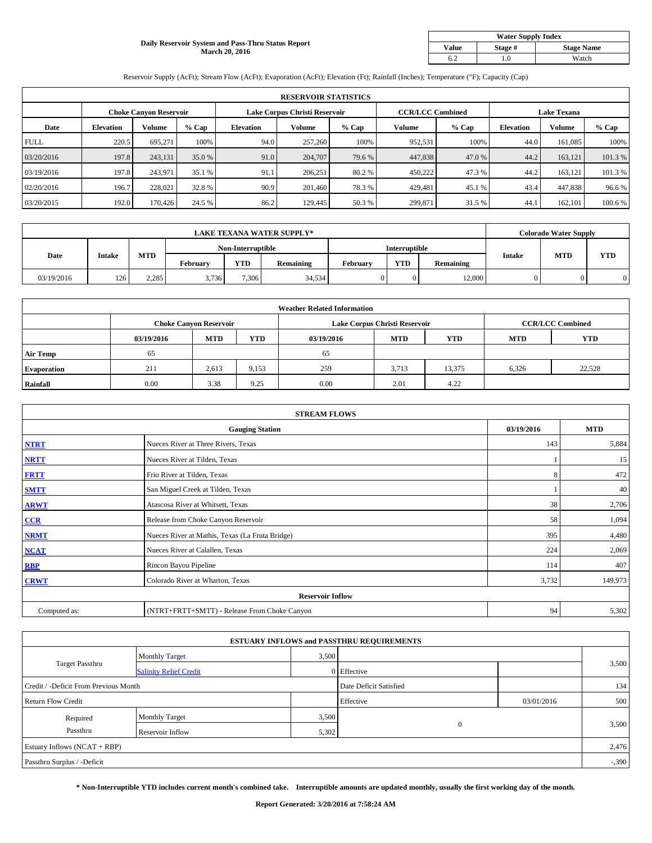#### **Daily Reservoir System and Pass-Thru Status Report March 20, 2016**

| <b>Water Supply Index</b> |         |                   |  |  |  |  |  |  |
|---------------------------|---------|-------------------|--|--|--|--|--|--|
| <b>Value</b>              | Stage # | <b>Stage Name</b> |  |  |  |  |  |  |
|                           | .0      | Watch             |  |  |  |  |  |  |

Reservoir Supply (AcFt); Stream Flow (AcFt); Evaporation (AcFt); Elevation (Ft); Rainfall (Inches); Temperature (°F); Capacity (Cap)

|             | <b>RESERVOIR STATISTICS</b> |                               |         |                               |         |         |                         |         |                    |               |         |  |
|-------------|-----------------------------|-------------------------------|---------|-------------------------------|---------|---------|-------------------------|---------|--------------------|---------------|---------|--|
|             |                             | <b>Choke Canyon Reservoir</b> |         | Lake Corpus Christi Reservoir |         |         | <b>CCR/LCC Combined</b> |         | <b>Lake Texana</b> |               |         |  |
| Date        | <b>Elevation</b>            | Volume                        | $%$ Cap | <b>Elevation</b>              | Volume  | $%$ Cap | Volume                  | $%$ Cap | <b>Elevation</b>   | <b>Volume</b> | % Cap   |  |
| <b>FULL</b> | 220.5                       | 695.271                       | 100%    | 94.0                          | 257,260 | 100%    | 952,531                 | 100%    | 44.0               | 161,085       | 100%    |  |
| 03/20/2016  | 197.8                       | 243,131                       | 35.0 %  | 91.0                          | 204,707 | 79.6 %  | 447,838                 | 47.0 %  | 44.2               | 163,121       | 101.3%  |  |
| 03/19/2016  | 197.8                       | 243,971                       | 35.1 %  | 91.1                          | 206.251 | 80.2 %  | 450,222                 | 47.3 %  | 44.2               | 163,121       | 101.3 % |  |
| 02/20/2016  | 196.7                       | 228.021                       | 32.8 %  | 90.9                          | 201.460 | 78.3 %  | 429,481                 | 45.1 %  | 43.4               | 447,838       | 96.6%   |  |
| 03/20/2015  | 192.0                       | 170,426                       | 24.5 %  | 86.2                          | 129,445 | 50.3 %  | 299,871                 | 31.5 %  | 44.1               | 162,101       | 100.6%  |  |

| <b>LAKE TEXANA WATER SUPPLY*</b> |               |       |                   |            |                  |                      |            | <b>Colorado Water Supply</b> |               |            |            |
|----------------------------------|---------------|-------|-------------------|------------|------------------|----------------------|------------|------------------------------|---------------|------------|------------|
|                                  |               |       | Non-Interruptible |            |                  | <b>Interruptible</b> |            |                              |               |            |            |
| Date                             | <b>Intake</b> | MTD   | February          | <b>YTD</b> | <b>Remaining</b> | Februarv             | <b>YTD</b> | Remaining                    | <b>Intake</b> | <b>MTD</b> | <b>YTD</b> |
| 03/19/2016                       | 126           | 2,285 | 3,736             | 7,306      | 34,534           |                      | $\Omega$   | 12,000                       | 0             |            |            |

|                    | <b>Weather Related Information</b> |                               |            |            |                               |                         |            |            |  |  |  |  |
|--------------------|------------------------------------|-------------------------------|------------|------------|-------------------------------|-------------------------|------------|------------|--|--|--|--|
|                    |                                    | <b>Choke Canyon Reservoir</b> |            |            | Lake Corpus Christi Reservoir | <b>CCR/LCC Combined</b> |            |            |  |  |  |  |
|                    | 03/19/2016                         | <b>MTD</b>                    | <b>YTD</b> | 03/19/2016 | <b>MTD</b>                    | <b>YTD</b>              | <b>MTD</b> | <b>YTD</b> |  |  |  |  |
| <b>Air Temp</b>    | 65                                 |                               |            | 65         |                               |                         |            |            |  |  |  |  |
| <b>Evaporation</b> | 211                                | 2,613                         | 9,153      | 259        | 3,713                         | 13,375                  | 6,326      | 22,528     |  |  |  |  |
| Rainfall           | 0.00                               | 3.38                          | 9.25       | 0.00       | 2.01                          | 4.22                    |            |            |  |  |  |  |

| <b>STREAM FLOWS</b> |                                                 |            |            |  |  |  |  |  |  |
|---------------------|-------------------------------------------------|------------|------------|--|--|--|--|--|--|
|                     | <b>Gauging Station</b>                          | 03/19/2016 | <b>MTD</b> |  |  |  |  |  |  |
| <b>NTRT</b>         | Nueces River at Three Rivers, Texas             | 143        | 5,884      |  |  |  |  |  |  |
| <b>NRTT</b>         | Nueces River at Tilden, Texas                   |            | 15         |  |  |  |  |  |  |
| <b>FRTT</b>         | Frio River at Tilden, Texas                     | 8          | 472        |  |  |  |  |  |  |
| <b>SMTT</b>         | San Miguel Creek at Tilden, Texas               |            | 40         |  |  |  |  |  |  |
| <b>ARWT</b>         | Atascosa River at Whitsett, Texas               | 38         | 2,706      |  |  |  |  |  |  |
| CCR                 | Release from Choke Canyon Reservoir             | 58         | 1,094      |  |  |  |  |  |  |
| <b>NRMT</b>         | Nueces River at Mathis, Texas (La Fruta Bridge) | 395        | 4,480      |  |  |  |  |  |  |
| <b>NCAT</b>         | Nueces River at Calallen, Texas                 | 224        | 2,069      |  |  |  |  |  |  |
| <b>RBP</b>          | Rincon Bayou Pipeline                           | 114        | 407        |  |  |  |  |  |  |
| <b>CRWT</b>         | Colorado River at Wharton, Texas                | 3,732      | 149,973    |  |  |  |  |  |  |
|                     | <b>Reservoir Inflow</b>                         |            |            |  |  |  |  |  |  |
| Computed as:        | (NTRT+FRTT+SMTT) - Release From Choke Canyon    | 94         | 5,302      |  |  |  |  |  |  |

| <b>ESTUARY INFLOWS and PASSTHRU REQUIREMENTS</b> |                               |       |                        |            |          |  |  |  |  |  |
|--------------------------------------------------|-------------------------------|-------|------------------------|------------|----------|--|--|--|--|--|
|                                                  | <b>Monthly Target</b>         | 3,500 |                        |            |          |  |  |  |  |  |
| <b>Target Passthru</b>                           | <b>Salinity Relief Credit</b> |       | 0 Effective            |            | 3,500    |  |  |  |  |  |
| Credit / -Deficit From Previous Month            |                               |       | Date Deficit Satisfied |            | 134      |  |  |  |  |  |
| <b>Return Flow Credit</b>                        |                               |       | Effective              | 03/01/2016 | 500      |  |  |  |  |  |
| Required                                         | <b>Monthly Target</b>         | 3,500 |                        |            |          |  |  |  |  |  |
| Passthru                                         | Reservoir Inflow              | 5,302 | $\mathbf{0}$           |            | 3,500    |  |  |  |  |  |
| Estuary Inflows (NCAT + RBP)                     |                               |       |                        |            |          |  |  |  |  |  |
| Passthru Surplus / -Deficit                      |                               |       |                        |            | $-0.390$ |  |  |  |  |  |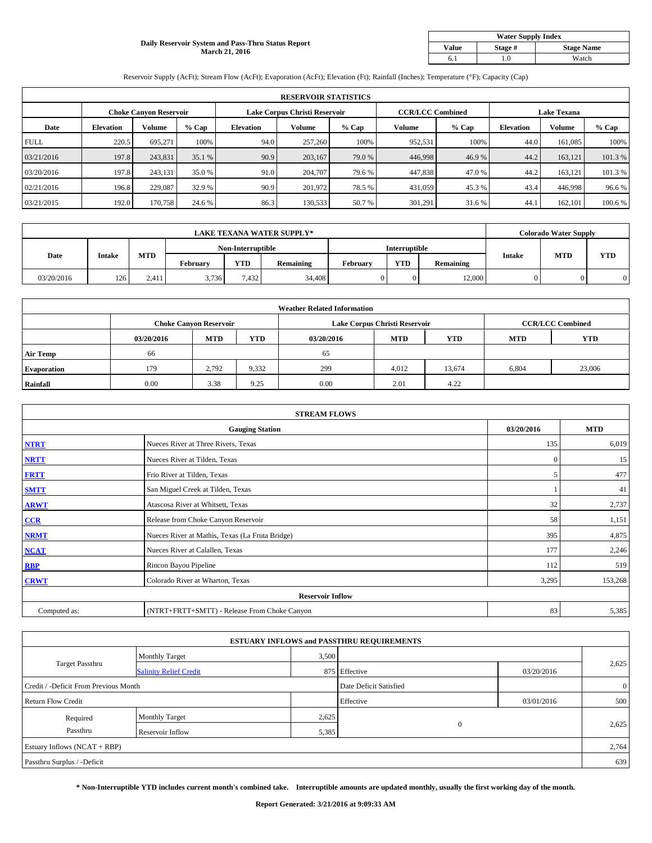#### **Daily Reservoir System and Pass-Thru Status Report March 21, 2016**

| <b>Water Supply Index</b> |         |                   |  |  |  |  |  |  |
|---------------------------|---------|-------------------|--|--|--|--|--|--|
| <b>Value</b>              | Stage # | <b>Stage Name</b> |  |  |  |  |  |  |
|                           | .0      | Watch             |  |  |  |  |  |  |

Reservoir Supply (AcFt); Stream Flow (AcFt); Evaporation (AcFt); Elevation (Ft); Rainfall (Inches); Temperature (°F); Capacity (Cap)

|             | <b>RESERVOIR STATISTICS</b> |                               |         |                               |         |         |                         |         |                    |               |         |  |
|-------------|-----------------------------|-------------------------------|---------|-------------------------------|---------|---------|-------------------------|---------|--------------------|---------------|---------|--|
|             |                             | <b>Choke Canyon Reservoir</b> |         | Lake Corpus Christi Reservoir |         |         | <b>CCR/LCC Combined</b> |         | <b>Lake Texana</b> |               |         |  |
| Date        | <b>Elevation</b>            | Volume                        | $%$ Cap | <b>Elevation</b>              | Volume  | $%$ Cap | Volume                  | $%$ Cap | <b>Elevation</b>   | <b>Volume</b> | % Cap   |  |
| <b>FULL</b> | 220.5                       | 695.271                       | 100%    | 94.0                          | 257,260 | 100%    | 952,531                 | 100%    | 44.0               | 161,085       | 100%    |  |
| 03/21/2016  | 197.8                       | 243,831                       | 35.1 %  | 90.9                          | 203,167 | 79.0 %  | 446,998                 | 46.9%   | 44.2               | 163,121       | 101.3%  |  |
| 03/20/2016  | 197.8                       | 243,131                       | 35.0 %  | 91.0                          | 204,707 | 79.6 %  | 447,838                 | 47.0 %  | 44.2               | 163,121       | 101.3 % |  |
| 02/21/2016  | 196.8                       | 229,087                       | 32.9 %  | 90.9                          | 201.972 | 78.5 %  | 431,059                 | 45.3 %  | 43.4               | 446,998       | 96.6%   |  |
| 03/21/2015  | 192.0                       | 170,758                       | 24.6 %  | 86.3                          | 130,533 | 50.7 %  | 301,291                 | 31.6 %  | 44.1               | 162,101       | 100.6%  |  |

| <b>LAKE TEXANA WATER SUPPLY*</b> |               |       |                   |            |           |               |            | <b>Colorado Water Supply</b> |               |            |            |
|----------------------------------|---------------|-------|-------------------|------------|-----------|---------------|------------|------------------------------|---------------|------------|------------|
|                                  |               |       | Non-Interruptible |            |           | Interruptible |            |                              |               |            |            |
| Date                             | <b>Intake</b> | MTD   | February          | <b>YTD</b> | Remaining | Februarv      | <b>YTD</b> | Remaining                    | <b>Intake</b> | <b>MTD</b> | <b>YTD</b> |
| 03/20/2016                       | 126           | 2.411 | 3,736             | 7.432      | 34,408    |               | $\Omega$   | 12.000                       | 0.            |            |            |

|                    | <b>Weather Related Information</b> |                               |            |            |                               |                         |            |            |  |  |  |  |
|--------------------|------------------------------------|-------------------------------|------------|------------|-------------------------------|-------------------------|------------|------------|--|--|--|--|
|                    |                                    | <b>Choke Canyon Reservoir</b> |            |            | Lake Corpus Christi Reservoir | <b>CCR/LCC Combined</b> |            |            |  |  |  |  |
|                    | 03/20/2016                         | <b>MTD</b>                    | <b>YTD</b> | 03/20/2016 | <b>MTD</b>                    | <b>YTD</b>              | <b>MTD</b> | <b>YTD</b> |  |  |  |  |
| <b>Air Temp</b>    | 66                                 |                               |            | 65         |                               |                         |            |            |  |  |  |  |
| <b>Evaporation</b> | 179                                | 2.792                         | 9,332      | 299        | 4,012                         | 13,674                  | 6,804      | 23,006     |  |  |  |  |
| Rainfall           | 0.00                               | 3.38                          | 9.25       | 0.00       | 2.01                          | 4.22                    |            |            |  |  |  |  |

| <b>STREAM FLOWS</b> |                                                 |              |            |  |  |  |  |  |  |
|---------------------|-------------------------------------------------|--------------|------------|--|--|--|--|--|--|
|                     | <b>Gauging Station</b>                          | 03/20/2016   | <b>MTD</b> |  |  |  |  |  |  |
| <b>NTRT</b>         | Nueces River at Three Rivers, Texas             | 135          | 6,019      |  |  |  |  |  |  |
| <b>NRTT</b>         | Nueces River at Tilden, Texas                   | $\mathbf{0}$ | 15         |  |  |  |  |  |  |
| <b>FRTT</b>         | Frio River at Tilden, Texas                     | 5            | 477        |  |  |  |  |  |  |
| <b>SMTT</b>         | San Miguel Creek at Tilden, Texas               |              | 41         |  |  |  |  |  |  |
| <b>ARWT</b>         | Atascosa River at Whitsett, Texas               | 32           | 2,737      |  |  |  |  |  |  |
| CCR                 | Release from Choke Canyon Reservoir             | 58           | 1,151      |  |  |  |  |  |  |
| <b>NRMT</b>         | Nueces River at Mathis, Texas (La Fruta Bridge) | 395          | 4,875      |  |  |  |  |  |  |
| <b>NCAT</b>         | Nueces River at Calallen, Texas                 | 177          | 2,246      |  |  |  |  |  |  |
| <b>RBP</b>          | Rincon Bayou Pipeline                           | 112          | 519        |  |  |  |  |  |  |
| <b>CRWT</b>         | Colorado River at Wharton, Texas                | 3,295        | 153,268    |  |  |  |  |  |  |
|                     | <b>Reservoir Inflow</b>                         |              |            |  |  |  |  |  |  |
| Computed as:        | (NTRT+FRTT+SMTT) - Release From Choke Canyon    | 83           | 5,385      |  |  |  |  |  |  |

| <b>ESTUARY INFLOWS and PASSTHRU REQUIREMENTS</b> |                               |                        |               |                |       |  |  |  |  |  |
|--------------------------------------------------|-------------------------------|------------------------|---------------|----------------|-------|--|--|--|--|--|
|                                                  | <b>Monthly Target</b>         | 3,500                  |               |                |       |  |  |  |  |  |
| <b>Target Passthru</b>                           | <b>Salinity Relief Credit</b> |                        | 875 Effective | 03/20/2016     | 2,625 |  |  |  |  |  |
| Credit / -Deficit From Previous Month            |                               | Date Deficit Satisfied |               | $\overline{0}$ |       |  |  |  |  |  |
| <b>Return Flow Credit</b>                        |                               |                        | Effective     | 03/01/2016     | 500   |  |  |  |  |  |
| Required                                         | Monthly Target                | 2,625                  |               |                |       |  |  |  |  |  |
| Passthru                                         | Reservoir Inflow              | 5,385                  | $\mathbf{0}$  |                | 2,625 |  |  |  |  |  |
| Estuary Inflows $(NCAT + RBP)$                   |                               |                        |               |                | 2,764 |  |  |  |  |  |
| Passthru Surplus / -Deficit                      |                               |                        |               |                | 639   |  |  |  |  |  |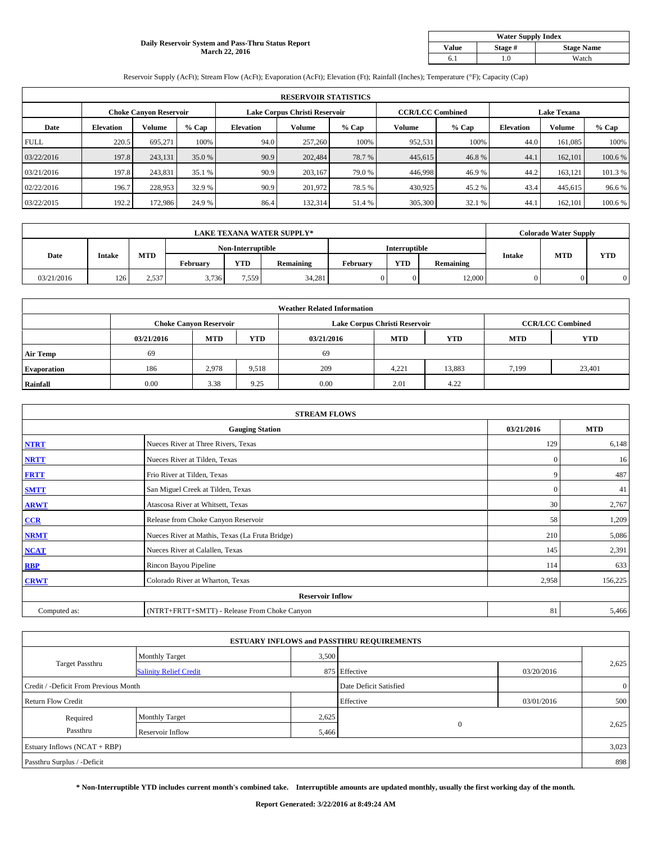#### **Daily Reservoir System and Pass-Thru Status Report March 22, 2016**

| <b>Water Supply Index</b> |         |                   |  |  |  |  |  |  |
|---------------------------|---------|-------------------|--|--|--|--|--|--|
| <b>Value</b>              | Stage # | <b>Stage Name</b> |  |  |  |  |  |  |
|                           | .0      | Watch             |  |  |  |  |  |  |

Reservoir Supply (AcFt); Stream Flow (AcFt); Evaporation (AcFt); Elevation (Ft); Rainfall (Inches); Temperature (°F); Capacity (Cap)

|             | <b>RESERVOIR STATISTICS</b> |                               |         |                               |         |         |                         |         |                    |               |         |  |
|-------------|-----------------------------|-------------------------------|---------|-------------------------------|---------|---------|-------------------------|---------|--------------------|---------------|---------|--|
|             |                             | <b>Choke Canyon Reservoir</b> |         | Lake Corpus Christi Reservoir |         |         | <b>CCR/LCC Combined</b> |         | <b>Lake Texana</b> |               |         |  |
| Date        | <b>Elevation</b>            | Volume                        | $%$ Cap | <b>Elevation</b>              | Volume  | $%$ Cap | Volume                  | $%$ Cap | <b>Elevation</b>   | <b>Volume</b> | % Cap   |  |
| <b>FULL</b> | 220.5                       | 695.271                       | 100%    | 94.0                          | 257,260 | 100%    | 952,531                 | 100%    | 44.0               | 161,085       | 100%    |  |
| 03/22/2016  | 197.8                       | 243,131                       | 35.0 %  | 90.9                          | 202,484 | 78.7%   | 445,615                 | 46.8%   | 44.1               | 162,101       | 100.6 % |  |
| 03/21/2016  | 197.8                       | 243,831                       | 35.1 %  | 90.9                          | 203,167 | 79.0 %  | 446,998                 | 46.9%   | 44.2               | 163,121       | 101.3 % |  |
| 02/22/2016  | 196.7                       | 228,953                       | 32.9 %  | 90.9                          | 201.972 | 78.5 %  | 430,925                 | 45.2%   | 43.4               | 445,615       | 96.6%   |  |
| 03/22/2015  | 192.2                       | 172,986                       | 24.9 %  | 86.4                          | 132,314 | 51.4 %  | 305,300                 | 32.1 %  | 44.1               | 162,101       | 100.6%  |  |

| <b>LAKE TEXANA WATER SUPPLY*</b> |               |       |                   |            |           |               |            | <b>Colorado Water Supply</b> |               |            |            |
|----------------------------------|---------------|-------|-------------------|------------|-----------|---------------|------------|------------------------------|---------------|------------|------------|
|                                  |               |       | Non-Interruptible |            |           | Interruptible |            |                              |               |            |            |
| Date                             | <b>Intake</b> | MTD   | Februarv          | <b>YTD</b> | Remaining | Februarv      | <b>YTD</b> | Remaining                    | <b>Intake</b> | <b>MTD</b> | <b>YTD</b> |
| 03/21/2016                       | 126           | 2,537 | 3,736             | 7,559      | 34,281    |               | $\Omega$   | 12,000                       | 0             |            |            |

|                    | <b>Weather Related Information</b> |                               |            |            |                               |                         |            |            |  |  |  |  |
|--------------------|------------------------------------|-------------------------------|------------|------------|-------------------------------|-------------------------|------------|------------|--|--|--|--|
|                    |                                    | <b>Choke Canyon Reservoir</b> |            |            | Lake Corpus Christi Reservoir | <b>CCR/LCC Combined</b> |            |            |  |  |  |  |
|                    | 03/21/2016                         | MTD                           | <b>YTD</b> | 03/21/2016 | <b>MTD</b>                    | <b>YTD</b>              | <b>MTD</b> | <b>YTD</b> |  |  |  |  |
| <b>Air Temp</b>    | 69                                 |                               |            | 69         |                               |                         |            |            |  |  |  |  |
| <b>Evaporation</b> | 186                                | 2,978                         | 9,518      | 209        | 4,221                         | 13,883                  | 7,199      | 23,401     |  |  |  |  |
| Rainfall           | 0.00                               | 3.38                          | 9.25       | 0.00       | 2.01                          | 4.22                    |            |            |  |  |  |  |

| <b>STREAM FLOWS</b> |                                                 |              |            |  |  |  |  |  |  |
|---------------------|-------------------------------------------------|--------------|------------|--|--|--|--|--|--|
|                     | <b>Gauging Station</b>                          | 03/21/2016   | <b>MTD</b> |  |  |  |  |  |  |
| <b>NTRT</b>         | Nueces River at Three Rivers, Texas             | 129          | 6,148      |  |  |  |  |  |  |
| <b>NRTT</b>         | Nueces River at Tilden, Texas                   | $\mathbf{0}$ | 16         |  |  |  |  |  |  |
| <b>FRTT</b>         | Frio River at Tilden, Texas                     | 9            | 487        |  |  |  |  |  |  |
| <b>SMTT</b>         | San Miguel Creek at Tilden, Texas               | $\mathbf{0}$ | 41         |  |  |  |  |  |  |
| <b>ARWT</b>         | Atascosa River at Whitsett, Texas               | 30           | 2,767      |  |  |  |  |  |  |
| CCR                 | Release from Choke Canyon Reservoir             | 58           | 1,209      |  |  |  |  |  |  |
| <b>NRMT</b>         | Nueces River at Mathis, Texas (La Fruta Bridge) | 210          | 5,086      |  |  |  |  |  |  |
| <b>NCAT</b>         | Nueces River at Calallen, Texas                 | 145          | 2,391      |  |  |  |  |  |  |
| <b>RBP</b>          | Rincon Bayou Pipeline                           | 114          | 633        |  |  |  |  |  |  |
| <b>CRWT</b>         | Colorado River at Wharton, Texas                | 2,958        | 156,225    |  |  |  |  |  |  |
|                     | <b>Reservoir Inflow</b>                         |              |            |  |  |  |  |  |  |
| Computed as:        | (NTRT+FRTT+SMTT) - Release From Choke Canyon    | 81           | 5,466      |  |  |  |  |  |  |

| <b>ESTUARY INFLOWS and PASSTHRU REQUIREMENTS</b> |                               |           |                        |            |                |  |  |  |  |  |
|--------------------------------------------------|-------------------------------|-----------|------------------------|------------|----------------|--|--|--|--|--|
|                                                  | <b>Monthly Target</b>         | 3,500     |                        |            |                |  |  |  |  |  |
| <b>Target Passthru</b>                           | <b>Salinity Relief Credit</b> |           | 875 Effective          | 03/20/2016 | 2,625          |  |  |  |  |  |
| Credit / -Deficit From Previous Month            |                               |           | Date Deficit Satisfied |            | $\overline{0}$ |  |  |  |  |  |
| <b>Return Flow Credit</b>                        |                               | Effective | 03/01/2016             | 500        |                |  |  |  |  |  |
| Required                                         | Monthly Target                | 2,625     |                        |            |                |  |  |  |  |  |
| Passthru                                         | Reservoir Inflow              | 5,466     | $\mathbf{0}$           |            | 2,625          |  |  |  |  |  |
| Estuary Inflows (NCAT + RBP)                     |                               |           |                        |            |                |  |  |  |  |  |
| Passthru Surplus / -Deficit                      |                               |           |                        |            | 898            |  |  |  |  |  |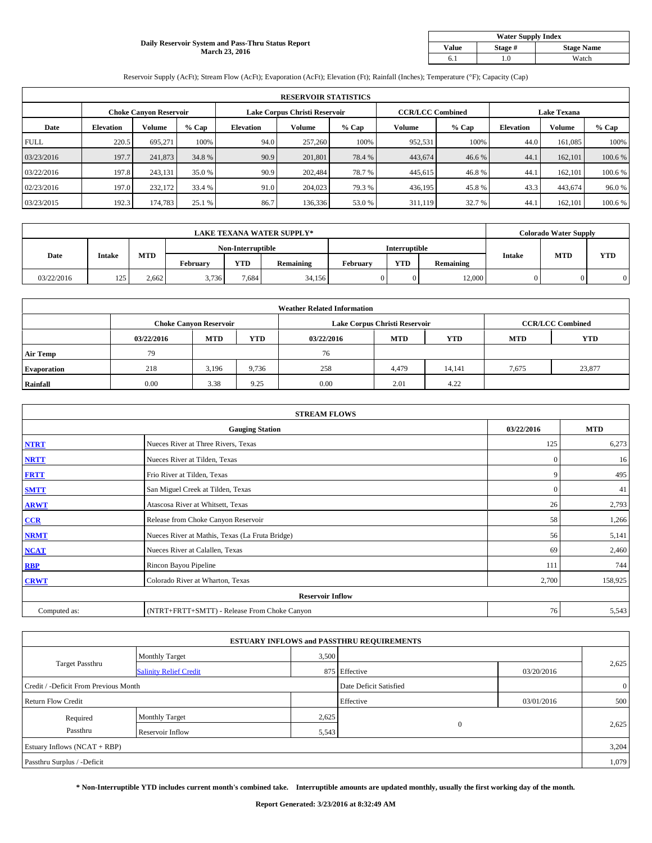#### **Daily Reservoir System and Pass-Thru Status Report March 23, 2016**

| <b>Water Supply Index</b> |         |                   |  |  |  |  |  |  |
|---------------------------|---------|-------------------|--|--|--|--|--|--|
| <b>Value</b>              | Stage # | <b>Stage Name</b> |  |  |  |  |  |  |
|                           | .0      | Watch             |  |  |  |  |  |  |

Reservoir Supply (AcFt); Stream Flow (AcFt); Evaporation (AcFt); Elevation (Ft); Rainfall (Inches); Temperature (°F); Capacity (Cap)

|             | <b>RESERVOIR STATISTICS</b> |                               |         |                               |         |         |                         |         |                    |               |         |  |
|-------------|-----------------------------|-------------------------------|---------|-------------------------------|---------|---------|-------------------------|---------|--------------------|---------------|---------|--|
|             |                             | <b>Choke Canyon Reservoir</b> |         | Lake Corpus Christi Reservoir |         |         | <b>CCR/LCC Combined</b> |         | <b>Lake Texana</b> |               |         |  |
| Date        | <b>Elevation</b>            | Volume                        | $%$ Cap | <b>Elevation</b>              | Volume  | $%$ Cap | Volume                  | $%$ Cap | <b>Elevation</b>   | <b>Volume</b> | % Cap   |  |
| <b>FULL</b> | 220.5                       | 695.271                       | 100%    | 94.0                          | 257,260 | 100%    | 952,531                 | 100%    | 44.0               | 161,085       | 100%    |  |
| 03/23/2016  | 197.7                       | 241,873                       | 34.8%   | 90.9                          | 201,801 | 78.4 %  | 443,674                 | 46.6%   | 44.1               | 162,101       | 100.6 % |  |
| 03/22/2016  | 197.8                       | 243,131                       | 35.0 %  | 90.9                          | 202.484 | 78.7%   | 445,615                 | 46.8%   | 44.1               | 162,101       | 100.6 % |  |
| 02/23/2016  | 197.0                       | 232,172                       | 33.4 %  | 91.0                          | 204,023 | 79.3 %  | 436,195                 | 45.8%   | 43.3               | 443,674       | 96.0%   |  |
| 03/23/2015  | 192.3                       | 174,783                       | 25.1 %  | 86.7                          | 136,336 | 53.0 %  | 311,119                 | 32.7 %  | 44.1               | 162,101       | 100.6%  |  |

| <b>LAKE TEXANA WATER SUPPLY*</b> |               |       |          |                   |           |          |               | <b>Colorado Water Supply</b> |               |            |            |
|----------------------------------|---------------|-------|----------|-------------------|-----------|----------|---------------|------------------------------|---------------|------------|------------|
|                                  |               |       |          | Non-Interruptible |           |          | Interruptible |                              |               |            |            |
| Date                             | <b>Intake</b> | MTD   | Februarv | <b>YTD</b>        | Remaining | Februarv | <b>YTD</b>    | Remaining                    | <b>Intake</b> | <b>MTD</b> | <b>YTD</b> |
| 03/22/2016                       | 125           | 2,662 | 3,736    | 7,684             | 34,156    |          | $\Omega$      | 12,000                       | 0             |            |            |

|                    |            |                               |            | <b>Weather Related Information</b> |                               |                         |            |            |
|--------------------|------------|-------------------------------|------------|------------------------------------|-------------------------------|-------------------------|------------|------------|
|                    |            | <b>Choke Canyon Reservoir</b> |            |                                    | Lake Corpus Christi Reservoir | <b>CCR/LCC Combined</b> |            |            |
|                    | 03/22/2016 | <b>MTD</b>                    | <b>YTD</b> | 03/22/2016                         | <b>MTD</b>                    | <b>YTD</b>              | <b>MTD</b> | <b>YTD</b> |
| <b>Air Temp</b>    | 79         |                               |            | 76                                 |                               |                         |            |            |
| <b>Evaporation</b> | 218        | 3,196                         | 9,736      | 258                                | 4,479                         | 14,141                  | 7,675      | 23,877     |
| Rainfall           | 0.00       | 3.38                          | 9.25       | 0.00                               | 2.01                          | 4.22                    |            |            |

| <b>STREAM FLOWS</b> |                                                 |              |            |  |  |  |  |  |  |
|---------------------|-------------------------------------------------|--------------|------------|--|--|--|--|--|--|
|                     | <b>Gauging Station</b>                          | 03/22/2016   | <b>MTD</b> |  |  |  |  |  |  |
| <b>NTRT</b>         | Nueces River at Three Rivers, Texas             | 125          | 6,273      |  |  |  |  |  |  |
| <b>NRTT</b>         | Nueces River at Tilden, Texas                   | $\mathbf{0}$ | 16         |  |  |  |  |  |  |
| <b>FRTT</b>         | Frio River at Tilden, Texas                     | 9            | 495        |  |  |  |  |  |  |
| <b>SMTT</b>         | San Miguel Creek at Tilden, Texas               | $\mathbf{0}$ | 41         |  |  |  |  |  |  |
| <b>ARWT</b>         | Atascosa River at Whitsett, Texas               | 26           | 2,793      |  |  |  |  |  |  |
| CCR                 | Release from Choke Canyon Reservoir             | 58           | 1,266      |  |  |  |  |  |  |
| <b>NRMT</b>         | Nueces River at Mathis, Texas (La Fruta Bridge) | 56           | 5,141      |  |  |  |  |  |  |
| <b>NCAT</b>         | Nueces River at Calallen, Texas                 | 69           | 2,460      |  |  |  |  |  |  |
| <b>RBP</b>          | Rincon Bayou Pipeline                           | 111          | 744        |  |  |  |  |  |  |
| <b>CRWT</b>         | Colorado River at Wharton, Texas                | 2,700        | 158,925    |  |  |  |  |  |  |
|                     | <b>Reservoir Inflow</b>                         |              |            |  |  |  |  |  |  |
| Computed as:        | (NTRT+FRTT+SMTT) - Release From Choke Canyon    | 76           | 5,543      |  |  |  |  |  |  |

|                                       |                               |                        | <b>ESTUARY INFLOWS and PASSTHRU REQUIREMENTS</b> |                |       |  |  |
|---------------------------------------|-------------------------------|------------------------|--------------------------------------------------|----------------|-------|--|--|
|                                       | <b>Monthly Target</b>         | 3,500                  |                                                  |                |       |  |  |
| <b>Target Passthru</b>                | <b>Salinity Relief Credit</b> |                        | 875 Effective                                    | 03/20/2016     | 2,625 |  |  |
| Credit / -Deficit From Previous Month |                               | Date Deficit Satisfied |                                                  | $\overline{0}$ |       |  |  |
| <b>Return Flow Credit</b>             |                               |                        | Effective                                        | 03/01/2016     | 500   |  |  |
| Required                              | <b>Monthly Target</b>         | 2,625                  |                                                  |                |       |  |  |
| Passthru                              | Reservoir Inflow              | 5,543                  | $\mathbf{0}$                                     |                | 2,625 |  |  |
| Estuary Inflows (NCAT + RBP)          |                               |                        |                                                  |                |       |  |  |
| Passthru Surplus / -Deficit           |                               |                        |                                                  |                | 1,079 |  |  |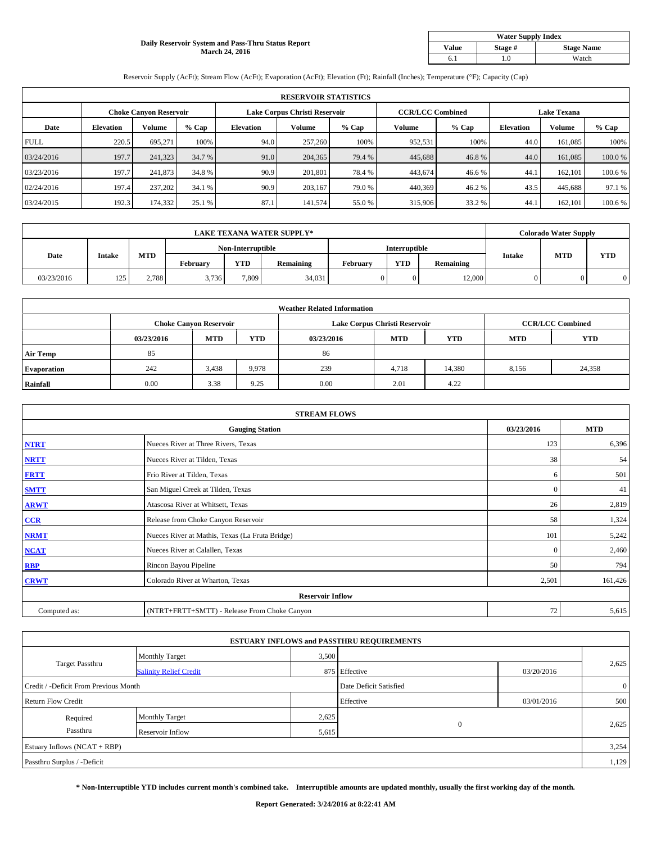#### **Daily Reservoir System and Pass-Thru Status Report March 24, 2016**

| <b>Water Supply Index</b> |         |                   |  |  |  |  |  |  |
|---------------------------|---------|-------------------|--|--|--|--|--|--|
| <b>Value</b>              | Stage # | <b>Stage Name</b> |  |  |  |  |  |  |
|                           | .0      | Watch             |  |  |  |  |  |  |

Reservoir Supply (AcFt); Stream Flow (AcFt); Evaporation (AcFt); Elevation (Ft); Rainfall (Inches); Temperature (°F); Capacity (Cap)

|             | <b>RESERVOIR STATISTICS</b> |                               |         |                               |         |         |                         |         |                    |               |         |  |
|-------------|-----------------------------|-------------------------------|---------|-------------------------------|---------|---------|-------------------------|---------|--------------------|---------------|---------|--|
|             |                             | <b>Choke Canyon Reservoir</b> |         | Lake Corpus Christi Reservoir |         |         | <b>CCR/LCC Combined</b> |         | <b>Lake Texana</b> |               |         |  |
| Date        | <b>Elevation</b>            | Volume                        | $%$ Cap | <b>Elevation</b>              | Volume  | $%$ Cap | Volume                  | $%$ Cap | <b>Elevation</b>   | <b>Volume</b> | % Cap   |  |
| <b>FULL</b> | 220.5                       | 695.271                       | 100%    | 94.0                          | 257,260 | 100%    | 952,531                 | 100%    | 44.0               | 161,085       | 100%    |  |
| 03/24/2016  | 197.7                       | 241,323                       | 34.7 %  | 91.0                          | 204,365 | 79.4 %  | 445,688                 | 46.8%   | 44.0               | 161,085       | 100.0%  |  |
| 03/23/2016  | 197.7                       | 241,873                       | 34.8 %  | 90.9                          | 201.801 | 78.4 %  | 443,674                 | 46.6 %  | 44.1               | 162,101       | 100.6 % |  |
| 02/24/2016  | 197.4                       | 237,202                       | 34.1 %  | 90.9                          | 203.167 | 79.0 %  | 440,369                 | 46.2%   | 43.5               | 445,688       | 97.1 %  |  |
| 03/24/2015  | 192.3                       | 174,332                       | 25.1 %  | 87.1                          | 141,574 | 55.0%   | 315,906                 | 33.2 %  | 44.1               | 162,101       | 100.6%  |  |

| <b>LAKE TEXANA WATER SUPPLY*</b> |               |                   |          |            |               |          | <b>Colorado Water Supply</b> |           |               |            |            |
|----------------------------------|---------------|-------------------|----------|------------|---------------|----------|------------------------------|-----------|---------------|------------|------------|
|                                  |               | Non-Interruptible |          |            | Interruptible |          |                              |           |               |            |            |
| Date                             | <b>Intake</b> | MTD               | Februarv | <b>YTD</b> | Remaining     | Februarv | <b>YTD</b>                   | Remaining | <b>Intake</b> | <b>MTD</b> | <b>YTD</b> |
| 03/23/2016                       | 125           | 2.788             | 3,736    | 7,809      | 34,031        |          | $\Omega$                     | 12,000    | 0             |            |            |

|                    |            |                               |            | <b>Weather Related Information</b> |                               |                         |            |            |
|--------------------|------------|-------------------------------|------------|------------------------------------|-------------------------------|-------------------------|------------|------------|
|                    |            | <b>Choke Canyon Reservoir</b> |            |                                    | Lake Corpus Christi Reservoir | <b>CCR/LCC Combined</b> |            |            |
|                    | 03/23/2016 | MTD                           | <b>YTD</b> | 03/23/2016                         | <b>MTD</b>                    | <b>YTD</b>              | <b>MTD</b> | <b>YTD</b> |
| <b>Air Temp</b>    | 85         |                               |            | 86                                 |                               |                         |            |            |
| <b>Evaporation</b> | 242        | 3,438                         | 9,978      | 239                                | 4,718                         | 14,380                  | 8,156      | 24,358     |
| Rainfall           | 0.00       | 3.38                          | 9.25       | 0.00                               | 2.01                          | 4.22                    |            |            |

| <b>STREAM FLOWS</b> |                                                 |              |            |  |  |  |  |  |  |
|---------------------|-------------------------------------------------|--------------|------------|--|--|--|--|--|--|
|                     | <b>Gauging Station</b>                          | 03/23/2016   | <b>MTD</b> |  |  |  |  |  |  |
| <b>NTRT</b>         | Nueces River at Three Rivers, Texas             | 123          | 6,396      |  |  |  |  |  |  |
| <b>NRTT</b>         | Nueces River at Tilden, Texas                   | 38           | 54         |  |  |  |  |  |  |
| <b>FRTT</b>         | Frio River at Tilden, Texas                     | 6            | 501        |  |  |  |  |  |  |
| <b>SMTT</b>         | San Miguel Creek at Tilden, Texas               | $\mathbf{0}$ | 41         |  |  |  |  |  |  |
| <b>ARWT</b>         | Atascosa River at Whitsett, Texas               | 26           | 2,819      |  |  |  |  |  |  |
| CCR                 | Release from Choke Canyon Reservoir             | 58           | 1,324      |  |  |  |  |  |  |
| <b>NRMT</b>         | Nueces River at Mathis, Texas (La Fruta Bridge) | 101          | 5,242      |  |  |  |  |  |  |
| <b>NCAT</b>         | Nueces River at Calallen, Texas                 | $\mathbf{0}$ | 2,460      |  |  |  |  |  |  |
| <b>RBP</b>          | Rincon Bayou Pipeline                           | 50           | 794        |  |  |  |  |  |  |
| <b>CRWT</b>         | Colorado River at Wharton, Texas                | 2,501        | 161,426    |  |  |  |  |  |  |
|                     | <b>Reservoir Inflow</b>                         |              |            |  |  |  |  |  |  |
| Computed as:        | (NTRT+FRTT+SMTT) - Release From Choke Canyon    | 72           | 5,615      |  |  |  |  |  |  |

|                                       |                               |                        | <b>ESTUARY INFLOWS and PASSTHRU REQUIREMENTS</b> |                |       |  |  |
|---------------------------------------|-------------------------------|------------------------|--------------------------------------------------|----------------|-------|--|--|
|                                       | <b>Monthly Target</b>         | 3,500                  |                                                  |                |       |  |  |
| <b>Target Passthru</b>                | <b>Salinity Relief Credit</b> |                        | 875 Effective                                    | 03/20/2016     | 2,625 |  |  |
| Credit / -Deficit From Previous Month |                               | Date Deficit Satisfied |                                                  | $\overline{0}$ |       |  |  |
| <b>Return Flow Credit</b>             |                               |                        | Effective                                        | 03/01/2016     | 500   |  |  |
| Required                              | <b>Monthly Target</b>         | 2,625                  |                                                  |                |       |  |  |
| Passthru                              | Reservoir Inflow              | 5,615                  | $\mathbf{0}$                                     |                | 2,625 |  |  |
| Estuary Inflows (NCAT + RBP)          |                               |                        |                                                  |                |       |  |  |
| Passthru Surplus / -Deficit           |                               |                        |                                                  |                | 1,129 |  |  |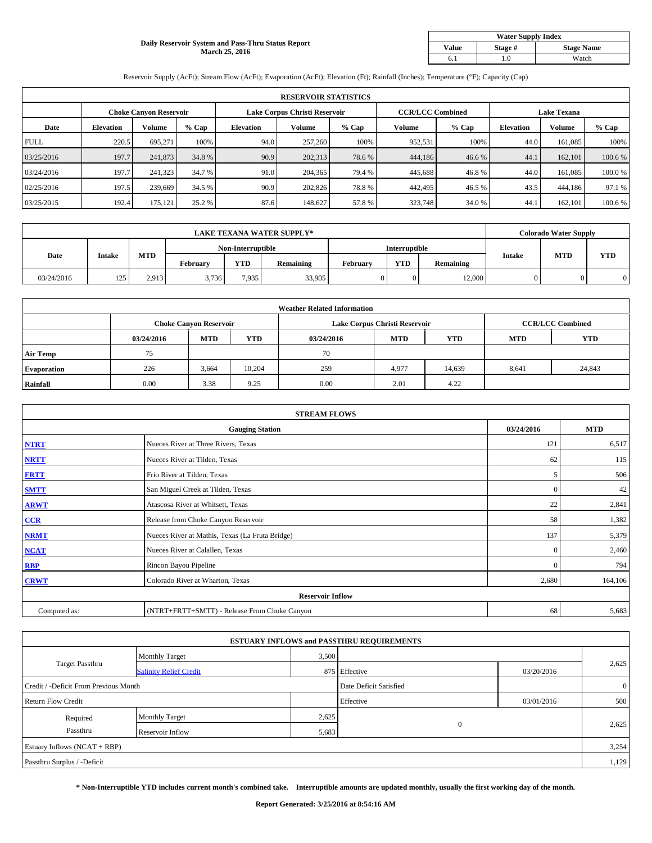#### **Daily Reservoir System and Pass-Thru Status Report March 25, 2016**

| <b>Water Supply Index</b> |         |                   |  |  |  |  |  |  |
|---------------------------|---------|-------------------|--|--|--|--|--|--|
| <b>Value</b>              | Stage # | <b>Stage Name</b> |  |  |  |  |  |  |
|                           | .0      | Watch             |  |  |  |  |  |  |

Reservoir Supply (AcFt); Stream Flow (AcFt); Evaporation (AcFt); Elevation (Ft); Rainfall (Inches); Temperature (°F); Capacity (Cap)

|             | <b>RESERVOIR STATISTICS</b> |                               |         |                  |                               |         |                         |         |                    |               |         |  |
|-------------|-----------------------------|-------------------------------|---------|------------------|-------------------------------|---------|-------------------------|---------|--------------------|---------------|---------|--|
|             |                             | <b>Choke Canyon Reservoir</b> |         |                  | Lake Corpus Christi Reservoir |         | <b>CCR/LCC Combined</b> |         | <b>Lake Texana</b> |               |         |  |
| Date        | <b>Elevation</b>            | Volume                        | $%$ Cap | <b>Elevation</b> | Volume                        | $%$ Cap | Volume                  | $%$ Cap | <b>Elevation</b>   | <b>Volume</b> | % Cap   |  |
| <b>FULL</b> | 220.5                       | 695.271                       | 100%    | 94.0             | 257,260                       | 100%    | 952,531                 | 100%    | 44.0               | 161,085       | 100%    |  |
| 03/25/2016  | 197.7                       | 241,873                       | 34.8%   | 90.9             | 202,313                       | 78.6%   | 444,186                 | 46.6%   | 44.1               | 162,101       | 100.6 % |  |
| 03/24/2016  | 197.7                       | 241,323                       | 34.7 %  | 91.0             | 204,365                       | 79.4 %  | 445,688                 | 46.8%   | 44.0               | 161,085       | 100.0%  |  |
| 02/25/2016  | 197.5                       | 239,669                       | 34.5 %  | 90.9             | 202,826                       | 78.8%   | 442,495                 | 46.5 %  | 43.5               | 444,186       | 97.1 %  |  |
| 03/25/2015  | 192.4                       | 175,121                       | 25.2 %  | 87.6             | 148,627                       | 57.8%   | 323,748                 | 34.0%   | 44.1               | 162,101       | 100.6%  |  |

| <b>LAKE TEXANA WATER SUPPLY*</b> |               |       |          |                   |           |               | <b>Colorado Water Supply</b> |           |               |            |            |
|----------------------------------|---------------|-------|----------|-------------------|-----------|---------------|------------------------------|-----------|---------------|------------|------------|
|                                  |               |       |          | Non-Interruptible |           | Interruptible |                              |           |               |            |            |
| Date                             | <b>Intake</b> | MTD   | Februarv | <b>YTD</b>        | Remaining | Februarv      | <b>YTD</b>                   | Remaining | <b>Intake</b> | <b>MTD</b> | <b>YTD</b> |
| 03/24/2016                       | 125           | 2,913 | 3,736    | 7,935             | 33,905    |               | $\Omega$                     | 12,000    | 0             |            |            |

|                    |            |                               |        | <b>Weather Related Information</b> |                               |                         |            |            |
|--------------------|------------|-------------------------------|--------|------------------------------------|-------------------------------|-------------------------|------------|------------|
|                    |            | <b>Choke Canyon Reservoir</b> |        |                                    | Lake Corpus Christi Reservoir | <b>CCR/LCC Combined</b> |            |            |
|                    | 03/24/2016 | <b>MTD</b>                    | YTD    | 03/24/2016                         | <b>MTD</b>                    | <b>YTD</b>              | <b>MTD</b> | <b>YTD</b> |
| <b>Air Temp</b>    | 75         |                               |        | 70                                 |                               |                         |            |            |
| <b>Evaporation</b> | 226        | 3,664                         | 10,204 | 259                                | 4,977                         | 14,639                  | 8,641      | 24,843     |
| Rainfall           | 0.00       | 3.38                          | 9.25   | 0.00                               | 2.01                          | 4.22                    |            |            |

| <b>STREAM FLOWS</b> |                                                 |              |            |  |  |  |  |  |  |
|---------------------|-------------------------------------------------|--------------|------------|--|--|--|--|--|--|
|                     | <b>Gauging Station</b>                          | 03/24/2016   | <b>MTD</b> |  |  |  |  |  |  |
| <b>NTRT</b>         | Nueces River at Three Rivers, Texas             | 121          | 6,517      |  |  |  |  |  |  |
| <b>NRTT</b>         | Nueces River at Tilden, Texas                   | 62           | 115        |  |  |  |  |  |  |
| <b>FRTT</b>         | Frio River at Tilden, Texas                     | 5            | 506        |  |  |  |  |  |  |
| <b>SMTT</b>         | San Miguel Creek at Tilden, Texas               | $\mathbf{0}$ | 42         |  |  |  |  |  |  |
| <b>ARWT</b>         | Atascosa River at Whitsett, Texas               | 22           | 2,841      |  |  |  |  |  |  |
| CCR                 | Release from Choke Canyon Reservoir             | 58           | 1,382      |  |  |  |  |  |  |
| <b>NRMT</b>         | Nueces River at Mathis, Texas (La Fruta Bridge) | 137          | 5,379      |  |  |  |  |  |  |
| <b>NCAT</b>         | Nueces River at Calallen, Texas                 | $\mathbf{0}$ | 2,460      |  |  |  |  |  |  |
| <b>RBP</b>          | Rincon Bayou Pipeline                           | $\mathbf{0}$ | 794        |  |  |  |  |  |  |
| <b>CRWT</b>         | Colorado River at Wharton, Texas                | 2,680        | 164,106    |  |  |  |  |  |  |
|                     | <b>Reservoir Inflow</b>                         |              |            |  |  |  |  |  |  |
| Computed as:        | (NTRT+FRTT+SMTT) - Release From Choke Canyon    | 68           | 5,683      |  |  |  |  |  |  |

| <b>ESTUARY INFLOWS and PASSTHRU REQUIREMENTS</b> |                               |           |                        |            |                |  |  |  |  |  |
|--------------------------------------------------|-------------------------------|-----------|------------------------|------------|----------------|--|--|--|--|--|
|                                                  | <b>Monthly Target</b>         | 3,500     |                        |            |                |  |  |  |  |  |
| <b>Target Passthru</b>                           | <b>Salinity Relief Credit</b> |           | 875 Effective          | 03/20/2016 | 2,625          |  |  |  |  |  |
| Credit / -Deficit From Previous Month            |                               |           | Date Deficit Satisfied |            | $\overline{0}$ |  |  |  |  |  |
| <b>Return Flow Credit</b>                        |                               | Effective | 03/01/2016             | 500        |                |  |  |  |  |  |
| Required                                         | Monthly Target                | 2,625     |                        |            |                |  |  |  |  |  |
| Passthru                                         | Reservoir Inflow              | 5,683     | $\mathbf{0}$           |            | 2,625          |  |  |  |  |  |
| Estuary Inflows (NCAT + RBP)                     |                               |           |                        |            |                |  |  |  |  |  |
| Passthru Surplus / -Deficit                      |                               |           |                        |            | 1,129          |  |  |  |  |  |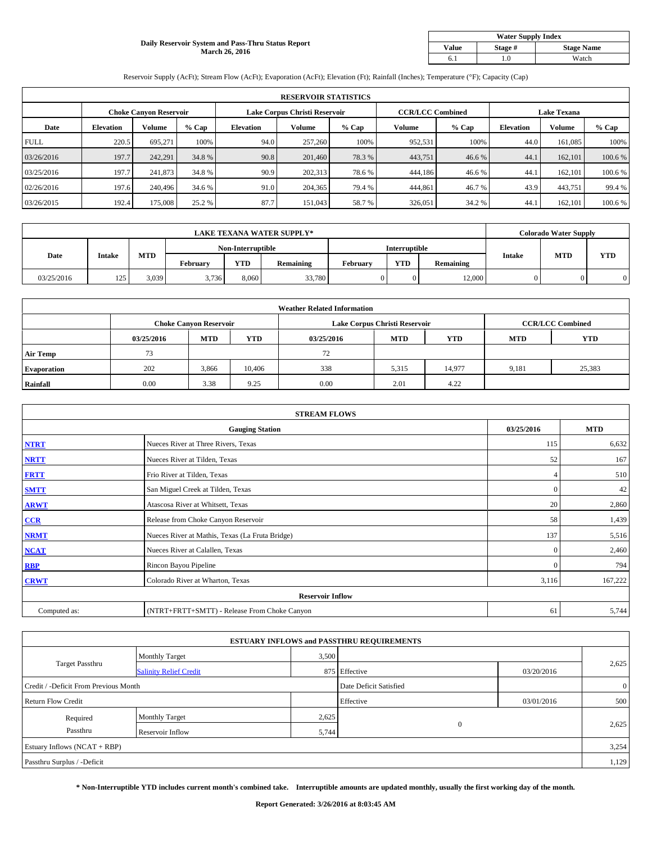#### **Daily Reservoir System and Pass-Thru Status Report March 26, 2016**

| <b>Water Supply Index</b> |         |                   |  |  |  |  |  |  |
|---------------------------|---------|-------------------|--|--|--|--|--|--|
| <b>Value</b>              | Stage # | <b>Stage Name</b> |  |  |  |  |  |  |
|                           | .0      | Watch             |  |  |  |  |  |  |

Reservoir Supply (AcFt); Stream Flow (AcFt); Evaporation (AcFt); Elevation (Ft); Rainfall (Inches); Temperature (°F); Capacity (Cap)

|             | <b>RESERVOIR STATISTICS</b> |                               |         |                               |         |         |                         |         |                    |               |         |  |
|-------------|-----------------------------|-------------------------------|---------|-------------------------------|---------|---------|-------------------------|---------|--------------------|---------------|---------|--|
|             |                             | <b>Choke Canyon Reservoir</b> |         | Lake Corpus Christi Reservoir |         |         | <b>CCR/LCC Combined</b> |         | <b>Lake Texana</b> |               |         |  |
| Date        | <b>Elevation</b>            | Volume                        | $%$ Cap | <b>Elevation</b>              | Volume  | $%$ Cap | Volume                  | $%$ Cap | <b>Elevation</b>   | <b>Volume</b> | % Cap   |  |
| <b>FULL</b> | 220.5                       | 695.271                       | 100%    | 94.0                          | 257,260 | 100%    | 952,531                 | 100%    | 44.0               | 161,085       | 100%    |  |
| 03/26/2016  | 197.7                       | 242.291                       | 34.8 %  | 90.8                          | 201,460 | 78.3%   | 443,751                 | 46.6%   | 44.1               | 162,101       | 100.6 % |  |
| 03/25/2016  | 197.7                       | 241,873                       | 34.8%   | 90.9                          | 202,313 | 78.6%   | 444,186                 | 46.6 %  | 44.1               | 162,101       | 100.6 % |  |
| 02/26/2016  | 197.6                       | 240,496                       | 34.6 %  | 91.0                          | 204,365 | 79.4 %  | 444,861                 | 46.7%   | 43.9               | 443,751       | 99.4 %  |  |
| 03/26/2015  | 192.4                       | 175,008                       | 25.2 %  | 87.7                          | 151,043 | 58.7%   | 326,051                 | 34.2 %  | 44.1               | 162,101       | 100.6%  |  |

| <b>LAKE TEXANA WATER SUPPLY*</b> |               |                   |          |               |           |          | <b>Colorado Water Supply</b> |           |               |            |            |
|----------------------------------|---------------|-------------------|----------|---------------|-----------|----------|------------------------------|-----------|---------------|------------|------------|
|                                  |               | Non-Interruptible |          | Interruptible |           |          |                              |           |               |            |            |
| Date                             | <b>Intake</b> | MTD               | Februarv | <b>YTD</b>    | Remaining | Februarv | <b>YTD</b>                   | Remaining | <b>Intake</b> | <b>MTD</b> | <b>YTD</b> |
| 03/25/2016                       | 125           | 3.039             | 3,736    | 8.060         | 33,780    |          | $\Omega$                     | 12,000    | 0             |            |            |

|                    | <b>Weather Related Information</b> |                               |        |            |                               |                         |            |            |  |  |  |  |
|--------------------|------------------------------------|-------------------------------|--------|------------|-------------------------------|-------------------------|------------|------------|--|--|--|--|
|                    |                                    | <b>Choke Canyon Reservoir</b> |        |            | Lake Corpus Christi Reservoir | <b>CCR/LCC Combined</b> |            |            |  |  |  |  |
|                    | 03/25/2016                         | <b>MTD</b>                    | YTD    | 03/25/2016 | <b>MTD</b>                    | <b>YTD</b>              | <b>MTD</b> | <b>YTD</b> |  |  |  |  |
| <b>Air Temp</b>    | 73                                 |                               |        | 72         |                               |                         |            |            |  |  |  |  |
| <b>Evaporation</b> | 202                                | 3,866                         | 10,406 | 338        | 5,315                         | 14,977                  | 9,181      | 25,383     |  |  |  |  |
| Rainfall           | 0.00                               | 3.38                          | 9.25   | 0.00       | 2.01                          | 4.22                    |            |            |  |  |  |  |

| <b>STREAM FLOWS</b> |                                                 |              |            |  |  |  |  |  |  |
|---------------------|-------------------------------------------------|--------------|------------|--|--|--|--|--|--|
|                     | <b>Gauging Station</b>                          | 03/25/2016   | <b>MTD</b> |  |  |  |  |  |  |
| <b>NTRT</b>         | Nueces River at Three Rivers, Texas             | 115          | 6,632      |  |  |  |  |  |  |
| <b>NRTT</b>         | Nueces River at Tilden, Texas                   | 52           | 167        |  |  |  |  |  |  |
| <b>FRTT</b>         | Frio River at Tilden, Texas                     | 4            | 510        |  |  |  |  |  |  |
| <b>SMTT</b>         | San Miguel Creek at Tilden, Texas               | $\mathbf{0}$ | 42         |  |  |  |  |  |  |
| <b>ARWT</b>         | Atascosa River at Whitsett, Texas               | 20           | 2,860      |  |  |  |  |  |  |
| CCR                 | Release from Choke Canyon Reservoir             | 58           | 1,439      |  |  |  |  |  |  |
| <b>NRMT</b>         | Nueces River at Mathis, Texas (La Fruta Bridge) | 137          | 5,516      |  |  |  |  |  |  |
| <b>NCAT</b>         | Nueces River at Calallen, Texas                 | $\mathbf{0}$ | 2,460      |  |  |  |  |  |  |
| <b>RBP</b>          | Rincon Bayou Pipeline                           | $\Omega$     | 794        |  |  |  |  |  |  |
| <b>CRWT</b>         | Colorado River at Wharton, Texas                | 3,116        | 167,222    |  |  |  |  |  |  |
|                     | <b>Reservoir Inflow</b>                         |              |            |  |  |  |  |  |  |
| Computed as:        | (NTRT+FRTT+SMTT) - Release From Choke Canyon    | 61           | 5,744      |  |  |  |  |  |  |

|                                       |                               |                        | <b>ESTUARY INFLOWS and PASSTHRU REQUIREMENTS</b> |                |       |  |  |
|---------------------------------------|-------------------------------|------------------------|--------------------------------------------------|----------------|-------|--|--|
|                                       | <b>Monthly Target</b>         | 3,500                  |                                                  |                |       |  |  |
| <b>Target Passthru</b>                | <b>Salinity Relief Credit</b> |                        | 875 Effective                                    | 03/20/2016     | 2,625 |  |  |
| Credit / -Deficit From Previous Month |                               | Date Deficit Satisfied |                                                  | $\overline{0}$ |       |  |  |
| <b>Return Flow Credit</b>             |                               |                        | Effective                                        | 03/01/2016     | 500   |  |  |
| Required                              | <b>Monthly Target</b>         | 2,625                  |                                                  |                |       |  |  |
| Passthru                              | Reservoir Inflow              | 5,744                  | $\mathbf{0}$                                     |                | 2,625 |  |  |
| Estuary Inflows (NCAT + RBP)          |                               |                        |                                                  |                |       |  |  |
| Passthru Surplus / -Deficit           |                               |                        |                                                  |                | 1,129 |  |  |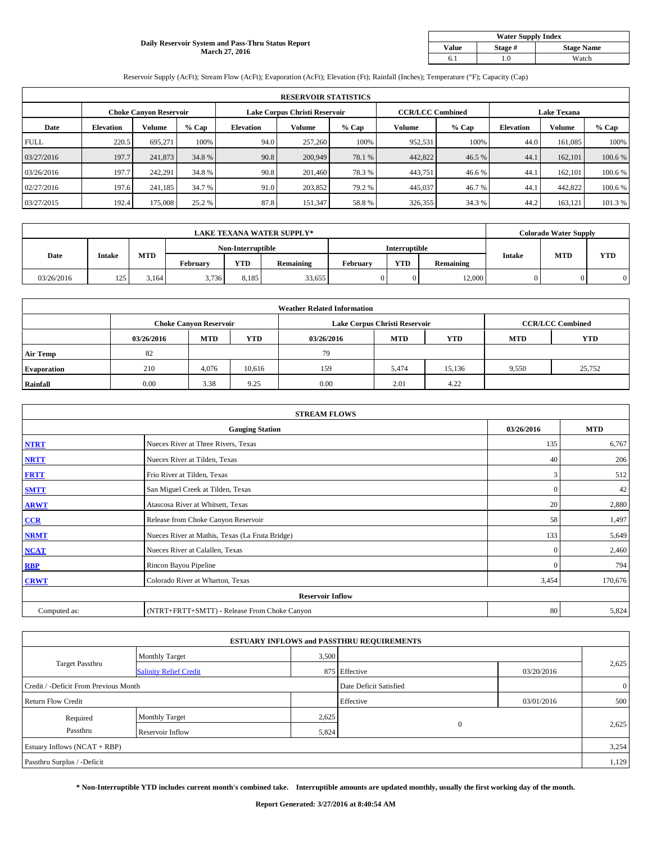#### **Daily Reservoir System and Pass-Thru Status Report March 27, 2016**

| <b>Water Supply Index</b> |         |                   |  |  |  |  |  |  |
|---------------------------|---------|-------------------|--|--|--|--|--|--|
| <b>Value</b>              | Stage # | <b>Stage Name</b> |  |  |  |  |  |  |
|                           | .0      | Watch             |  |  |  |  |  |  |

Reservoir Supply (AcFt); Stream Flow (AcFt); Evaporation (AcFt); Elevation (Ft); Rainfall (Inches); Temperature (°F); Capacity (Cap)

| <b>RESERVOIR STATISTICS</b> |                  |                               |         |                               |         |         |                         |         |                    |               |         |  |
|-----------------------------|------------------|-------------------------------|---------|-------------------------------|---------|---------|-------------------------|---------|--------------------|---------------|---------|--|
|                             |                  | <b>Choke Canyon Reservoir</b> |         | Lake Corpus Christi Reservoir |         |         | <b>CCR/LCC Combined</b> |         | <b>Lake Texana</b> |               |         |  |
| Date                        | <b>Elevation</b> | Volume                        | $%$ Cap | <b>Elevation</b>              | Volume  | $%$ Cap | Volume                  | $%$ Cap | <b>Elevation</b>   | <b>Volume</b> | % Cap   |  |
| <b>FULL</b>                 | 220.5            | 695.271                       | 100%    | 94.0                          | 257,260 | 100%    | 952,531                 | 100%    | 44.0               | 161,085       | 100%    |  |
| 03/27/2016                  | 197.7            | 241,873                       | 34.8 %  | 90.8                          | 200,949 | 78.1 %  | 442,822                 | 46.5 %  | 44.1               | 162,101       | 100.6 % |  |
| 03/26/2016                  | 197.7            | 242.291                       | 34.8 %  | 90.8                          | 201,460 | 78.3 %  | 443,751                 | 46.6 %  | 44.1               | 162,101       | 100.6 % |  |
| 02/27/2016                  | 197.6            | 241.185                       | 34.7 %  | 91.0                          | 203.852 | 79.2 %  | 445,037                 | 46.7%   | 44.1               | 442,822       | 100.6 % |  |
| 03/27/2015                  | 192.4            | 175,008                       | 25.2 %  | 87.8                          | 151,347 | 58.8%   | 326,355                 | 34.3 %  | 44.2               | 163,121       | 101.3%  |  |

| <b>LAKE TEXANA WATER SUPPLY*</b> |               |       |                   |            |           |               |            | <b>Colorado Water Supply</b> |               |            |            |
|----------------------------------|---------------|-------|-------------------|------------|-----------|---------------|------------|------------------------------|---------------|------------|------------|
|                                  |               |       | Non-Interruptible |            |           | Interruptible |            |                              |               |            |            |
| Date                             | <b>Intake</b> | MTD   | Februarv          | <b>YTD</b> | Remaining | Februarv      | <b>YTD</b> | Remaining                    | <b>Intake</b> | <b>MTD</b> | <b>YTD</b> |
| 03/26/2016                       | 125           | 3.164 | 3,736             | 8,185      | 33.655    |               | $\Omega$   | 12,000                       | 0             |            |            |

|                    | <b>Weather Related Information</b> |                               |        |            |                               |                         |            |            |  |  |  |  |
|--------------------|------------------------------------|-------------------------------|--------|------------|-------------------------------|-------------------------|------------|------------|--|--|--|--|
|                    |                                    | <b>Choke Canyon Reservoir</b> |        |            | Lake Corpus Christi Reservoir | <b>CCR/LCC Combined</b> |            |            |  |  |  |  |
|                    | 03/26/2016                         | <b>MTD</b>                    | YTD    | 03/26/2016 | <b>MTD</b>                    | <b>YTD</b>              | <b>MTD</b> | <b>YTD</b> |  |  |  |  |
| <b>Air Temp</b>    | 82                                 |                               |        | 79         |                               |                         |            |            |  |  |  |  |
| <b>Evaporation</b> | 210                                | 4.076                         | 10,616 | 159        | 5,474                         | 15,136                  | 9,550      | 25,752     |  |  |  |  |
| Rainfall           | 0.00                               | 3.38                          | 9.25   | 0.00       | 2.01                          | 4.22                    |            |            |  |  |  |  |

| <b>STREAM FLOWS</b> |                                                 |              |         |  |  |  |  |  |  |
|---------------------|-------------------------------------------------|--------------|---------|--|--|--|--|--|--|
|                     | <b>Gauging Station</b>                          |              |         |  |  |  |  |  |  |
| <b>NTRT</b>         | Nueces River at Three Rivers, Texas             | 135          | 6,767   |  |  |  |  |  |  |
| <b>NRTT</b>         | Nueces River at Tilden, Texas                   | 40           | 206     |  |  |  |  |  |  |
| <b>FRTT</b>         | Frio River at Tilden, Texas                     | 3            | 512     |  |  |  |  |  |  |
| <b>SMTT</b>         | San Miguel Creek at Tilden, Texas               | $\mathbf{0}$ | 42      |  |  |  |  |  |  |
| <b>ARWT</b>         | Atascosa River at Whitsett, Texas               | 20           | 2,880   |  |  |  |  |  |  |
| CCR                 | Release from Choke Canyon Reservoir             | 58           | 1,497   |  |  |  |  |  |  |
| <b>NRMT</b>         | Nueces River at Mathis, Texas (La Fruta Bridge) | 133          | 5,649   |  |  |  |  |  |  |
| <b>NCAT</b>         | Nueces River at Calallen, Texas                 | $\mathbf{0}$ | 2,460   |  |  |  |  |  |  |
| <b>RBP</b>          | Rincon Bayou Pipeline                           | $\Omega$     | 794     |  |  |  |  |  |  |
| <b>CRWT</b>         | Colorado River at Wharton, Texas                | 3,454        | 170,676 |  |  |  |  |  |  |
|                     | <b>Reservoir Inflow</b>                         |              |         |  |  |  |  |  |  |
| Computed as:        | (NTRT+FRTT+SMTT) - Release From Choke Canyon    | 80           | 5,824   |  |  |  |  |  |  |

| <b>ESTUARY INFLOWS and PASSTHRU REQUIREMENTS</b> |                               |                        |               |                |       |  |  |  |  |  |
|--------------------------------------------------|-------------------------------|------------------------|---------------|----------------|-------|--|--|--|--|--|
|                                                  | <b>Monthly Target</b>         | 3,500                  |               |                |       |  |  |  |  |  |
| <b>Target Passthru</b>                           | <b>Salinity Relief Credit</b> |                        | 875 Effective | 03/20/2016     | 2,625 |  |  |  |  |  |
| Credit / -Deficit From Previous Month            |                               | Date Deficit Satisfied |               | $\overline{0}$ |       |  |  |  |  |  |
| <b>Return Flow Credit</b>                        |                               |                        | Effective     | 03/01/2016     | 500   |  |  |  |  |  |
| Required                                         | <b>Monthly Target</b>         | 2,625                  |               |                |       |  |  |  |  |  |
| Passthru                                         | Reservoir Inflow              | 5,824                  | $\mathbf{0}$  |                | 2,625 |  |  |  |  |  |
| Estuary Inflows (NCAT + RBP)                     |                               |                        |               |                |       |  |  |  |  |  |
| Passthru Surplus / -Deficit                      |                               |                        |               |                | 1,129 |  |  |  |  |  |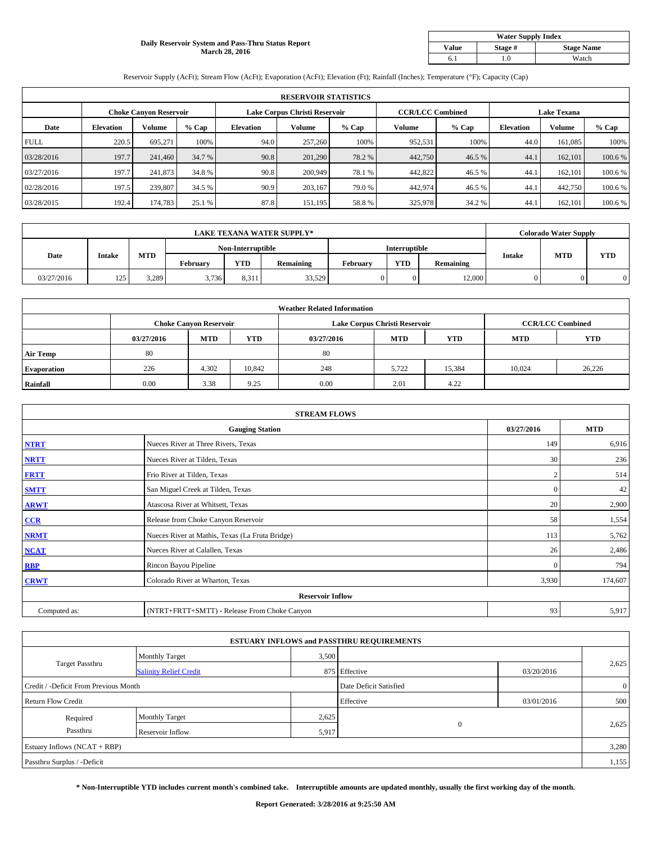#### **Daily Reservoir System and Pass-Thru Status Report March 28, 2016**

| <b>Water Supply Index</b> |         |                   |  |  |  |  |  |  |
|---------------------------|---------|-------------------|--|--|--|--|--|--|
| <b>Value</b>              | Stage # | <b>Stage Name</b> |  |  |  |  |  |  |
|                           | .0      | Watch             |  |  |  |  |  |  |

Reservoir Supply (AcFt); Stream Flow (AcFt); Evaporation (AcFt); Elevation (Ft); Rainfall (Inches); Temperature (°F); Capacity (Cap)

| <b>RESERVOIR STATISTICS</b> |                  |                               |         |                               |         |         |                         |         |                    |               |         |
|-----------------------------|------------------|-------------------------------|---------|-------------------------------|---------|---------|-------------------------|---------|--------------------|---------------|---------|
|                             |                  | <b>Choke Canyon Reservoir</b> |         | Lake Corpus Christi Reservoir |         |         | <b>CCR/LCC Combined</b> |         | <b>Lake Texana</b> |               |         |
| Date                        | <b>Elevation</b> | Volume                        | $%$ Cap | <b>Elevation</b>              | Volume  | $%$ Cap | Volume                  | $%$ Cap | <b>Elevation</b>   | <b>Volume</b> | % Cap   |
| <b>FULL</b>                 | 220.5            | 695.271                       | 100%    | 94.0                          | 257,260 | 100%    | 952,531                 | 100%    | 44.0               | 161,085       | 100%    |
| 03/28/2016                  | 197.7            | 241,460                       | 34.7 %  | 90.8                          | 201,290 | 78.2 %  | 442,750                 | 46.5 %  | 44.1               | 162,101       | 100.6 % |
| 03/27/2016                  | 197.7            | 241,873                       | 34.8%   | 90.8                          | 200,949 | 78.1 %  | 442,822                 | 46.5 %  | 44.1               | 162,101       | 100.6 % |
| 02/28/2016                  | 197.5            | 239,807                       | 34.5 %  | 90.9                          | 203.167 | 79.0 %  | 442,974                 | 46.5%   | 44.1               | 442,750       | 100.6 % |
| 03/28/2015                  | 192.4            | 174,783                       | 25.1 %  | 87.8                          | 151,195 | 58.8%   | 325,978                 | 34.2 %  | 44.1               | 162,101       | 100.6%  |

| <b>LAKE TEXANA WATER SUPPLY*</b> |               |       |                   |            |           |               |            | <b>Colorado Water Supply</b> |               |            |            |
|----------------------------------|---------------|-------|-------------------|------------|-----------|---------------|------------|------------------------------|---------------|------------|------------|
|                                  |               |       | Non-Interruptible |            |           | Interruptible |            |                              |               |            |            |
| Date                             | <b>Intake</b> | MTD   | Februarv          | <b>YTD</b> | Remaining | Februarv      | <b>YTD</b> | Remaining                    | <b>Intake</b> | <b>MTD</b> | <b>YTD</b> |
| 03/27/2016                       | 125           | 3,289 | 3,736             | 8,311      | 33,529    |               | $\Omega$   | 12,000                       | 0             |            |            |

| <b>Weather Related Information</b> |            |                               |            |            |                               |                         |            |            |  |  |  |
|------------------------------------|------------|-------------------------------|------------|------------|-------------------------------|-------------------------|------------|------------|--|--|--|
|                                    |            | <b>Choke Canvon Reservoir</b> |            |            | Lake Corpus Christi Reservoir | <b>CCR/LCC Combined</b> |            |            |  |  |  |
|                                    | 03/27/2016 | <b>MTD</b>                    | <b>YTD</b> | 03/27/2016 | <b>MTD</b>                    | <b>YTD</b>              | <b>MTD</b> | <b>YTD</b> |  |  |  |
| <b>Air Temp</b>                    | 80         |                               |            | 80         |                               |                         |            |            |  |  |  |
| <b>Evaporation</b>                 | 226        | 4,302                         | 10,842     | 248        | 5.722                         | 15,384                  | 10.024     | 26,226     |  |  |  |
| Rainfall                           | 0.00       | 3.38                          | 9.25       | 0.00       | 2.01                          | 4.22                    |            |            |  |  |  |

| <b>STREAM FLOWS</b> |                                                 |                |         |  |  |  |  |  |  |
|---------------------|-------------------------------------------------|----------------|---------|--|--|--|--|--|--|
|                     | <b>Gauging Station</b>                          |                |         |  |  |  |  |  |  |
| <b>NTRT</b>         | Nueces River at Three Rivers, Texas             | 149            | 6,916   |  |  |  |  |  |  |
| <b>NRTT</b>         | Nueces River at Tilden, Texas                   | 30             | 236     |  |  |  |  |  |  |
| <b>FRTT</b>         | Frio River at Tilden, Texas                     | $\overline{2}$ | 514     |  |  |  |  |  |  |
| <b>SMTT</b>         | San Miguel Creek at Tilden, Texas               | $\mathbf{0}$   | 42      |  |  |  |  |  |  |
| <b>ARWT</b>         | Atascosa River at Whitsett, Texas               | 20             | 2,900   |  |  |  |  |  |  |
| CCR                 | Release from Choke Canyon Reservoir             | 58             | 1,554   |  |  |  |  |  |  |
| <b>NRMT</b>         | Nueces River at Mathis, Texas (La Fruta Bridge) | 113            | 5,762   |  |  |  |  |  |  |
| <b>NCAT</b>         | Nueces River at Calallen, Texas                 | 26             | 2,486   |  |  |  |  |  |  |
| <b>RBP</b>          | Rincon Bayou Pipeline                           | $\mathbf{0}$   | 794     |  |  |  |  |  |  |
| <b>CRWT</b>         | Colorado River at Wharton, Texas                | 3,930          | 174,607 |  |  |  |  |  |  |
|                     | <b>Reservoir Inflow</b>                         |                |         |  |  |  |  |  |  |
| Computed as:        | (NTRT+FRTT+SMTT) - Release From Choke Canyon    | 93             | 5,917   |  |  |  |  |  |  |

| <b>ESTUARY INFLOWS and PASSTHRU REQUIREMENTS</b> |                               |       |                        |              |                |  |  |  |  |  |
|--------------------------------------------------|-------------------------------|-------|------------------------|--------------|----------------|--|--|--|--|--|
|                                                  | <b>Monthly Target</b>         | 3,500 |                        |              |                |  |  |  |  |  |
| Target Passthru                                  | <b>Salinity Relief Credit</b> |       | 875 Effective          | 03/20/2016   | 2,625          |  |  |  |  |  |
| Credit / -Deficit From Previous Month            |                               |       | Date Deficit Satisfied |              | $\overline{0}$ |  |  |  |  |  |
| <b>Return Flow Credit</b>                        |                               |       | Effective              | 03/01/2016   | 500            |  |  |  |  |  |
| Required                                         | Monthly Target                | 2,625 |                        |              |                |  |  |  |  |  |
| Passthru                                         | Reservoir Inflow              | 5,917 |                        | $\mathbf{0}$ | 2,625          |  |  |  |  |  |
| Estuary Inflows (NCAT + RBP)                     |                               |       |                        |              | 3,280          |  |  |  |  |  |
| Passthru Surplus / -Deficit                      |                               |       |                        |              | 1,155          |  |  |  |  |  |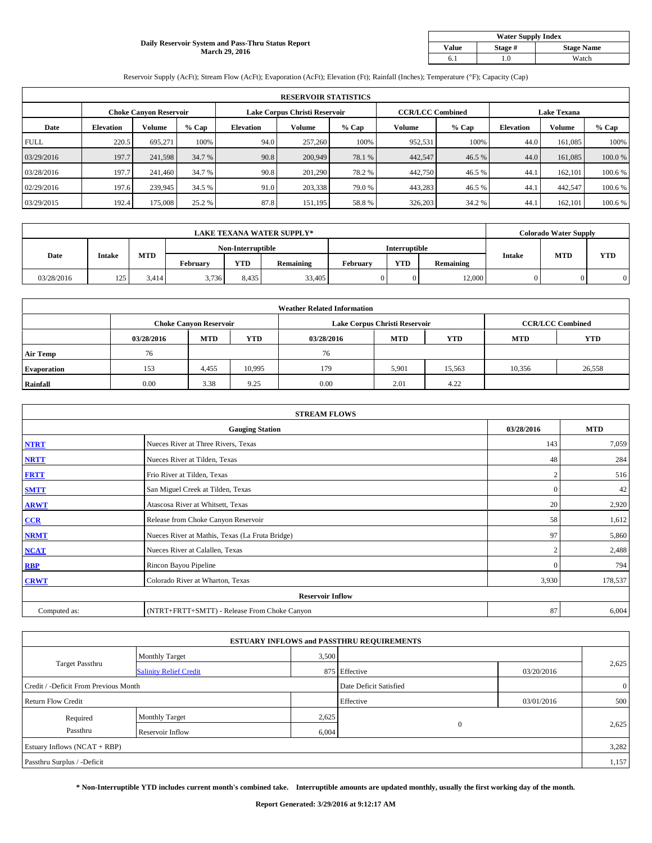#### **Daily Reservoir System and Pass-Thru Status Report March 29, 2016**

| <b>Water Supply Index</b> |         |                   |  |  |  |  |  |  |
|---------------------------|---------|-------------------|--|--|--|--|--|--|
| <b>Value</b>              | Stage # | <b>Stage Name</b> |  |  |  |  |  |  |
|                           | .0      | Watch             |  |  |  |  |  |  |

Reservoir Supply (AcFt); Stream Flow (AcFt); Evaporation (AcFt); Elevation (Ft); Rainfall (Inches); Temperature (°F); Capacity (Cap)

| <b>RESERVOIR STATISTICS</b> |                  |                               |         |                  |                               |         |                         |         |                    |               |         |
|-----------------------------|------------------|-------------------------------|---------|------------------|-------------------------------|---------|-------------------------|---------|--------------------|---------------|---------|
|                             |                  | <b>Choke Canyon Reservoir</b> |         |                  | Lake Corpus Christi Reservoir |         | <b>CCR/LCC Combined</b> |         | <b>Lake Texana</b> |               |         |
| Date                        | <b>Elevation</b> | Volume                        | $%$ Cap | <b>Elevation</b> | Volume                        | $%$ Cap | Volume                  | $%$ Cap | <b>Elevation</b>   | <b>Volume</b> | % Cap   |
| <b>FULL</b>                 | 220.5            | 695.271                       | 100%    | 94.0             | 257,260                       | 100%    | 952,531                 | 100%    | 44.0               | 161,085       | 100%    |
| 03/29/2016                  | 197.7            | 241,598                       | 34.7 %  | 90.8             | 200,949                       | 78.1 %  | 442,547                 | 46.5 %  | 44.0               | 161,085       | 100.0%  |
| 03/28/2016                  | 197.7            | 241,460                       | 34.7 %  | 90.8             | 201,290                       | 78.2 %  | 442,750                 | 46.5 %  | 44.1               | 162,101       | 100.6 % |
| 02/29/2016                  | 197.6            | 239,945                       | 34.5 %  | 91.0             | 203,338                       | 79.0 %  | 443,283                 | 46.5%   | 44.1               | 442,547       | 100.6 % |
| 03/29/2015                  | 192.4            | 175,008                       | 25.2 %  | 87.8             | 151,195                       | 58.8%   | 326,203                 | 34.2 %  | 44.1               | 162,101       | 100.6%  |

| <b>LAKE TEXANA WATER SUPPLY*</b> |               |                   |          |            |               |          |            | <b>Colorado Water Supply</b> |               |            |            |
|----------------------------------|---------------|-------------------|----------|------------|---------------|----------|------------|------------------------------|---------------|------------|------------|
|                                  |               | Non-Interruptible |          |            | Interruptible |          |            |                              |               |            |            |
| Date                             | <b>Intake</b> | MTD               | Februarv | <b>YTD</b> | Remaining     | Februarv | <b>YTD</b> | Remaining                    | <b>Intake</b> | <b>MTD</b> | <b>YTD</b> |
| 03/28/2016                       | 125           | 3.414             | 3,736    | 8.435      | 33,405        |          | $\Omega$   | 12,000                       | 0             |            |            |

|                    | <b>Weather Related Information</b> |                               |            |            |                               |                         |            |            |  |  |  |  |
|--------------------|------------------------------------|-------------------------------|------------|------------|-------------------------------|-------------------------|------------|------------|--|--|--|--|
|                    |                                    | <b>Choke Canvon Reservoir</b> |            |            | Lake Corpus Christi Reservoir | <b>CCR/LCC Combined</b> |            |            |  |  |  |  |
|                    | 03/28/2016                         | <b>MTD</b>                    | <b>YTD</b> | 03/28/2016 | <b>MTD</b>                    | <b>YTD</b>              | <b>MTD</b> | <b>YTD</b> |  |  |  |  |
| <b>Air Temp</b>    | 76                                 |                               |            | 76         |                               |                         |            |            |  |  |  |  |
| <b>Evaporation</b> | 153                                | 4,455                         | 10,995     | 179        | 5,901                         | 15,563                  | 10,356     | 26,558     |  |  |  |  |
| Rainfall           | 0.00                               | 3.38                          | 9.25       | 0.00       | 2.01                          | 4.22                    |            |            |  |  |  |  |

| <b>STREAM FLOWS</b> |                                                 |                |         |  |  |  |  |  |  |
|---------------------|-------------------------------------------------|----------------|---------|--|--|--|--|--|--|
|                     | <b>Gauging Station</b>                          |                |         |  |  |  |  |  |  |
| <b>NTRT</b>         | Nueces River at Three Rivers, Texas             | 143            | 7,059   |  |  |  |  |  |  |
| <b>NRTT</b>         | Nueces River at Tilden, Texas                   | 48             | 284     |  |  |  |  |  |  |
| <b>FRTT</b>         | Frio River at Tilden, Texas                     | $\overline{2}$ | 516     |  |  |  |  |  |  |
| <b>SMTT</b>         | San Miguel Creek at Tilden, Texas               | $\mathbf{0}$   | 42      |  |  |  |  |  |  |
| <b>ARWT</b>         | Atascosa River at Whitsett, Texas               | 20             | 2,920   |  |  |  |  |  |  |
| CCR                 | Release from Choke Canyon Reservoir             | 58             | 1,612   |  |  |  |  |  |  |
| <b>NRMT</b>         | Nueces River at Mathis, Texas (La Fruta Bridge) | 97             | 5,860   |  |  |  |  |  |  |
| <b>NCAT</b>         | Nueces River at Calallen, Texas                 | $\overline{c}$ | 2,488   |  |  |  |  |  |  |
| <b>RBP</b>          | Rincon Bayou Pipeline                           | $\mathbf{0}$   | 794     |  |  |  |  |  |  |
| <b>CRWT</b>         | Colorado River at Wharton, Texas                | 3,930          | 178,537 |  |  |  |  |  |  |
|                     | <b>Reservoir Inflow</b>                         |                |         |  |  |  |  |  |  |
| Computed as:        | (NTRT+FRTT+SMTT) - Release From Choke Canyon    | 87             | 6,004   |  |  |  |  |  |  |

| <b>ESTUARY INFLOWS and PASSTHRU REQUIREMENTS</b> |                               |           |                        |            |                |  |  |  |  |  |
|--------------------------------------------------|-------------------------------|-----------|------------------------|------------|----------------|--|--|--|--|--|
|                                                  | <b>Monthly Target</b>         | 3,500     |                        |            |                |  |  |  |  |  |
| <b>Target Passthru</b>                           | <b>Salinity Relief Credit</b> |           | 875 Effective          | 03/20/2016 | 2,625          |  |  |  |  |  |
| Credit / -Deficit From Previous Month            |                               |           | Date Deficit Satisfied |            | $\overline{0}$ |  |  |  |  |  |
| <b>Return Flow Credit</b>                        |                               | Effective | 03/01/2016             | 500        |                |  |  |  |  |  |
| Required                                         | Monthly Target                | 2,625     |                        |            |                |  |  |  |  |  |
| Passthru                                         | Reservoir Inflow              | 6,004     | $\mathbf{0}$           |            | 2,625          |  |  |  |  |  |
| Estuary Inflows (NCAT + RBP)                     |                               |           |                        |            |                |  |  |  |  |  |
| Passthru Surplus / -Deficit                      |                               |           |                        |            | 1,157          |  |  |  |  |  |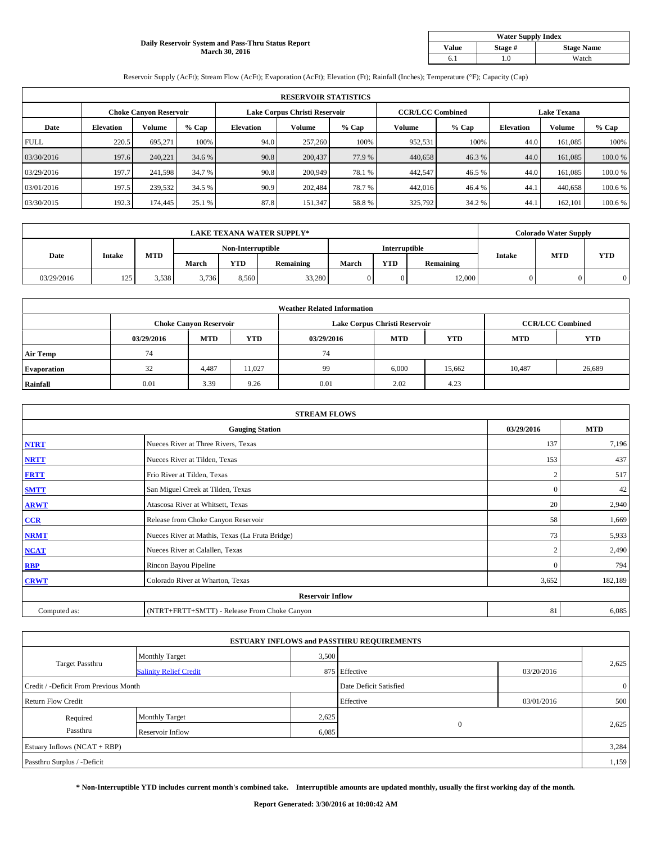#### **Daily Reservoir System and Pass-Thru Status Report March 30, 2016**

| <b>Water Supply Index</b> |         |                   |  |  |  |  |  |  |
|---------------------------|---------|-------------------|--|--|--|--|--|--|
| <b>Value</b>              | Stage # | <b>Stage Name</b> |  |  |  |  |  |  |
|                           | .0      | Watch             |  |  |  |  |  |  |

Reservoir Supply (AcFt); Stream Flow (AcFt); Evaporation (AcFt); Elevation (Ft); Rainfall (Inches); Temperature (°F); Capacity (Cap)

| <b>RESERVOIR STATISTICS</b> |                  |                               |         |                  |                               |         |                         |         |                    |               |         |
|-----------------------------|------------------|-------------------------------|---------|------------------|-------------------------------|---------|-------------------------|---------|--------------------|---------------|---------|
|                             |                  | <b>Choke Canyon Reservoir</b> |         |                  | Lake Corpus Christi Reservoir |         | <b>CCR/LCC Combined</b> |         | <b>Lake Texana</b> |               |         |
| Date                        | <b>Elevation</b> | Volume                        | $%$ Cap | <b>Elevation</b> | Volume                        | $%$ Cap | Volume                  | $%$ Cap | <b>Elevation</b>   | <b>Volume</b> | % Cap   |
| <b>FULL</b>                 | 220.5            | 695.271                       | 100%    | 94.0             | 257,260                       | 100%    | 952,531                 | 100%    | 44.0               | 161,085       | 100%    |
| 03/30/2016                  | 197.6            | 240.221                       | 34.6 %  | 90.8             | 200,437                       | 77.9 %  | 440,658                 | 46.3%   | 44.0               | 161,085       | 100.0%  |
| 03/29/2016                  | 197.7            | 241,598                       | 34.7 %  | 90.8             | 200,949                       | 78.1 %  | 442,547                 | 46.5 %  | 44.0               | 161,085       | 100.0%  |
| 03/01/2016                  | 197.5            | 239,532                       | 34.5 %  | 90.9             | 202,484                       | 78.7%   | 442,016                 | 46.4%   | 44.1               | 440,658       | 100.6 % |
| 03/30/2015                  | 192.3            | 174,445                       | 25.1 %  | 87.8             | 151,347                       | 58.8%   | 325,792                 | 34.2 %  | 44.1               | 162,101       | 100.6%  |

| <b>LAKE TEXANA WATER SUPPLY*</b> |               |            |       |                   |           |       |                      | <b>Colorado Water Supply</b> |        |            |            |
|----------------------------------|---------------|------------|-------|-------------------|-----------|-------|----------------------|------------------------------|--------|------------|------------|
|                                  |               |            |       | Non-Interruptible |           |       | <b>Interruptible</b> |                              |        |            |            |
| Date                             | <b>Intake</b> | <b>MTD</b> | March | <b>YTD</b>        | Remaining | March | <b>YTD</b>           | <b>Remaining</b>             | Intake | <b>MTD</b> | <b>YTD</b> |
| 03/29/2016                       | 125           | 3,538      | 3,736 | 8.560             | 33,280    |       |                      | 12,000                       |        |            |            |

|                    | <b>Weather Related Information</b> |                               |            |            |                               |                         |            |            |  |  |  |  |
|--------------------|------------------------------------|-------------------------------|------------|------------|-------------------------------|-------------------------|------------|------------|--|--|--|--|
|                    |                                    | <b>Choke Canyon Reservoir</b> |            |            | Lake Corpus Christi Reservoir | <b>CCR/LCC Combined</b> |            |            |  |  |  |  |
|                    | 03/29/2016                         | <b>MTD</b>                    | <b>YTD</b> | 03/29/2016 | <b>MTD</b>                    | <b>YTD</b>              | <b>MTD</b> | <b>YTD</b> |  |  |  |  |
| <b>Air Temp</b>    | 74                                 |                               |            | 74         |                               |                         |            |            |  |  |  |  |
| <b>Evaporation</b> | 32                                 | 4,487                         | 11,027     | 99         | 6,000                         | 15,662                  | 10.487     | 26,689     |  |  |  |  |
| Rainfall           | 0.01                               | 3.39                          | 9.26       | 0.01       | 2.02                          | 4.23                    |            |            |  |  |  |  |

| <b>STREAM FLOWS</b> |                                                 |                |            |  |  |  |  |  |  |
|---------------------|-------------------------------------------------|----------------|------------|--|--|--|--|--|--|
|                     | <b>Gauging Station</b>                          | 03/29/2016     | <b>MTD</b> |  |  |  |  |  |  |
| <b>NTRT</b>         | Nueces River at Three Rivers, Texas             | 137            | 7,196      |  |  |  |  |  |  |
| <b>NRTT</b>         | Nueces River at Tilden, Texas                   | 153            | 437        |  |  |  |  |  |  |
| <b>FRTT</b>         | Frio River at Tilden, Texas                     | $\overline{2}$ | 517        |  |  |  |  |  |  |
| <b>SMTT</b>         | San Miguel Creek at Tilden, Texas               | $\mathbf{0}$   | 42         |  |  |  |  |  |  |
| <b>ARWT</b>         | Atascosa River at Whitsett, Texas               | 20             | 2,940      |  |  |  |  |  |  |
| CCR                 | Release from Choke Canyon Reservoir             | 58             | 1,669      |  |  |  |  |  |  |
| <b>NRMT</b>         | Nueces River at Mathis, Texas (La Fruta Bridge) | 73             | 5,933      |  |  |  |  |  |  |
| <b>NCAT</b>         | Nueces River at Calallen, Texas                 | $\overline{2}$ | 2,490      |  |  |  |  |  |  |
| <b>RBP</b>          | Rincon Bayou Pipeline                           | $\Omega$       | 794        |  |  |  |  |  |  |
| <b>CRWT</b>         | Colorado River at Wharton, Texas                | 3,652          | 182,189    |  |  |  |  |  |  |
|                     | <b>Reservoir Inflow</b>                         |                |            |  |  |  |  |  |  |
| Computed as:        | (NTRT+FRTT+SMTT) - Release From Choke Canyon    | 81             | 6,085      |  |  |  |  |  |  |

| <b>ESTUARY INFLOWS and PASSTHRU REQUIREMENTS</b> |                               |                        |               |                |       |  |  |  |  |  |
|--------------------------------------------------|-------------------------------|------------------------|---------------|----------------|-------|--|--|--|--|--|
|                                                  | <b>Monthly Target</b>         | 3,500                  |               |                |       |  |  |  |  |  |
| <b>Target Passthru</b>                           | <b>Salinity Relief Credit</b> |                        | 875 Effective | 03/20/2016     | 2,625 |  |  |  |  |  |
| Credit / -Deficit From Previous Month            |                               | Date Deficit Satisfied |               | $\overline{0}$ |       |  |  |  |  |  |
| <b>Return Flow Credit</b>                        |                               |                        | Effective     | 03/01/2016     | 500   |  |  |  |  |  |
| Required                                         | <b>Monthly Target</b>         | 2,625                  |               |                |       |  |  |  |  |  |
| Passthru                                         | Reservoir Inflow              | 6,085                  | $\mathbf{0}$  |                | 2,625 |  |  |  |  |  |
| Estuary Inflows (NCAT + RBP)                     |                               |                        |               |                |       |  |  |  |  |  |
| Passthru Surplus / -Deficit                      |                               |                        |               |                | 1,159 |  |  |  |  |  |